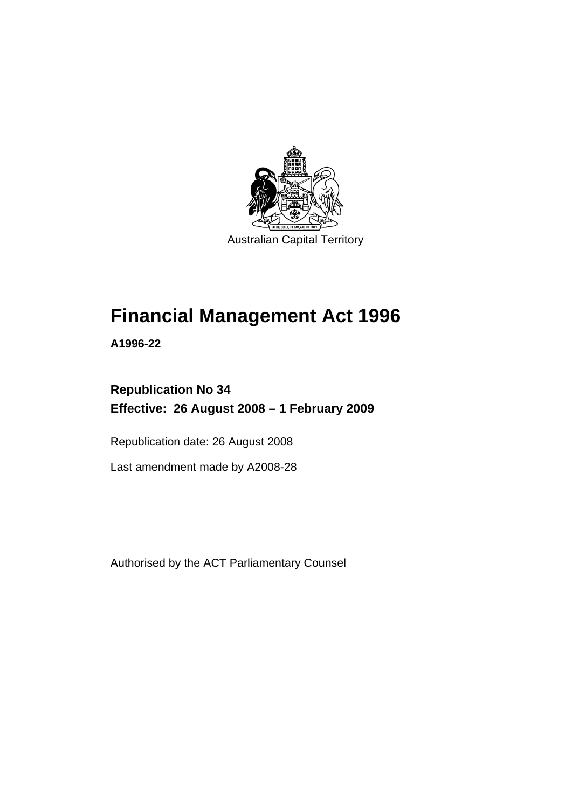

# **[Financial Management Act 1996](#page-10-0)**

**A1996-22** 

# **Republication No 34 Effective: 26 August 2008 – 1 February 2009**

Republication date: 26 August 2008

Last amendment made by A2008-28

Authorised by the ACT Parliamentary Counsel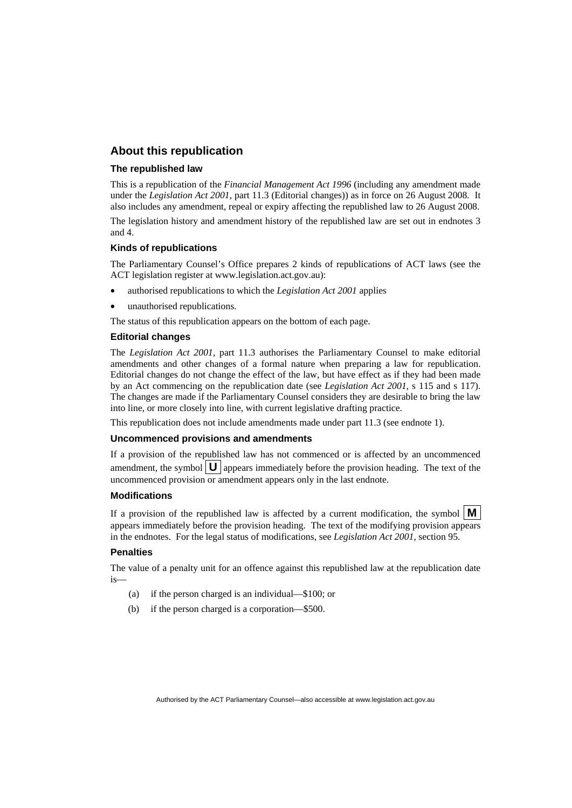#### **About this republication**

#### **The republished law**

This is a republication of the *Financial Management Act 1996* (including any amendment made under the *Legislation Act 2001*, part 11.3 (Editorial changes)) as in force on 26 August 2008*.* It also includes any amendment, repeal or expiry affecting the republished law to 26 August 2008.

The legislation history and amendment history of the republished law are set out in endnotes 3 and 4.

#### **Kinds of republications**

The Parliamentary Counsel's Office prepares 2 kinds of republications of ACT laws (see the ACT legislation register at www.legislation.act.gov.au):

- authorised republications to which the *Legislation Act 2001* applies
- unauthorised republications.

The status of this republication appears on the bottom of each page.

#### **Editorial changes**

The *Legislation Act 2001*, part 11.3 authorises the Parliamentary Counsel to make editorial amendments and other changes of a formal nature when preparing a law for republication. Editorial changes do not change the effect of the law, but have effect as if they had been made by an Act commencing on the republication date (see *Legislation Act 2001*, s 115 and s 117). The changes are made if the Parliamentary Counsel considers they are desirable to bring the law into line, or more closely into line, with current legislative drafting practice.

This republication does not include amendments made under part 11.3 (see endnote 1).

#### **Uncommenced provisions and amendments**

If a provision of the republished law has not commenced or is affected by an uncommenced amendment, the symbol  $\mathbf{U}$  appears immediately before the provision heading. The text of the uncommenced provision or amendment appears only in the last endnote.

#### **Modifications**

If a provision of the republished law is affected by a current modification, the symbol  $\mathbf{M}$ appears immediately before the provision heading. The text of the modifying provision appears in the endnotes. For the legal status of modifications, see *Legislation Act 2001*, section 95.

#### **Penalties**

The value of a penalty unit for an offence against this republished law at the republication date is—

- (a) if the person charged is an individual—\$100; or
- (b) if the person charged is a corporation—\$500.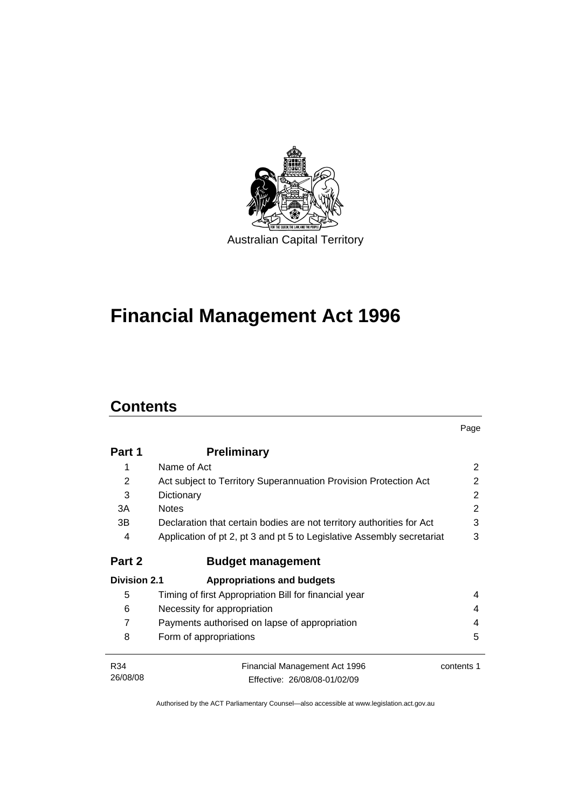

# **[Financial Management Act 1996](#page-10-0)**

# **Contents**

|                     |                                                                        | Page       |
|---------------------|------------------------------------------------------------------------|------------|
| Part 1              | <b>Preliminary</b>                                                     |            |
| 1                   | Name of Act                                                            | 2          |
| 2                   | Act subject to Territory Superannuation Provision Protection Act       | 2          |
| 3                   | Dictionary                                                             |            |
| 3A                  | <b>Notes</b>                                                           | 2          |
| 3В                  | Declaration that certain bodies are not territory authorities for Act  | 3          |
| 4                   | Application of pt 2, pt 3 and pt 5 to Legislative Assembly secretariat | 3          |
| Part 2              | <b>Budget management</b>                                               |            |
| <b>Division 2.1</b> | <b>Appropriations and budgets</b>                                      |            |
| 5                   | Timing of first Appropriation Bill for financial year                  | 4          |
| 6                   | Necessity for appropriation                                            | 4          |
| 7                   | Payments authorised on lapse of appropriation                          |            |
| 8                   | Form of appropriations                                                 | 5          |
| R34                 | Financial Management Act 1996                                          | contents 1 |
| 26/08/08            | Effective: 26/08/08-01/02/09                                           |            |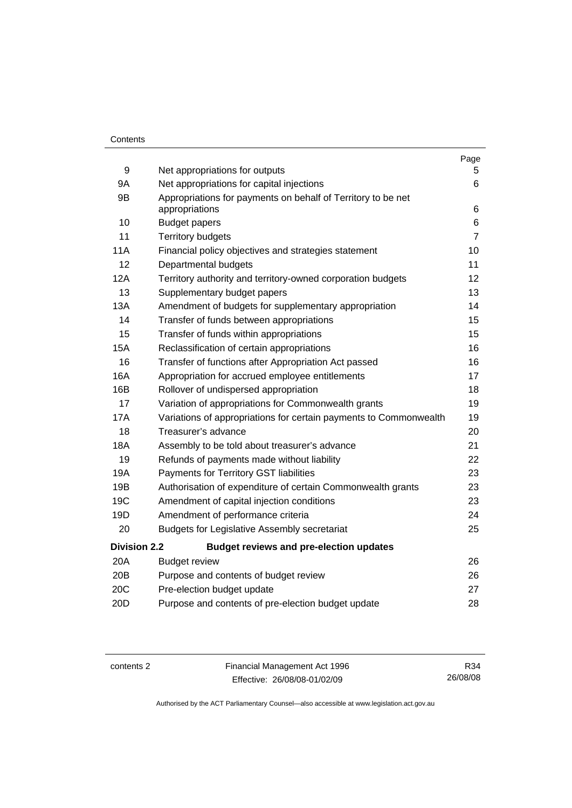#### **Contents**

|                     |                                                                   | Page           |
|---------------------|-------------------------------------------------------------------|----------------|
| 9                   | Net appropriations for outputs                                    | 5              |
| <b>9A</b>           | Net appropriations for capital injections                         | 6              |
| 9B                  | Appropriations for payments on behalf of Territory to be net      |                |
|                     | appropriations                                                    | 6              |
| 10                  | <b>Budget papers</b>                                              | 6              |
| 11                  | <b>Territory budgets</b>                                          | $\overline{7}$ |
| 11A                 | Financial policy objectives and strategies statement              | 10             |
| 12                  | Departmental budgets                                              | 11             |
| 12A                 | Territory authority and territory-owned corporation budgets       | 12             |
| 13                  | Supplementary budget papers                                       | 13             |
| 13A                 | Amendment of budgets for supplementary appropriation              | 14             |
| 14                  | Transfer of funds between appropriations                          | 15             |
| 15                  | Transfer of funds within appropriations                           | 15             |
| <b>15A</b>          | Reclassification of certain appropriations                        | 16             |
| 16                  | Transfer of functions after Appropriation Act passed              | 16             |
| <b>16A</b>          | Appropriation for accrued employee entitlements                   | 17             |
| 16B                 | Rollover of undispersed appropriation                             | 18             |
| 17                  | Variation of appropriations for Commonwealth grants               | 19             |
| 17A                 | Variations of appropriations for certain payments to Commonwealth | 19             |
| 18                  | Treasurer's advance                                               | 20             |
| <b>18A</b>          | Assembly to be told about treasurer's advance                     | 21             |
| 19                  | Refunds of payments made without liability                        | 22             |
| 19A                 | Payments for Territory GST liabilities                            | 23             |
| 19B                 | Authorisation of expenditure of certain Commonwealth grants       | 23             |
| 19C                 | Amendment of capital injection conditions                         | 23             |
| 19D                 | Amendment of performance criteria                                 | 24             |
| 20                  | <b>Budgets for Legislative Assembly secretariat</b>               | 25             |
| <b>Division 2.2</b> | <b>Budget reviews and pre-election updates</b>                    |                |
| 20A                 | <b>Budget review</b>                                              | 26             |
| 20B                 | Purpose and contents of budget review                             | 26             |
| 20C                 | Pre-election budget update                                        | 27             |
| 20 <sub>D</sub>     | Purpose and contents of pre-election budget update                | 28             |

contents 2 Financial Management Act 1996 Effective: 26/08/08-01/02/09

R34 26/08/08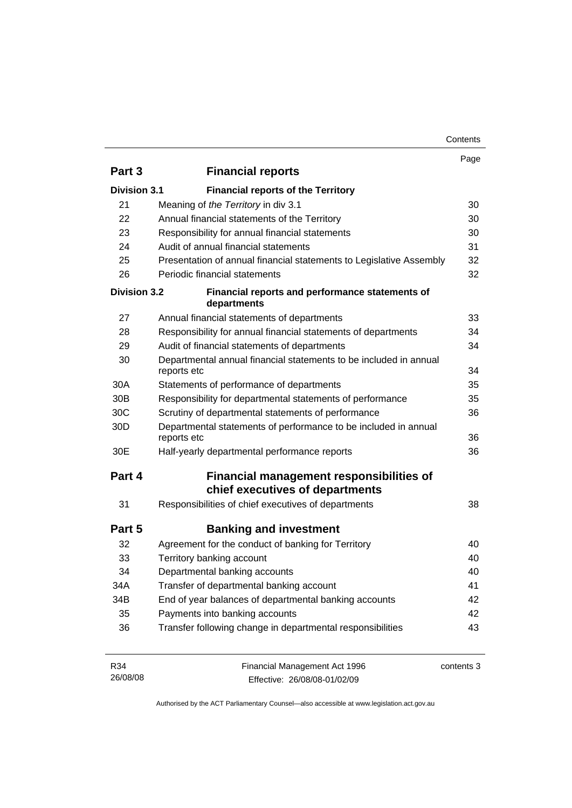| Contents |
|----------|
|----------|

|                     |                                                                                  | Page       |
|---------------------|----------------------------------------------------------------------------------|------------|
| Part 3              | <b>Financial reports</b>                                                         |            |
| <b>Division 3.1</b> | <b>Financial reports of the Territory</b>                                        |            |
| 21                  | Meaning of the Territory in div 3.1                                              | 30         |
| 22                  | Annual financial statements of the Territory                                     | 30         |
| 23                  | Responsibility for annual financial statements                                   | 30         |
| 24                  | Audit of annual financial statements                                             | 31         |
| 25                  | Presentation of annual financial statements to Legislative Assembly              | 32         |
| 26                  | Periodic financial statements                                                    | 32         |
| <b>Division 3.2</b> | Financial reports and performance statements of<br>departments                   |            |
| 27                  | Annual financial statements of departments                                       | 33         |
| 28                  | Responsibility for annual financial statements of departments                    | 34         |
| 29                  | Audit of financial statements of departments                                     | 34         |
| 30                  | Departmental annual financial statements to be included in annual<br>reports etc | 34         |
| 30A                 | Statements of performance of departments                                         | 35         |
| 30 <sub>B</sub>     | Responsibility for departmental statements of performance                        | 35         |
| 30C                 | Scrutiny of departmental statements of performance                               | 36         |
| 30 <sub>D</sub>     | Departmental statements of performance to be included in annual<br>reports etc   | 36         |
| 30E                 | Half-yearly departmental performance reports                                     | 36         |
| Part 4              | Financial management responsibilities of<br>chief executives of departments      |            |
| 31                  | Responsibilities of chief executives of departments                              | 38         |
| Part 5              | <b>Banking and investment</b>                                                    |            |
| 32                  | Agreement for the conduct of banking for Territory                               | 40         |
| 33                  | Territory banking account                                                        | 40         |
| 34                  | Departmental banking accounts                                                    | 40         |
| 34A                 | Transfer of departmental banking account                                         | 41         |
| 34B                 | End of year balances of departmental banking accounts                            | 42         |
| 35                  | Payments into banking accounts                                                   | 42         |
| 36                  | Transfer following change in departmental responsibilities                       | 43         |
| R34<br>26/08/08     | Financial Management Act 1996<br>Effective: 26/08/08-01/02/09                    | contents 3 |

Authorised by the ACT Parliamentary Counsel—also accessible at www.legislation.act.gov.au

Effective: 26/08/08-01/02/09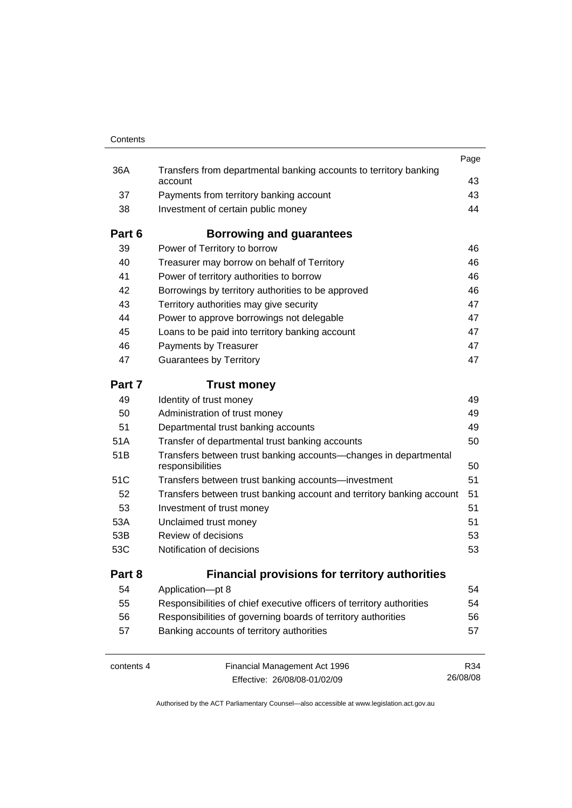| Contents   |                                                                                      |          |
|------------|--------------------------------------------------------------------------------------|----------|
|            |                                                                                      | Page     |
| 36A        | Transfers from departmental banking accounts to territory banking<br>account         | 43       |
| 37         | Payments from territory banking account                                              | 43       |
| 38         | Investment of certain public money                                                   | 44       |
| Part 6     | Borrowing and guarantees                                                             |          |
| 39         | Power of Territory to borrow                                                         | 46       |
| 40         | Treasurer may borrow on behalf of Territory                                          | 46       |
| 41         | Power of territory authorities to borrow                                             | 46       |
| 42         | Borrowings by territory authorities to be approved                                   | 46       |
| 43         | Territory authorities may give security                                              | 47       |
| 44         | Power to approve borrowings not delegable                                            | 47       |
| 45         | Loans to be paid into territory banking account                                      | 47       |
| 46         | Payments by Treasurer                                                                | 47       |
| 47         | <b>Guarantees by Territory</b>                                                       | 47       |
| Part 7     | <b>Trust money</b>                                                                   |          |
| 49         | Identity of trust money                                                              | 49       |
| 50         | Administration of trust money                                                        | 49       |
| 51         | Departmental trust banking accounts                                                  | 49       |
| 51A        | Transfer of departmental trust banking accounts                                      | 50       |
| 51B        | Transfers between trust banking accounts-changes in departmental<br>responsibilities | 50       |
| 51C        | Transfers between trust banking accounts—investment                                  | 51       |
| 52         | Transfers between trust banking account and territory banking account                | 51       |
| 53         | Investment of trust money                                                            | 51       |
| 53A        | Unclaimed trust money                                                                | 51       |
| 53B        | Review of decisions                                                                  | 53       |
| 53C        | Notification of decisions                                                            | 53       |
| Part 8     | <b>Financial provisions for territory authorities</b>                                |          |
| 54         | Application-pt 8                                                                     | 54       |
| 55         | Responsibilities of chief executive officers of territory authorities                | 54       |
| 56         | Responsibilities of governing boards of territory authorities                        | 56       |
| 57         | Banking accounts of territory authorities                                            | 57       |
| contents 4 | Financial Management Act 1996                                                        | R34      |
|            | Effective: 26/08/08-01/02/09                                                         | 26/08/08 |

Effective: 26/08/08-01/02/09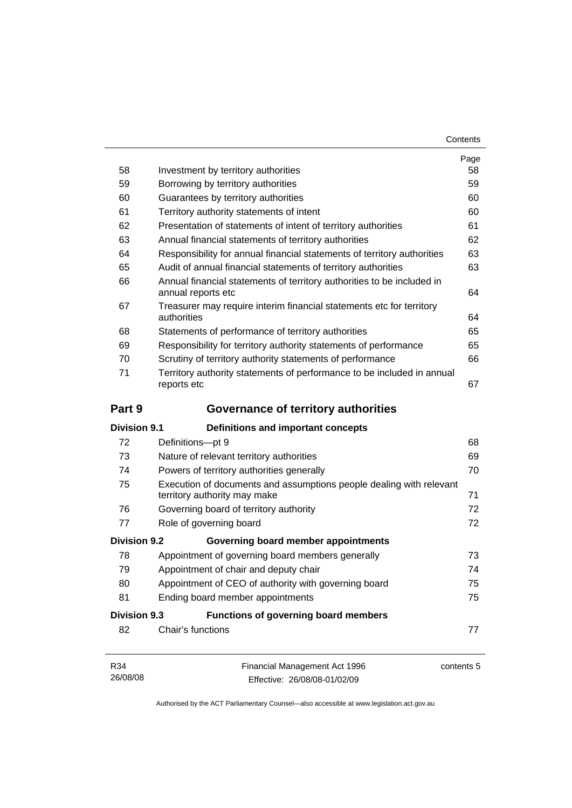| Contents |
|----------|
|----------|

|                     |                                                                                                     | Page     |  |
|---------------------|-----------------------------------------------------------------------------------------------------|----------|--|
| 58                  | Investment by territory authorities                                                                 | 58<br>59 |  |
| 59                  | Borrowing by territory authorities                                                                  |          |  |
| 60                  | Guarantees by territory authorities                                                                 |          |  |
| 61                  | Territory authority statements of intent                                                            |          |  |
| 62                  | Presentation of statements of intent of territory authorities                                       |          |  |
| 63                  | Annual financial statements of territory authorities                                                | 62<br>63 |  |
| 64                  | Responsibility for annual financial statements of territory authorities                             |          |  |
| 65                  | Audit of annual financial statements of territory authorities                                       |          |  |
| 66                  | Annual financial statements of territory authorities to be included in<br>annual reports etc        |          |  |
| 67                  | Treasurer may require interim financial statements etc for territory<br>authorities                 | 64       |  |
| 68                  | Statements of performance of territory authorities                                                  | 65       |  |
| 69                  | Responsibility for territory authority statements of performance                                    | 65       |  |
| 70                  | Scrutiny of territory authority statements of performance                                           | 66       |  |
| 71                  | Territory authority statements of performance to be included in annual<br>reports etc               |          |  |
| Part 9              | <b>Governance of territory authorities</b>                                                          |          |  |
| <b>Division 9.1</b> | Definitions and important concepts                                                                  |          |  |
| 72                  | Definitions-pt 9                                                                                    | 68       |  |
| 73                  | Nature of relevant territory authorities                                                            | 69       |  |
| 74                  | Powers of territory authorities generally                                                           | 70       |  |
| 75                  | Execution of documents and assumptions people dealing with relevant<br>territory authority may make | 71       |  |
| 76                  | Governing board of territory authority                                                              | 72       |  |
| 77                  | Role of governing board                                                                             | 72       |  |
| <b>Division 9.2</b> | Governing board member appointments                                                                 |          |  |
| 78                  | Appointment of governing board members generally                                                    | 73       |  |
| 79                  | Appointment of chair and deputy chair                                                               | 74       |  |
| 80                  | Appointment of CEO of authority with governing board                                                | 75       |  |
| 81                  | Ending board member appointments                                                                    | 75       |  |
| <b>Division 9.3</b> | <b>Functions of governing board members</b>                                                         |          |  |
| 82                  | Chair's functions                                                                                   | 77       |  |
|                     |                                                                                                     |          |  |

Authorised by the ACT Parliamentary Counsel—also accessible at www.legislation.act.gov.au

Effective: 26/08/08-01/02/09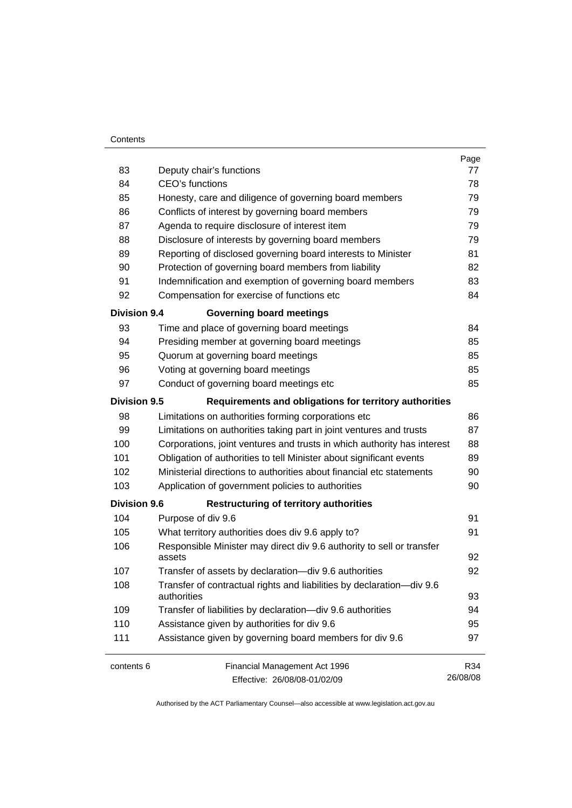#### **Contents**

| 83                  | Deputy chair's functions                                                             | Page<br>77 |  |  |
|---------------------|--------------------------------------------------------------------------------------|------------|--|--|
| 84                  | CEO's functions                                                                      |            |  |  |
| 85                  | Honesty, care and diligence of governing board members                               |            |  |  |
| 86                  | Conflicts of interest by governing board members                                     |            |  |  |
| 87                  | Agenda to require disclosure of interest item                                        |            |  |  |
| 88                  | Disclosure of interests by governing board members                                   | 79<br>79   |  |  |
| 89                  | Reporting of disclosed governing board interests to Minister                         | 81         |  |  |
| 90                  | Protection of governing board members from liability                                 | 82         |  |  |
| 91                  | Indemnification and exemption of governing board members                             | 83         |  |  |
| 92                  | Compensation for exercise of functions etc                                           | 84         |  |  |
| <b>Division 9.4</b> | <b>Governing board meetings</b>                                                      |            |  |  |
| 93                  | Time and place of governing board meetings                                           | 84         |  |  |
| 94                  | Presiding member at governing board meetings                                         | 85         |  |  |
| 95                  | Quorum at governing board meetings                                                   | 85         |  |  |
| 96                  | Voting at governing board meetings                                                   | 85         |  |  |
| 97                  | Conduct of governing board meetings etc                                              | 85         |  |  |
| <b>Division 9.5</b> | Requirements and obligations for territory authorities                               |            |  |  |
| 98                  | Limitations on authorities forming corporations etc                                  | 86         |  |  |
| 99                  | Limitations on authorities taking part in joint ventures and trusts                  | 87         |  |  |
| 100                 | Corporations, joint ventures and trusts in which authority has interest              | 88         |  |  |
| 101                 | Obligation of authorities to tell Minister about significant events                  | 89         |  |  |
| 102                 | Ministerial directions to authorities about financial etc statements                 |            |  |  |
| 103                 | Application of government policies to authorities                                    |            |  |  |
| <b>Division 9.6</b> | <b>Restructuring of territory authorities</b>                                        |            |  |  |
| 104                 | Purpose of div 9.6                                                                   | 91         |  |  |
| 105                 | What territory authorities does div 9.6 apply to?                                    | 91         |  |  |
| 106                 | Responsible Minister may direct div 9.6 authority to sell or transfer<br>assets      |            |  |  |
| 107                 | Transfer of assets by declaration-div 9.6 authorities                                | 92         |  |  |
| 108                 | Transfer of contractual rights and liabilities by declaration-div 9.6<br>authorities |            |  |  |
| 109                 | Transfer of liabilities by declaration-div 9.6 authorities                           | 94         |  |  |
| 110                 | Assistance given by authorities for div 9.6                                          | 95         |  |  |
| 111                 | Assistance given by governing board members for div 9.6                              |            |  |  |
| contents 6          | Financial Management Act 1996                                                        | R34        |  |  |
|                     | Effective: 26/08/08-01/02/09                                                         | 26/08/08   |  |  |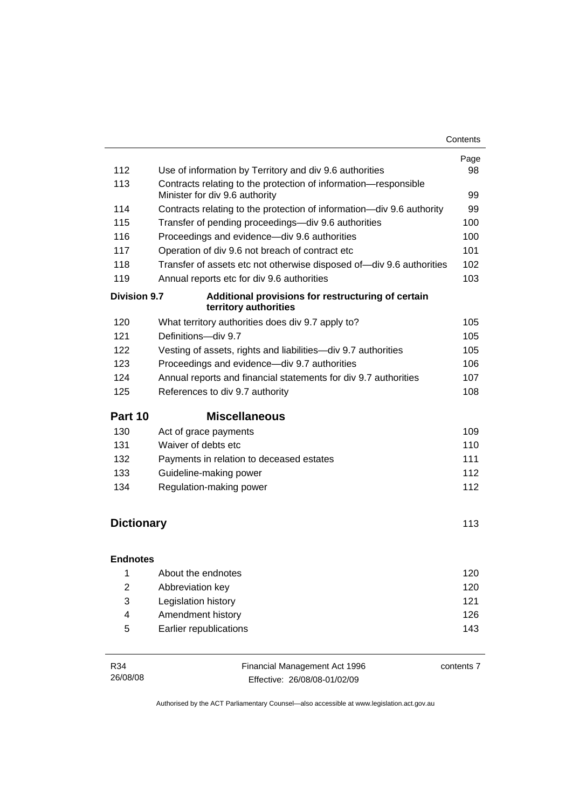| 112                 | Use of information by Territory and div 9.6 authorities                                                       | Page<br>98 |  |
|---------------------|---------------------------------------------------------------------------------------------------------------|------------|--|
| 113                 | Contracts relating to the protection of information-responsible                                               |            |  |
| 114                 | Minister for div 9.6 authority<br>Contracts relating to the protection of information-div 9.6 authority       |            |  |
| 115                 | Transfer of pending proceedings-div 9.6 authorities                                                           |            |  |
| 116                 |                                                                                                               |            |  |
| 117                 | 100<br>Proceedings and evidence-div 9.6 authorities<br>101<br>Operation of div 9.6 not breach of contract etc |            |  |
| 118                 | Transfer of assets etc not otherwise disposed of-div 9.6 authorities                                          |            |  |
| 119                 | Annual reports etc for div 9.6 authorities                                                                    | 102<br>103 |  |
| <b>Division 9.7</b> | Additional provisions for restructuring of certain<br>territory authorities                                   |            |  |
| 120                 | What territory authorities does div 9.7 apply to?                                                             | 105        |  |
| 121                 | Definitions-div 9.7                                                                                           | 105        |  |
| 122                 | Vesting of assets, rights and liabilities-div 9.7 authorities                                                 | 105        |  |
| 123                 | Proceedings and evidence-div 9.7 authorities                                                                  | 106        |  |
| 124                 | Annual reports and financial statements for div 9.7 authorities                                               | 107        |  |
| 125                 | References to div 9.7 authority                                                                               | 108        |  |
|                     |                                                                                                               |            |  |
| Part 10             | <b>Miscellaneous</b>                                                                                          |            |  |
| 130                 | Act of grace payments                                                                                         | 109        |  |
| 131                 | Waiver of debts etc                                                                                           | 110        |  |
| 132                 | Payments in relation to deceased estates                                                                      | 111        |  |
| 133                 | Guideline-making power                                                                                        | 112        |  |
| 134                 | Regulation-making power                                                                                       | 112        |  |
|                     |                                                                                                               |            |  |
| <b>Dictionary</b>   |                                                                                                               | 113        |  |
| <b>Endnotes</b>     |                                                                                                               |            |  |
| $\overline{1}$      | About the endnotes                                                                                            | 120        |  |
| $\overline{2}$      | Abbreviation key                                                                                              | 120        |  |
| 3                   | Legislation history                                                                                           | 121        |  |
| 4                   | Amendment history                                                                                             | 126        |  |
| 5                   | Earlier republications                                                                                        | 143        |  |

| R34      | Financial Management Act 1996 | contents 7 |
|----------|-------------------------------|------------|
| 26/08/08 | Effective: 26/08/08-01/02/09  |            |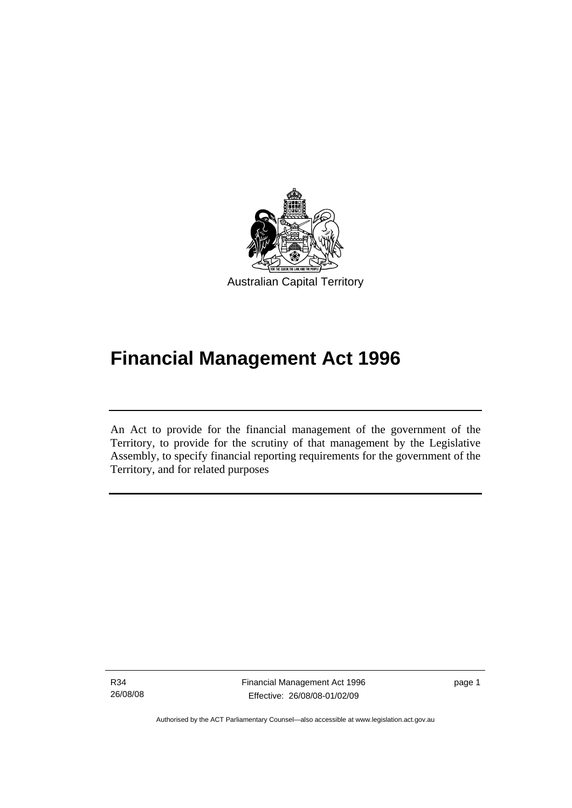<span id="page-10-0"></span>

# **Financial Management Act 1996**

An Act to provide for the financial management of the government of the Territory, to provide for the scrutiny of that management by the Legislative Assembly, to specify financial reporting requirements for the government of the Territory, and for related purposes

R34 26/08/08

I

Financial Management Act 1996 Effective: 26/08/08-01/02/09

page 1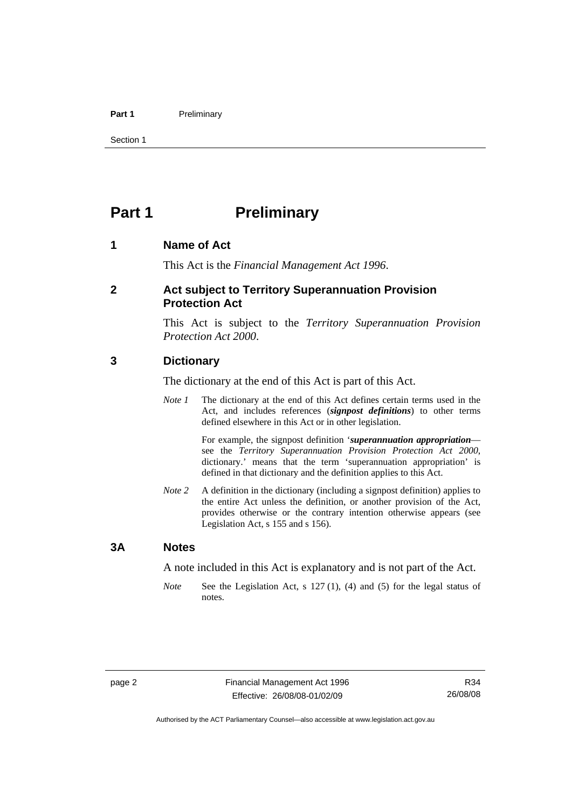#### <span id="page-11-0"></span>Part 1 **Preliminary**

Section 1

# **Part 1** Preliminary

#### **1 Name of Act**

This Act is the *Financial Management Act 1996*.

#### **2 Act subject to Territory Superannuation Provision Protection Act**

This Act is subject to the *Territory Superannuation Provision Protection Act 2000*.

#### **3 Dictionary**

The dictionary at the end of this Act is part of this Act.

*Note 1* The dictionary at the end of this Act defines certain terms used in the Act, and includes references (*signpost definitions*) to other terms defined elsewhere in this Act or in other legislation.

> For example, the signpost definition '*superannuation appropriation* see the *Territory Superannuation Provision Protection Act 2000*, dictionary.' means that the term 'superannuation appropriation' is defined in that dictionary and the definition applies to this Act.

*Note 2* A definition in the dictionary (including a signpost definition) applies to the entire Act unless the definition, or another provision of the Act, provides otherwise or the contrary intention otherwise appears (see Legislation Act, s 155 and s 156).

#### **3A Notes**

A note included in this Act is explanatory and is not part of the Act.

*Note* See the Legislation Act, s 127 (1), (4) and (5) for the legal status of notes.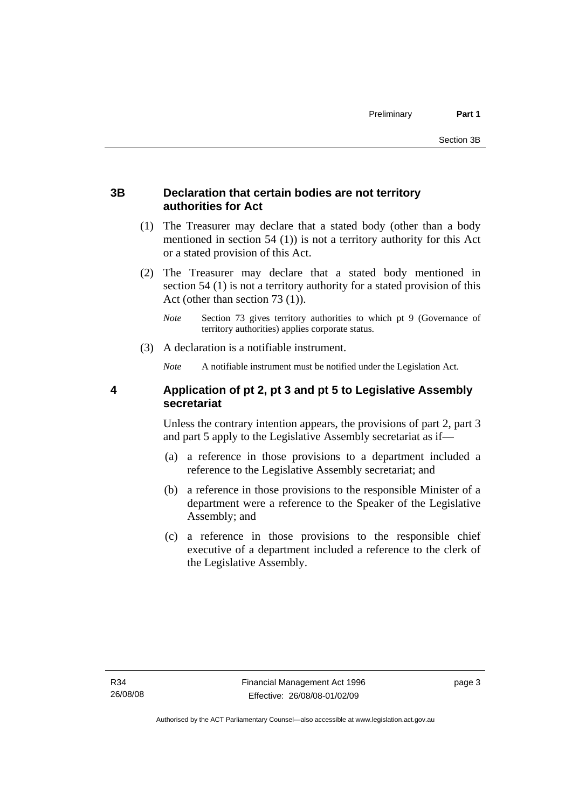# <span id="page-12-0"></span>**3B Declaration that certain bodies are not territory authorities for Act**

- (1) The Treasurer may declare that a stated body (other than a body mentioned in section 54 (1)) is not a territory authority for this Act or a stated provision of this Act.
- (2) The Treasurer may declare that a stated body mentioned in section 54 (1) is not a territory authority for a stated provision of this Act (other than section 73 (1)).
	- *Note* Section 73 gives territory authorities to which pt 9 (Governance of territory authorities) applies corporate status.
- (3) A declaration is a notifiable instrument.

*Note* A notifiable instrument must be notified under the Legislation Act.

# **4 Application of pt 2, pt 3 and pt 5 to Legislative Assembly secretariat**

Unless the contrary intention appears, the provisions of part 2, part 3 and part 5 apply to the Legislative Assembly secretariat as if—

- (a) a reference in those provisions to a department included a reference to the Legislative Assembly secretariat; and
- (b) a reference in those provisions to the responsible Minister of a department were a reference to the Speaker of the Legislative Assembly; and
- (c) a reference in those provisions to the responsible chief executive of a department included a reference to the clerk of the Legislative Assembly.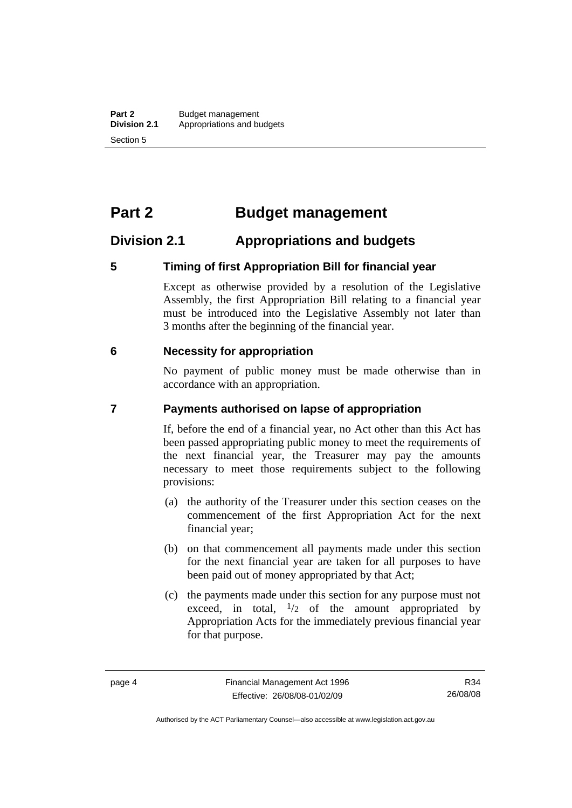# <span id="page-13-0"></span>**Part 2 Budget management**

# **Division 2.1 Appropriations and budgets**

#### **5 Timing of first Appropriation Bill for financial year**

Except as otherwise provided by a resolution of the Legislative Assembly, the first Appropriation Bill relating to a financial year must be introduced into the Legislative Assembly not later than 3 months after the beginning of the financial year.

#### **6 Necessity for appropriation**

No payment of public money must be made otherwise than in accordance with an appropriation.

#### **7 Payments authorised on lapse of appropriation**

If, before the end of a financial year, no Act other than this Act has been passed appropriating public money to meet the requirements of the next financial year, the Treasurer may pay the amounts necessary to meet those requirements subject to the following provisions:

- (a) the authority of the Treasurer under this section ceases on the commencement of the first Appropriation Act for the next financial year;
- (b) on that commencement all payments made under this section for the next financial year are taken for all purposes to have been paid out of money appropriated by that Act;
- (c) the payments made under this section for any purpose must not exceed, in total,  $\frac{1}{2}$  of the amount appropriated by Appropriation Acts for the immediately previous financial year for that purpose.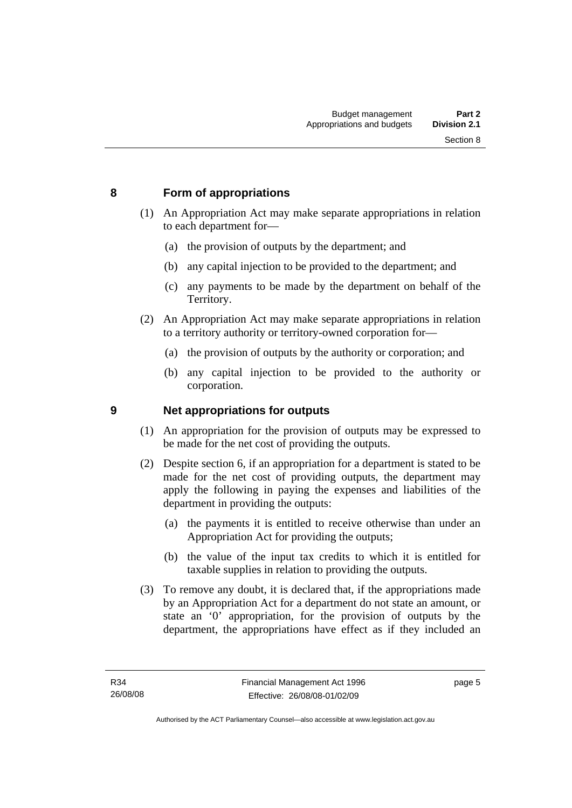# <span id="page-14-0"></span>**8 Form of appropriations**

- (1) An Appropriation Act may make separate appropriations in relation to each department for—
	- (a) the provision of outputs by the department; and
	- (b) any capital injection to be provided to the department; and
	- (c) any payments to be made by the department on behalf of the Territory.
- (2) An Appropriation Act may make separate appropriations in relation to a territory authority or territory-owned corporation for—
	- (a) the provision of outputs by the authority or corporation; and
	- (b) any capital injection to be provided to the authority or corporation.

# **9 Net appropriations for outputs**

- (1) An appropriation for the provision of outputs may be expressed to be made for the net cost of providing the outputs.
- (2) Despite section 6, if an appropriation for a department is stated to be made for the net cost of providing outputs, the department may apply the following in paying the expenses and liabilities of the department in providing the outputs:
	- (a) the payments it is entitled to receive otherwise than under an Appropriation Act for providing the outputs;
	- (b) the value of the input tax credits to which it is entitled for taxable supplies in relation to providing the outputs.
- (3) To remove any doubt, it is declared that, if the appropriations made by an Appropriation Act for a department do not state an amount, or state an '0' appropriation, for the provision of outputs by the department, the appropriations have effect as if they included an

page 5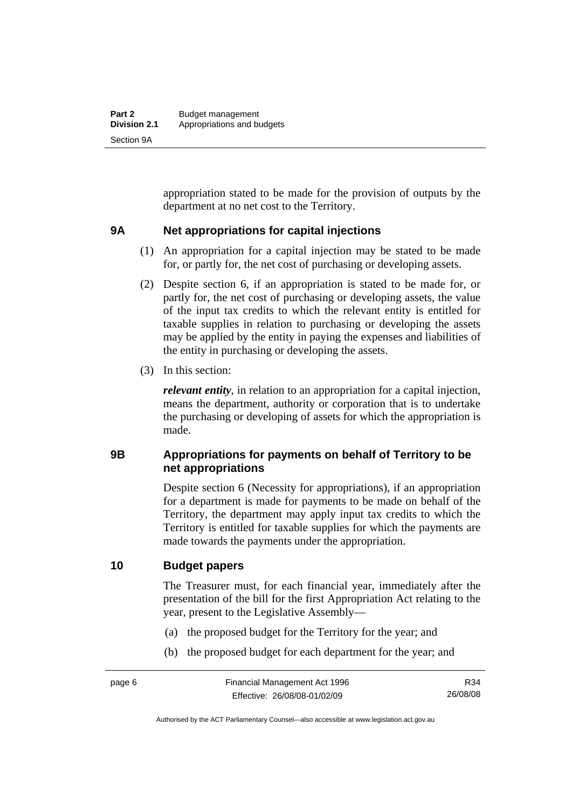<span id="page-15-0"></span>appropriation stated to be made for the provision of outputs by the department at no net cost to the Territory.

#### **9A Net appropriations for capital injections**

- (1) An appropriation for a capital injection may be stated to be made for, or partly for, the net cost of purchasing or developing assets.
- (2) Despite section 6, if an appropriation is stated to be made for, or partly for, the net cost of purchasing or developing assets, the value of the input tax credits to which the relevant entity is entitled for taxable supplies in relation to purchasing or developing the assets may be applied by the entity in paying the expenses and liabilities of the entity in purchasing or developing the assets.
- (3) In this section:

*relevant entity*, in relation to an appropriation for a capital injection, means the department, authority or corporation that is to undertake the purchasing or developing of assets for which the appropriation is made.

# **9B Appropriations for payments on behalf of Territory to be net appropriations**

Despite section 6 (Necessity for appropriations), if an appropriation for a department is made for payments to be made on behalf of the Territory, the department may apply input tax credits to which the Territory is entitled for taxable supplies for which the payments are made towards the payments under the appropriation.

# **10 Budget papers**

The Treasurer must, for each financial year, immediately after the presentation of the bill for the first Appropriation Act relating to the year, present to the Legislative Assembly—

- (a) the proposed budget for the Territory for the year; and
- (b) the proposed budget for each department for the year; and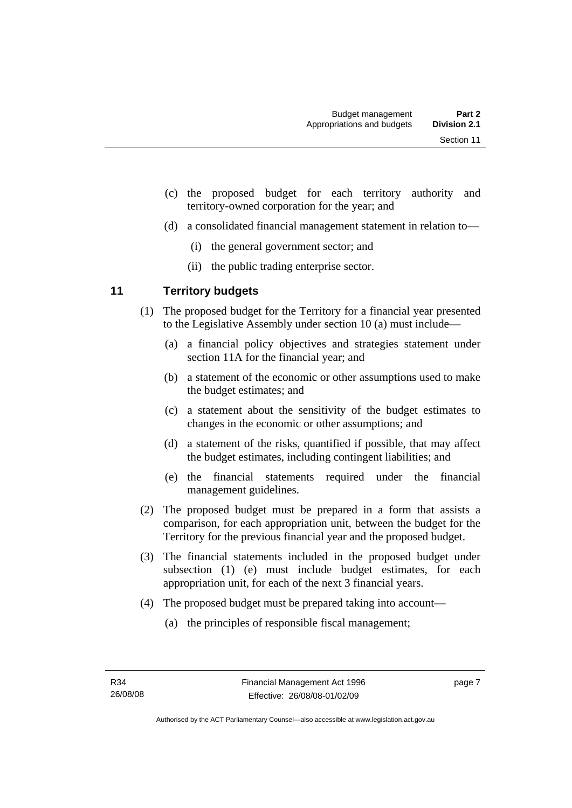- <span id="page-16-0"></span> (c) the proposed budget for each territory authority and territory-owned corporation for the year; and
- (d) a consolidated financial management statement in relation to—
	- (i) the general government sector; and
	- (ii) the public trading enterprise sector.

# **11 Territory budgets**

- (1) The proposed budget for the Territory for a financial year presented to the Legislative Assembly under section 10 (a) must include—
	- (a) a financial policy objectives and strategies statement under section 11A for the financial year; and
	- (b) a statement of the economic or other assumptions used to make the budget estimates; and
	- (c) a statement about the sensitivity of the budget estimates to changes in the economic or other assumptions; and
	- (d) a statement of the risks, quantified if possible, that may affect the budget estimates, including contingent liabilities; and
	- (e) the financial statements required under the financial management guidelines.
- (2) The proposed budget must be prepared in a form that assists a comparison, for each appropriation unit, between the budget for the Territory for the previous financial year and the proposed budget.
- (3) The financial statements included in the proposed budget under subsection (1) (e) must include budget estimates, for each appropriation unit, for each of the next 3 financial years.
- (4) The proposed budget must be prepared taking into account—
	- (a) the principles of responsible fiscal management;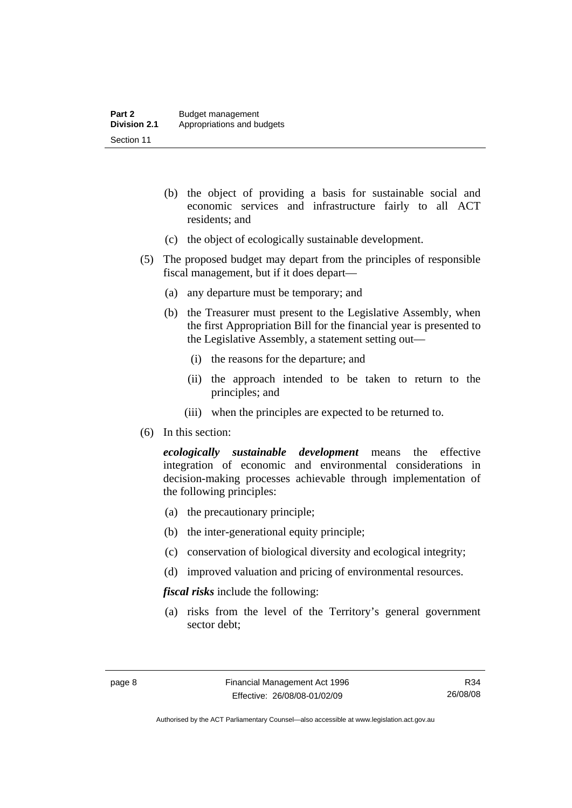- (b) the object of providing a basis for sustainable social and economic services and infrastructure fairly to all ACT residents; and
- (c) the object of ecologically sustainable development.
- (5) The proposed budget may depart from the principles of responsible fiscal management, but if it does depart—
	- (a) any departure must be temporary; and
	- (b) the Treasurer must present to the Legislative Assembly, when the first Appropriation Bill for the financial year is presented to the Legislative Assembly, a statement setting out—
		- (i) the reasons for the departure; and
		- (ii) the approach intended to be taken to return to the principles; and
		- (iii) when the principles are expected to be returned to.
- (6) In this section:

*ecologically sustainable development* means the effective integration of economic and environmental considerations in decision-making processes achievable through implementation of the following principles:

- (a) the precautionary principle;
- (b) the inter-generational equity principle;
- (c) conservation of biological diversity and ecological integrity;
- (d) improved valuation and pricing of environmental resources.

*fiscal risks* include the following:

 (a) risks from the level of the Territory's general government sector debt;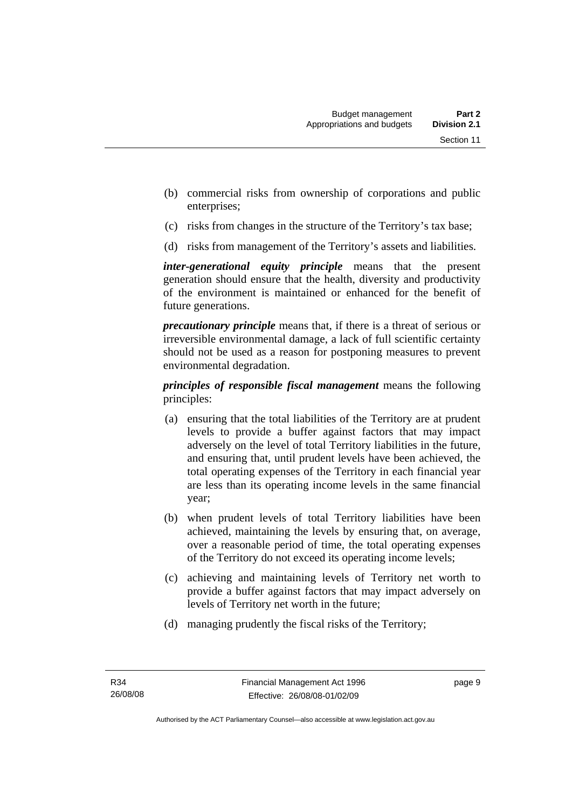- (b) commercial risks from ownership of corporations and public enterprises;
- (c) risks from changes in the structure of the Territory's tax base;
- (d) risks from management of the Territory's assets and liabilities.

*inter-generational equity principle* means that the present generation should ensure that the health, diversity and productivity of the environment is maintained or enhanced for the benefit of future generations.

*precautionary principle* means that, if there is a threat of serious or irreversible environmental damage, a lack of full scientific certainty should not be used as a reason for postponing measures to prevent environmental degradation.

*principles of responsible fiscal management* means the following principles:

- (a) ensuring that the total liabilities of the Territory are at prudent levels to provide a buffer against factors that may impact adversely on the level of total Territory liabilities in the future, and ensuring that, until prudent levels have been achieved, the total operating expenses of the Territory in each financial year are less than its operating income levels in the same financial year;
- (b) when prudent levels of total Territory liabilities have been achieved, maintaining the levels by ensuring that, on average, over a reasonable period of time, the total operating expenses of the Territory do not exceed its operating income levels;
- (c) achieving and maintaining levels of Territory net worth to provide a buffer against factors that may impact adversely on levels of Territory net worth in the future;
- (d) managing prudently the fiscal risks of the Territory;

page 9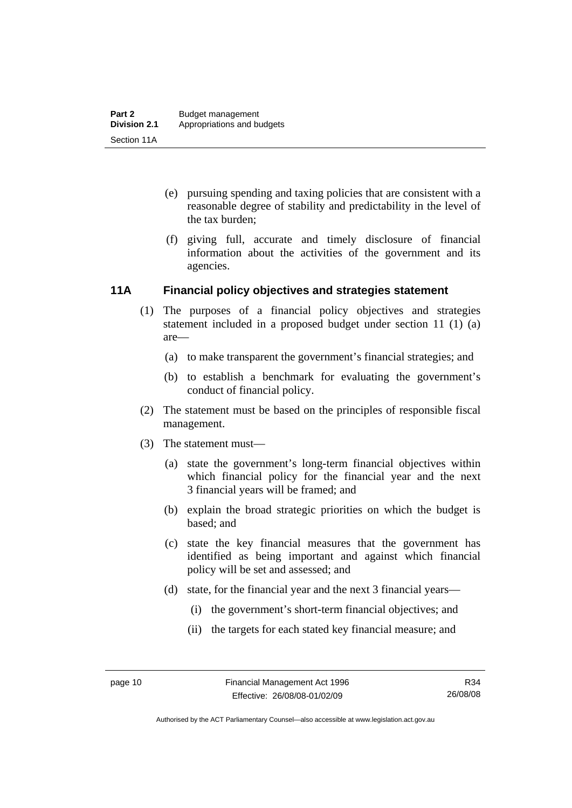- <span id="page-19-0"></span> (e) pursuing spending and taxing policies that are consistent with a reasonable degree of stability and predictability in the level of the tax burden;
- (f) giving full, accurate and timely disclosure of financial information about the activities of the government and its agencies.

#### **11A Financial policy objectives and strategies statement**

- (1) The purposes of a financial policy objectives and strategies statement included in a proposed budget under section 11 (1) (a) are—
	- (a) to make transparent the government's financial strategies; and
	- (b) to establish a benchmark for evaluating the government's conduct of financial policy.
- (2) The statement must be based on the principles of responsible fiscal management.
- (3) The statement must—
	- (a) state the government's long-term financial objectives within which financial policy for the financial year and the next 3 financial years will be framed; and
	- (b) explain the broad strategic priorities on which the budget is based; and
	- (c) state the key financial measures that the government has identified as being important and against which financial policy will be set and assessed; and
	- (d) state, for the financial year and the next 3 financial years—
		- (i) the government's short-term financial objectives; and
		- (ii) the targets for each stated key financial measure; and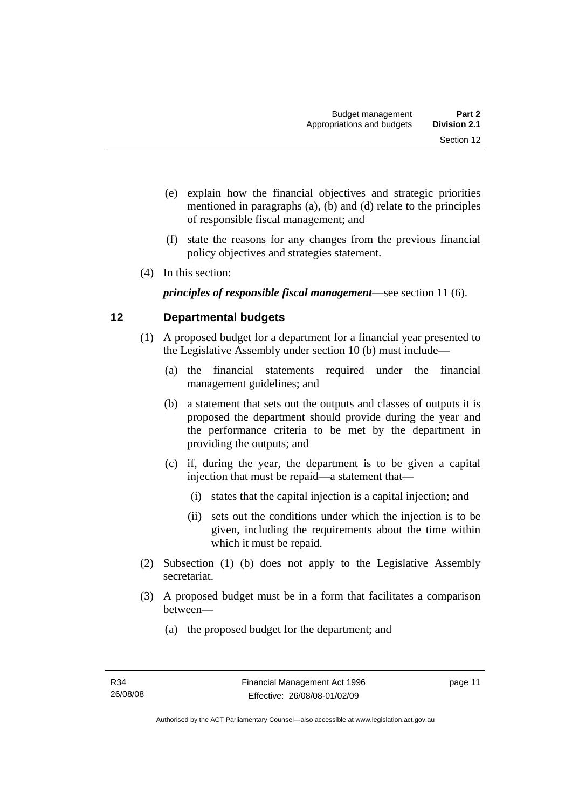- <span id="page-20-0"></span> (e) explain how the financial objectives and strategic priorities mentioned in paragraphs (a), (b) and (d) relate to the principles of responsible fiscal management; and
- (f) state the reasons for any changes from the previous financial policy objectives and strategies statement.
- (4) In this section:

*principles of responsible fiscal management*—see section 11 (6).

# **12 Departmental budgets**

- (1) A proposed budget for a department for a financial year presented to the Legislative Assembly under section 10 (b) must include—
	- (a) the financial statements required under the financial management guidelines; and
	- (b) a statement that sets out the outputs and classes of outputs it is proposed the department should provide during the year and the performance criteria to be met by the department in providing the outputs; and
	- (c) if, during the year, the department is to be given a capital injection that must be repaid—a statement that—
		- (i) states that the capital injection is a capital injection; and
		- (ii) sets out the conditions under which the injection is to be given, including the requirements about the time within which it must be repaid.
- (2) Subsection (1) (b) does not apply to the Legislative Assembly secretariat.
- (3) A proposed budget must be in a form that facilitates a comparison between—
	- (a) the proposed budget for the department; and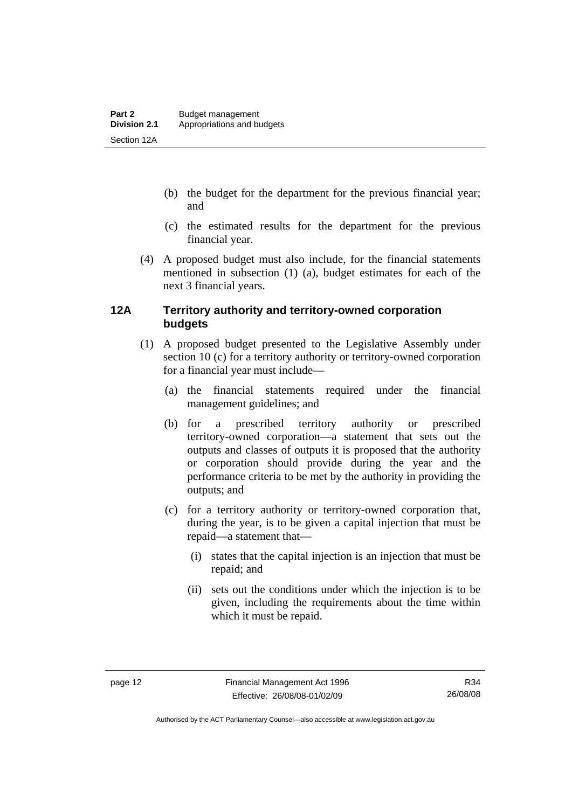- <span id="page-21-0"></span> (b) the budget for the department for the previous financial year; and
- (c) the estimated results for the department for the previous financial year.
- (4) A proposed budget must also include, for the financial statements mentioned in subsection (1) (a), budget estimates for each of the next 3 financial years.

# **12A Territory authority and territory-owned corporation budgets**

- (1) A proposed budget presented to the Legislative Assembly under section 10 (c) for a territory authority or territory-owned corporation for a financial year must include—
	- (a) the financial statements required under the financial management guidelines; and
	- (b) for a prescribed territory authority or prescribed territory-owned corporation—a statement that sets out the outputs and classes of outputs it is proposed that the authority or corporation should provide during the year and the performance criteria to be met by the authority in providing the outputs; and
	- (c) for a territory authority or territory-owned corporation that, during the year, is to be given a capital injection that must be repaid—a statement that—
		- (i) states that the capital injection is an injection that must be repaid; and
		- (ii) sets out the conditions under which the injection is to be given, including the requirements about the time within which it must be repaid.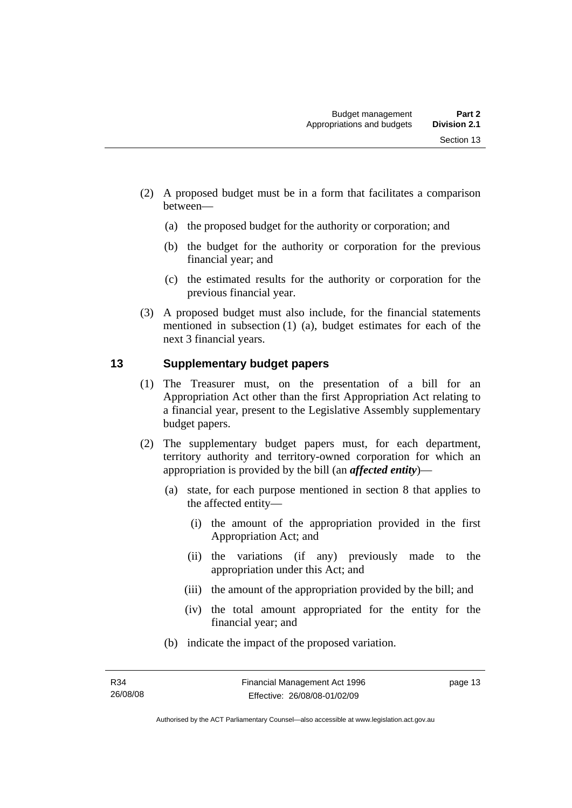- <span id="page-22-0"></span> (2) A proposed budget must be in a form that facilitates a comparison between—
	- (a) the proposed budget for the authority or corporation; and
	- (b) the budget for the authority or corporation for the previous financial year; and
	- (c) the estimated results for the authority or corporation for the previous financial year.
- (3) A proposed budget must also include, for the financial statements mentioned in subsection (1) (a), budget estimates for each of the next 3 financial years.

# **13 Supplementary budget papers**

- (1) The Treasurer must, on the presentation of a bill for an Appropriation Act other than the first Appropriation Act relating to a financial year, present to the Legislative Assembly supplementary budget papers.
- (2) The supplementary budget papers must, for each department, territory authority and territory-owned corporation for which an appropriation is provided by the bill (an *affected entity*)—
	- (a) state, for each purpose mentioned in section 8 that applies to the affected entity—
		- (i) the amount of the appropriation provided in the first Appropriation Act; and
		- (ii) the variations (if any) previously made to the appropriation under this Act; and
		- (iii) the amount of the appropriation provided by the bill; and
		- (iv) the total amount appropriated for the entity for the financial year; and
	- (b) indicate the impact of the proposed variation.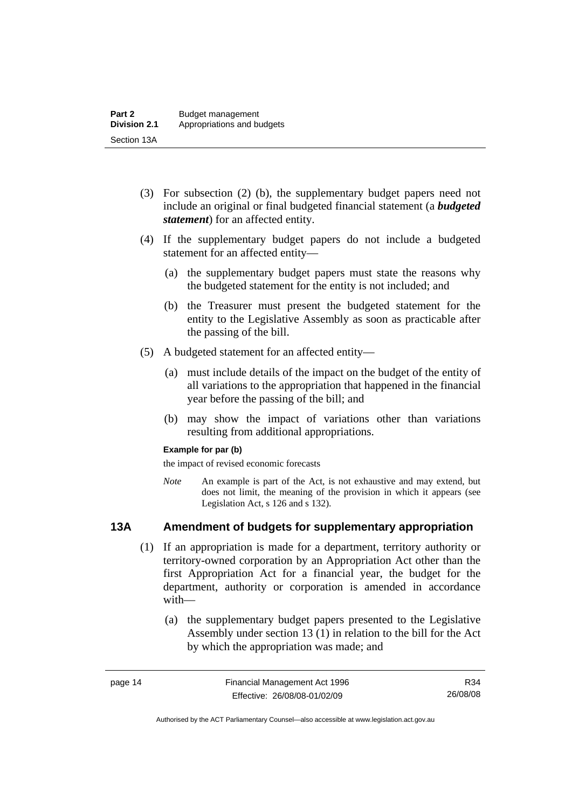- <span id="page-23-0"></span> (3) For subsection (2) (b), the supplementary budget papers need not include an original or final budgeted financial statement (a *budgeted statement*) for an affected entity.
- (4) If the supplementary budget papers do not include a budgeted statement for an affected entity—
	- (a) the supplementary budget papers must state the reasons why the budgeted statement for the entity is not included; and
	- (b) the Treasurer must present the budgeted statement for the entity to the Legislative Assembly as soon as practicable after the passing of the bill.
- (5) A budgeted statement for an affected entity—
	- (a) must include details of the impact on the budget of the entity of all variations to the appropriation that happened in the financial year before the passing of the bill; and
	- (b) may show the impact of variations other than variations resulting from additional appropriations.

#### **Example for par (b)**

the impact of revised economic forecasts

*Note* An example is part of the Act, is not exhaustive and may extend, but does not limit, the meaning of the provision in which it appears (see Legislation Act, s 126 and s 132).

# **13A Amendment of budgets for supplementary appropriation**

- (1) If an appropriation is made for a department, territory authority or territory-owned corporation by an Appropriation Act other than the first Appropriation Act for a financial year, the budget for the department, authority or corporation is amended in accordance with—
	- (a) the supplementary budget papers presented to the Legislative Assembly under section 13 (1) in relation to the bill for the Act by which the appropriation was made; and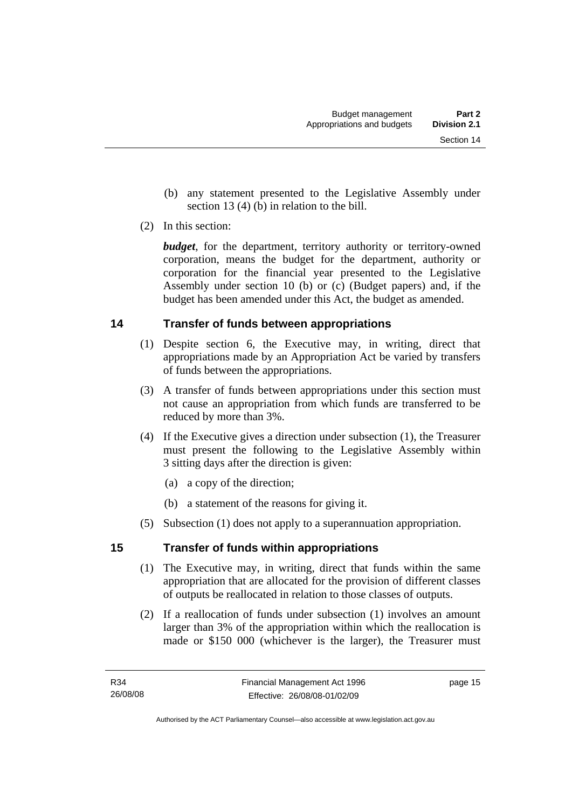- <span id="page-24-0"></span> (b) any statement presented to the Legislative Assembly under section 13 (4) (b) in relation to the bill.
- (2) In this section:

*budget*, for the department, territory authority or territory-owned corporation, means the budget for the department, authority or corporation for the financial year presented to the Legislative Assembly under section 10 (b) or (c) (Budget papers) and, if the budget has been amended under this Act, the budget as amended.

# **14 Transfer of funds between appropriations**

- (1) Despite section 6, the Executive may, in writing, direct that appropriations made by an Appropriation Act be varied by transfers of funds between the appropriations.
- (3) A transfer of funds between appropriations under this section must not cause an appropriation from which funds are transferred to be reduced by more than 3%.
- (4) If the Executive gives a direction under subsection (1), the Treasurer must present the following to the Legislative Assembly within 3 sitting days after the direction is given:
	- (a) a copy of the direction;
	- (b) a statement of the reasons for giving it.
- (5) Subsection (1) does not apply to a superannuation appropriation.

# **15 Transfer of funds within appropriations**

- (1) The Executive may, in writing, direct that funds within the same appropriation that are allocated for the provision of different classes of outputs be reallocated in relation to those classes of outputs.
- (2) If a reallocation of funds under subsection (1) involves an amount larger than 3% of the appropriation within which the reallocation is made or \$150 000 (whichever is the larger), the Treasurer must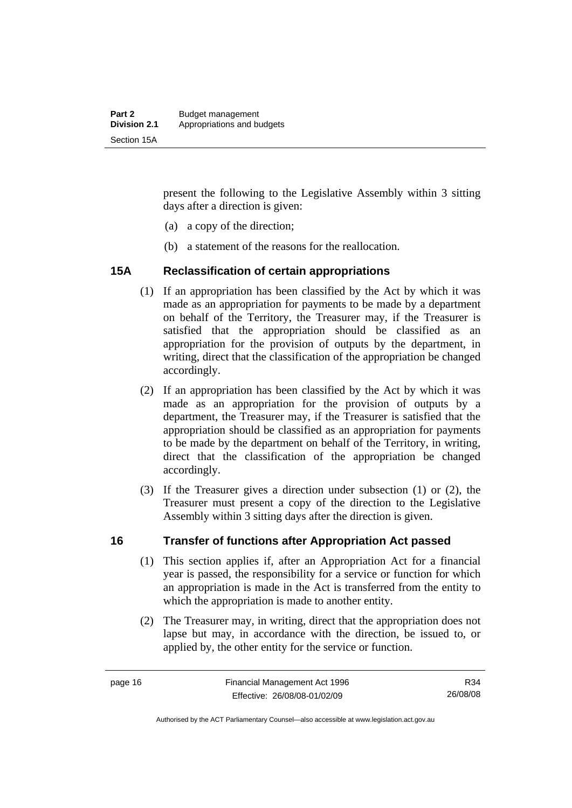<span id="page-25-0"></span>present the following to the Legislative Assembly within 3 sitting days after a direction is given:

- (a) a copy of the direction;
- (b) a statement of the reasons for the reallocation.

#### **15A Reclassification of certain appropriations**

- (1) If an appropriation has been classified by the Act by which it was made as an appropriation for payments to be made by a department on behalf of the Territory, the Treasurer may, if the Treasurer is satisfied that the appropriation should be classified as an appropriation for the provision of outputs by the department, in writing, direct that the classification of the appropriation be changed accordingly.
- (2) If an appropriation has been classified by the Act by which it was made as an appropriation for the provision of outputs by a department, the Treasurer may, if the Treasurer is satisfied that the appropriation should be classified as an appropriation for payments to be made by the department on behalf of the Territory, in writing, direct that the classification of the appropriation be changed accordingly.
- (3) If the Treasurer gives a direction under subsection (1) or (2), the Treasurer must present a copy of the direction to the Legislative Assembly within 3 sitting days after the direction is given.

#### **16 Transfer of functions after Appropriation Act passed**

- (1) This section applies if, after an Appropriation Act for a financial year is passed, the responsibility for a service or function for which an appropriation is made in the Act is transferred from the entity to which the appropriation is made to another entity.
- (2) The Treasurer may, in writing, direct that the appropriation does not lapse but may, in accordance with the direction, be issued to, or applied by, the other entity for the service or function.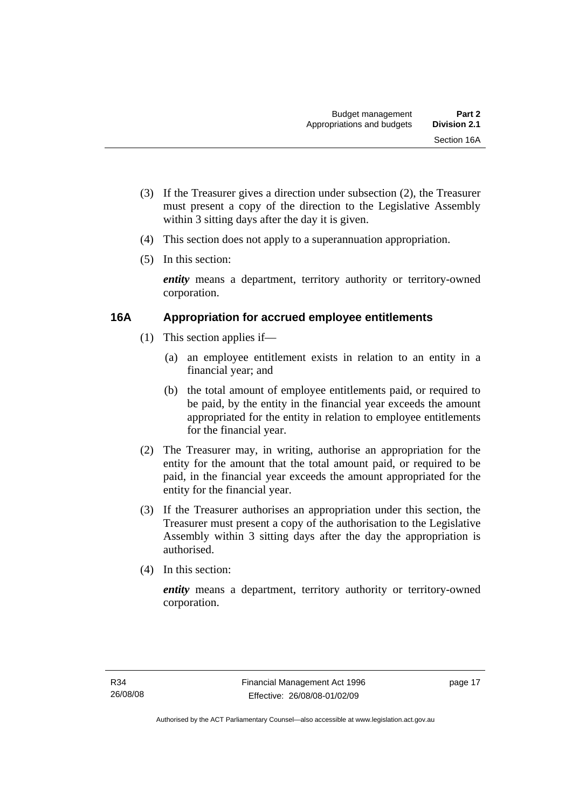- <span id="page-26-0"></span> (3) If the Treasurer gives a direction under subsection (2), the Treasurer must present a copy of the direction to the Legislative Assembly within 3 sitting days after the day it is given.
- (4) This section does not apply to a superannuation appropriation.
- (5) In this section:

*entity* means a department, territory authority or territory-owned corporation.

# **16A Appropriation for accrued employee entitlements**

- (1) This section applies if—
	- (a) an employee entitlement exists in relation to an entity in a financial year; and
	- (b) the total amount of employee entitlements paid, or required to be paid, by the entity in the financial year exceeds the amount appropriated for the entity in relation to employee entitlements for the financial year.
- (2) The Treasurer may, in writing, authorise an appropriation for the entity for the amount that the total amount paid, or required to be paid, in the financial year exceeds the amount appropriated for the entity for the financial year.
- (3) If the Treasurer authorises an appropriation under this section, the Treasurer must present a copy of the authorisation to the Legislative Assembly within 3 sitting days after the day the appropriation is authorised.
- (4) In this section:

*entity* means a department, territory authority or territory-owned corporation.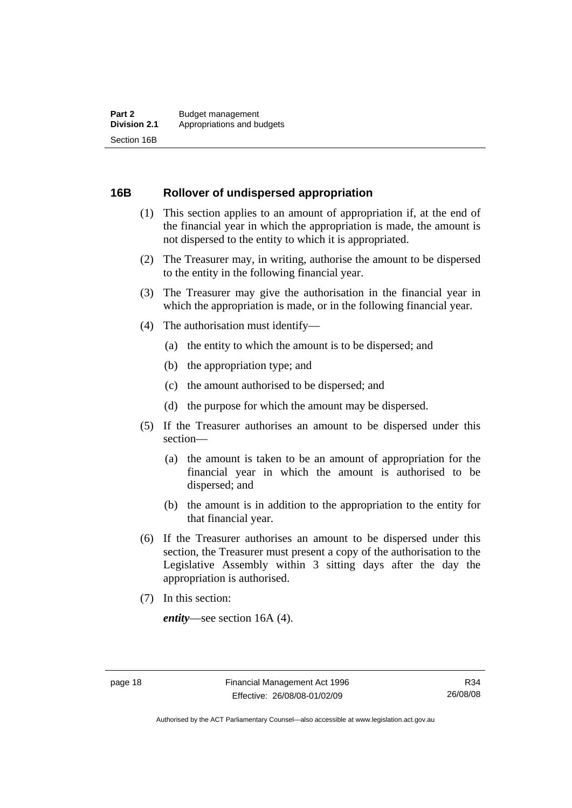#### <span id="page-27-0"></span>**16B Rollover of undispersed appropriation**

- (1) This section applies to an amount of appropriation if, at the end of the financial year in which the appropriation is made, the amount is not dispersed to the entity to which it is appropriated.
- (2) The Treasurer may, in writing, authorise the amount to be dispersed to the entity in the following financial year.
- (3) The Treasurer may give the authorisation in the financial year in which the appropriation is made, or in the following financial year.
- (4) The authorisation must identify—
	- (a) the entity to which the amount is to be dispersed; and
	- (b) the appropriation type; and
	- (c) the amount authorised to be dispersed; and
	- (d) the purpose for which the amount may be dispersed.
- (5) If the Treasurer authorises an amount to be dispersed under this section—
	- (a) the amount is taken to be an amount of appropriation for the financial year in which the amount is authorised to be dispersed; and
	- (b) the amount is in addition to the appropriation to the entity for that financial year.
- (6) If the Treasurer authorises an amount to be dispersed under this section, the Treasurer must present a copy of the authorisation to the Legislative Assembly within 3 sitting days after the day the appropriation is authorised.
- (7) In this section:

*entity*—see section 16A (4).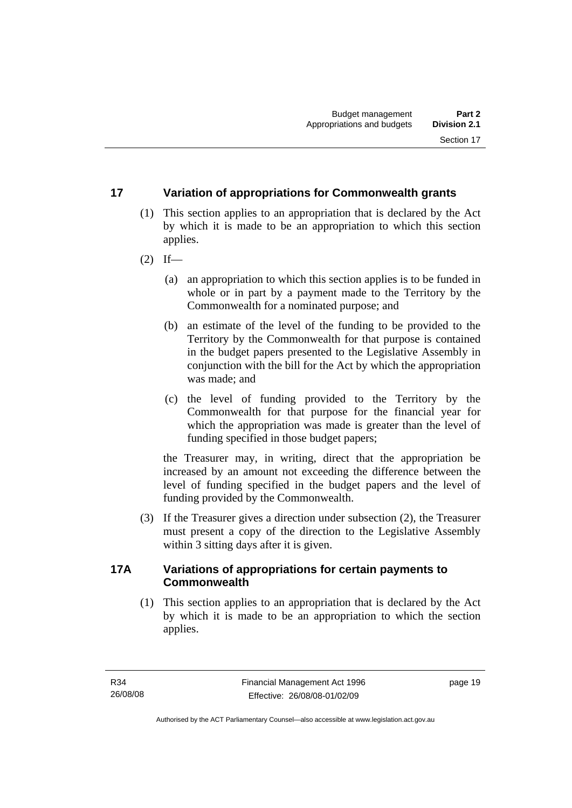# <span id="page-28-0"></span>**17 Variation of appropriations for Commonwealth grants**

- (1) This section applies to an appropriation that is declared by the Act by which it is made to be an appropriation to which this section applies.
- $(2)$  If—
	- (a) an appropriation to which this section applies is to be funded in whole or in part by a payment made to the Territory by the Commonwealth for a nominated purpose; and
	- (b) an estimate of the level of the funding to be provided to the Territory by the Commonwealth for that purpose is contained in the budget papers presented to the Legislative Assembly in conjunction with the bill for the Act by which the appropriation was made; and
	- (c) the level of funding provided to the Territory by the Commonwealth for that purpose for the financial year for which the appropriation was made is greater than the level of funding specified in those budget papers;

the Treasurer may, in writing, direct that the appropriation be increased by an amount not exceeding the difference between the level of funding specified in the budget papers and the level of funding provided by the Commonwealth.

 (3) If the Treasurer gives a direction under subsection (2), the Treasurer must present a copy of the direction to the Legislative Assembly within 3 sitting days after it is given.

# **17A Variations of appropriations for certain payments to Commonwealth**

 (1) This section applies to an appropriation that is declared by the Act by which it is made to be an appropriation to which the section applies.

page 19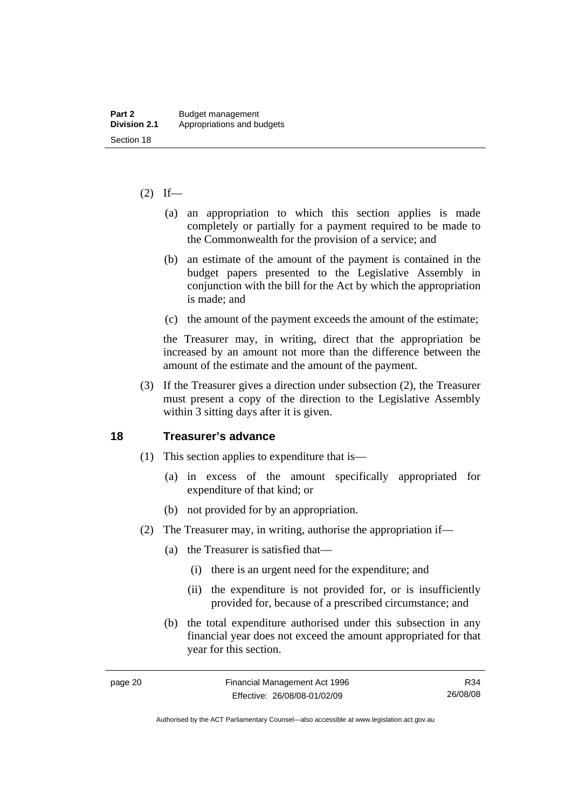#### <span id="page-29-0"></span> $(2)$  If—

- (a) an appropriation to which this section applies is made completely or partially for a payment required to be made to the Commonwealth for the provision of a service; and
- (b) an estimate of the amount of the payment is contained in the budget papers presented to the Legislative Assembly in conjunction with the bill for the Act by which the appropriation is made; and
- (c) the amount of the payment exceeds the amount of the estimate;

the Treasurer may, in writing, direct that the appropriation be increased by an amount not more than the difference between the amount of the estimate and the amount of the payment.

 (3) If the Treasurer gives a direction under subsection (2), the Treasurer must present a copy of the direction to the Legislative Assembly within 3 sitting days after it is given.

#### **18 Treasurer's advance**

- (1) This section applies to expenditure that is—
	- (a) in excess of the amount specifically appropriated for expenditure of that kind; or
	- (b) not provided for by an appropriation.
- (2) The Treasurer may, in writing, authorise the appropriation if—
	- (a) the Treasurer is satisfied that—
		- (i) there is an urgent need for the expenditure; and
		- (ii) the expenditure is not provided for, or is insufficiently provided for, because of a prescribed circumstance; and
	- (b) the total expenditure authorised under this subsection in any financial year does not exceed the amount appropriated for that year for this section.

Authorised by the ACT Parliamentary Counsel—also accessible at www.legislation.act.gov.au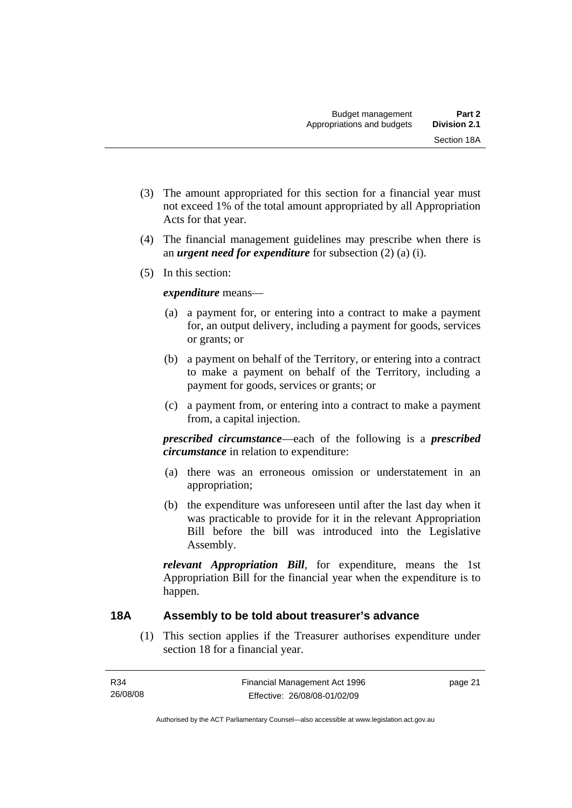- <span id="page-30-0"></span> (3) The amount appropriated for this section for a financial year must not exceed 1% of the total amount appropriated by all Appropriation Acts for that year.
- (4) The financial management guidelines may prescribe when there is an *urgent need for expenditure* for subsection (2) (a) (i).
- (5) In this section:

#### *expenditure* means—

- (a) a payment for, or entering into a contract to make a payment for, an output delivery, including a payment for goods, services or grants; or
- (b) a payment on behalf of the Territory, or entering into a contract to make a payment on behalf of the Territory, including a payment for goods, services or grants; or
- (c) a payment from, or entering into a contract to make a payment from, a capital injection.

*prescribed circumstance*—each of the following is a *prescribed circumstance* in relation to expenditure:

- (a) there was an erroneous omission or understatement in an appropriation;
- (b) the expenditure was unforeseen until after the last day when it was practicable to provide for it in the relevant Appropriation Bill before the bill was introduced into the Legislative Assembly.

*relevant Appropriation Bill*, for expenditure, means the 1st Appropriation Bill for the financial year when the expenditure is to happen.

# **18A Assembly to be told about treasurer's advance**

 (1) This section applies if the Treasurer authorises expenditure under section 18 for a financial year.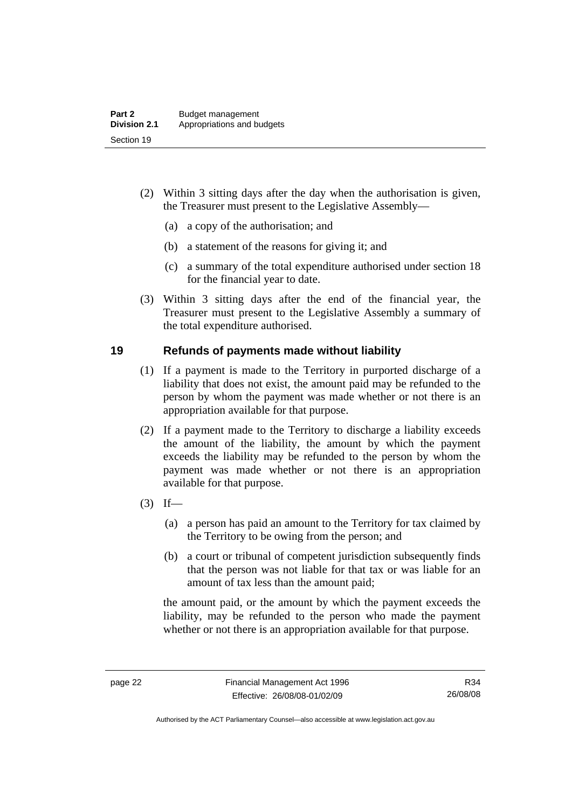- <span id="page-31-0"></span> (2) Within 3 sitting days after the day when the authorisation is given, the Treasurer must present to the Legislative Assembly—
	- (a) a copy of the authorisation; and
	- (b) a statement of the reasons for giving it; and
	- (c) a summary of the total expenditure authorised under section 18 for the financial year to date.
- (3) Within 3 sitting days after the end of the financial year, the Treasurer must present to the Legislative Assembly a summary of the total expenditure authorised.

#### **19 Refunds of payments made without liability**

- (1) If a payment is made to the Territory in purported discharge of a liability that does not exist, the amount paid may be refunded to the person by whom the payment was made whether or not there is an appropriation available for that purpose.
- (2) If a payment made to the Territory to discharge a liability exceeds the amount of the liability, the amount by which the payment exceeds the liability may be refunded to the person by whom the payment was made whether or not there is an appropriation available for that purpose.
- $(3)$  If—
	- (a) a person has paid an amount to the Territory for tax claimed by the Territory to be owing from the person; and
	- (b) a court or tribunal of competent jurisdiction subsequently finds that the person was not liable for that tax or was liable for an amount of tax less than the amount paid;

the amount paid, or the amount by which the payment exceeds the liability, may be refunded to the person who made the payment whether or not there is an appropriation available for that purpose.

Authorised by the ACT Parliamentary Counsel—also accessible at www.legislation.act.gov.au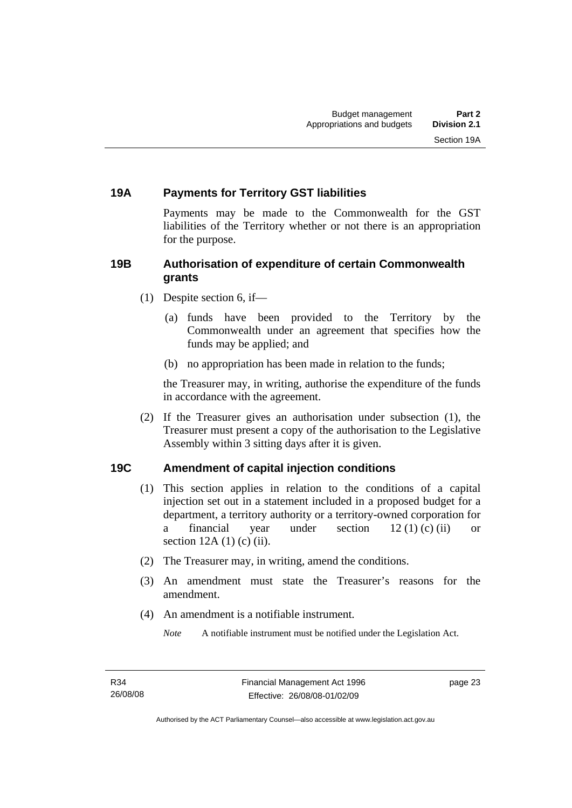#### <span id="page-32-0"></span>**19A Payments for Territory GST liabilities**

Payments may be made to the Commonwealth for the GST liabilities of the Territory whether or not there is an appropriation for the purpose.

#### **19B Authorisation of expenditure of certain Commonwealth grants**

- (1) Despite section 6, if—
	- (a) funds have been provided to the Territory by the Commonwealth under an agreement that specifies how the funds may be applied; and
	- (b) no appropriation has been made in relation to the funds;

the Treasurer may, in writing, authorise the expenditure of the funds in accordance with the agreement.

 (2) If the Treasurer gives an authorisation under subsection (1), the Treasurer must present a copy of the authorisation to the Legislative Assembly within 3 sitting days after it is given.

#### **19C Amendment of capital injection conditions**

- (1) This section applies in relation to the conditions of a capital injection set out in a statement included in a proposed budget for a department, a territory authority or a territory-owned corporation for a financial year under section  $12 (1) (c) (ii)$  or section  $12A(1)$  (c) (ii).
- (2) The Treasurer may, in writing, amend the conditions.
- (3) An amendment must state the Treasurer's reasons for the amendment.
- (4) An amendment is a notifiable instrument.

*Note* A notifiable instrument must be notified under the Legislation Act.

page 23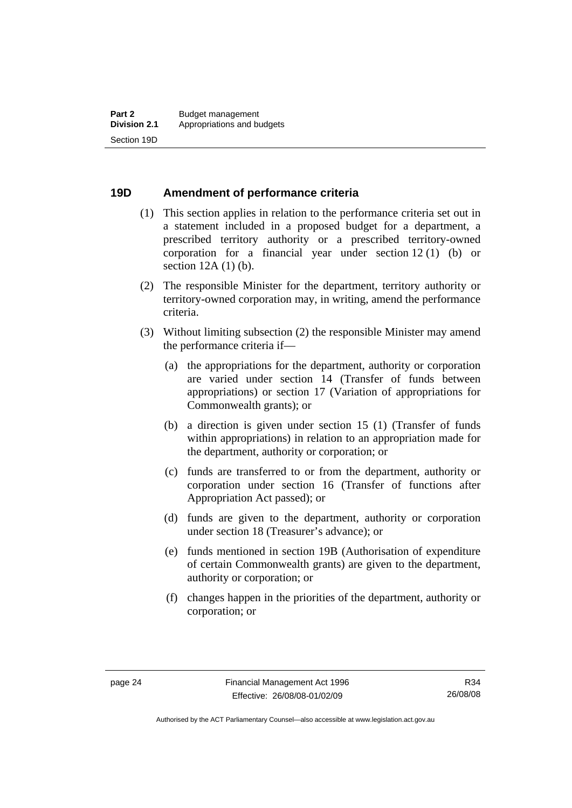# <span id="page-33-0"></span>**19D Amendment of performance criteria**

- (1) This section applies in relation to the performance criteria set out in a statement included in a proposed budget for a department, a prescribed territory authority or a prescribed territory-owned corporation for a financial year under section 12 (1) (b) or section 12A (1) (b).
- (2) The responsible Minister for the department, territory authority or territory-owned corporation may, in writing, amend the performance criteria.
- (3) Without limiting subsection (2) the responsible Minister may amend the performance criteria if—
	- (a) the appropriations for the department, authority or corporation are varied under section 14 (Transfer of funds between appropriations) or section 17 (Variation of appropriations for Commonwealth grants); or
	- (b) a direction is given under section 15 (1) (Transfer of funds within appropriations) in relation to an appropriation made for the department, authority or corporation; or
	- (c) funds are transferred to or from the department, authority or corporation under section 16 (Transfer of functions after Appropriation Act passed); or
	- (d) funds are given to the department, authority or corporation under section 18 (Treasurer's advance); or
	- (e) funds mentioned in section 19B (Authorisation of expenditure of certain Commonwealth grants) are given to the department, authority or corporation; or
	- (f) changes happen in the priorities of the department, authority or corporation; or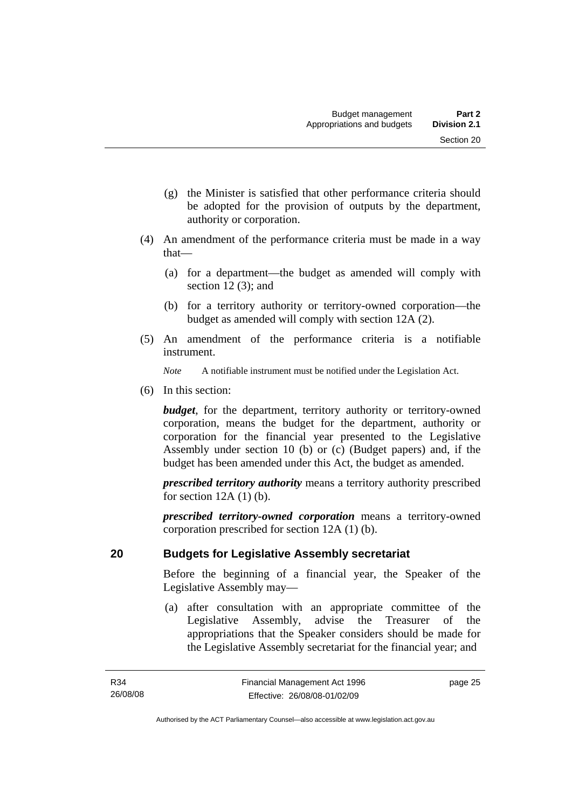- <span id="page-34-0"></span> (g) the Minister is satisfied that other performance criteria should be adopted for the provision of outputs by the department, authority or corporation.
- (4) An amendment of the performance criteria must be made in a way that—
	- (a) for a department—the budget as amended will comply with section 12 (3); and
	- (b) for a territory authority or territory-owned corporation—the budget as amended will comply with section 12A (2).
- (5) An amendment of the performance criteria is a notifiable instrument.

*Note* A notifiable instrument must be notified under the Legislation Act.

(6) In this section:

*budget*, for the department, territory authority or territory-owned corporation, means the budget for the department, authority or corporation for the financial year presented to the Legislative Assembly under section 10 (b) or (c) (Budget papers) and, if the budget has been amended under this Act, the budget as amended.

*prescribed territory authority* means a territory authority prescribed for section  $12A(1)$  (b).

*prescribed territory-owned corporation* means a territory-owned corporation prescribed for section 12A (1) (b).

# **20 Budgets for Legislative Assembly secretariat**

Before the beginning of a financial year, the Speaker of the Legislative Assembly may—

 (a) after consultation with an appropriate committee of the Legislative Assembly, advise the Treasurer of the appropriations that the Speaker considers should be made for the Legislative Assembly secretariat for the financial year; and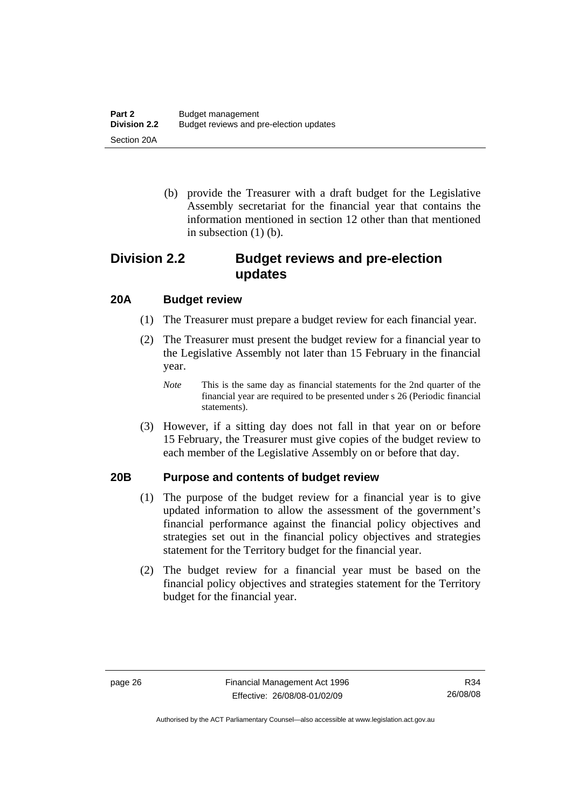<span id="page-35-0"></span> (b) provide the Treasurer with a draft budget for the Legislative Assembly secretariat for the financial year that contains the information mentioned in section 12 other than that mentioned in subsection  $(1)$  (b).

# **Division 2.2 Budget reviews and pre-election updates**

# **20A Budget review**

- (1) The Treasurer must prepare a budget review for each financial year.
- (2) The Treasurer must present the budget review for a financial year to the Legislative Assembly not later than 15 February in the financial year.
	- *Note* This is the same day as financial statements for the 2nd quarter of the financial year are required to be presented under s 26 (Periodic financial statements).
- (3) However, if a sitting day does not fall in that year on or before 15 February, the Treasurer must give copies of the budget review to each member of the Legislative Assembly on or before that day.

# **20B Purpose and contents of budget review**

- (1) The purpose of the budget review for a financial year is to give updated information to allow the assessment of the government's financial performance against the financial policy objectives and strategies set out in the financial policy objectives and strategies statement for the Territory budget for the financial year.
- (2) The budget review for a financial year must be based on the financial policy objectives and strategies statement for the Territory budget for the financial year.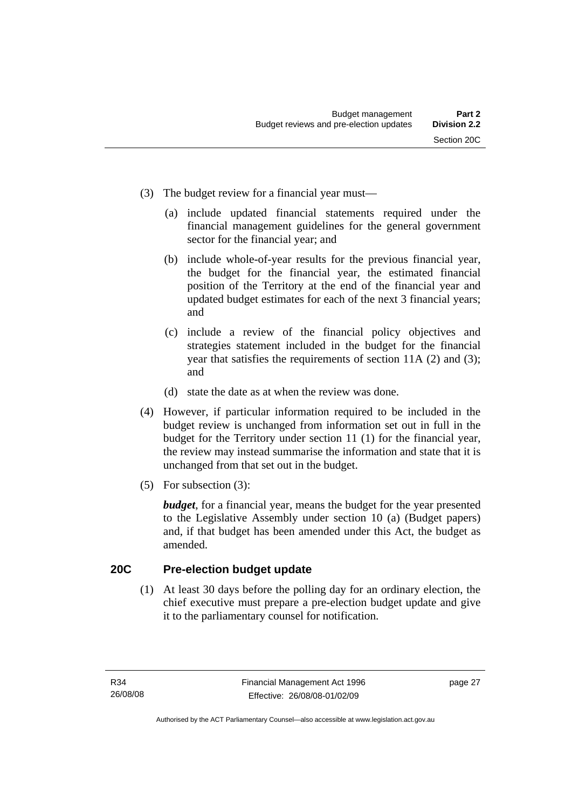- (3) The budget review for a financial year must—
	- (a) include updated financial statements required under the financial management guidelines for the general government sector for the financial year; and
	- (b) include whole-of-year results for the previous financial year, the budget for the financial year, the estimated financial position of the Territory at the end of the financial year and updated budget estimates for each of the next 3 financial years; and
	- (c) include a review of the financial policy objectives and strategies statement included in the budget for the financial year that satisfies the requirements of section 11A (2) and (3); and
	- (d) state the date as at when the review was done.
- (4) However, if particular information required to be included in the budget review is unchanged from information set out in full in the budget for the Territory under section 11 (1) for the financial year, the review may instead summarise the information and state that it is unchanged from that set out in the budget.
- (5) For subsection (3):

*budget*, for a financial year, means the budget for the year presented to the Legislative Assembly under section 10 (a) (Budget papers) and, if that budget has been amended under this Act, the budget as amended.

#### **20C Pre-election budget update**

 (1) At least 30 days before the polling day for an ordinary election, the chief executive must prepare a pre-election budget update and give it to the parliamentary counsel for notification.

page 27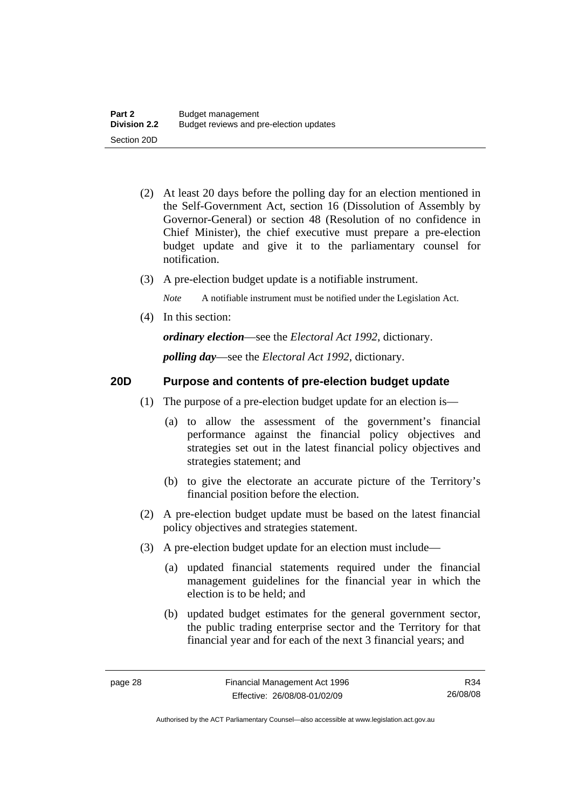- (2) At least 20 days before the polling day for an election mentioned in the Self-Government Act, section 16 (Dissolution of Assembly by Governor-General) or section 48 (Resolution of no confidence in Chief Minister), the chief executive must prepare a pre-election budget update and give it to the parliamentary counsel for notification.
- (3) A pre-election budget update is a notifiable instrument.

*Note* A notifiable instrument must be notified under the Legislation Act.

(4) In this section:

*ordinary election*—see the *Electoral Act 1992*, dictionary.

*polling day*—see the *Electoral Act 1992*, dictionary.

### **20D Purpose and contents of pre-election budget update**

- (1) The purpose of a pre-election budget update for an election is—
	- (a) to allow the assessment of the government's financial performance against the financial policy objectives and strategies set out in the latest financial policy objectives and strategies statement; and
	- (b) to give the electorate an accurate picture of the Territory's financial position before the election.
- (2) A pre-election budget update must be based on the latest financial policy objectives and strategies statement.
- (3) A pre-election budget update for an election must include—
	- (a) updated financial statements required under the financial management guidelines for the financial year in which the election is to be held; and
	- (b) updated budget estimates for the general government sector, the public trading enterprise sector and the Territory for that financial year and for each of the next 3 financial years; and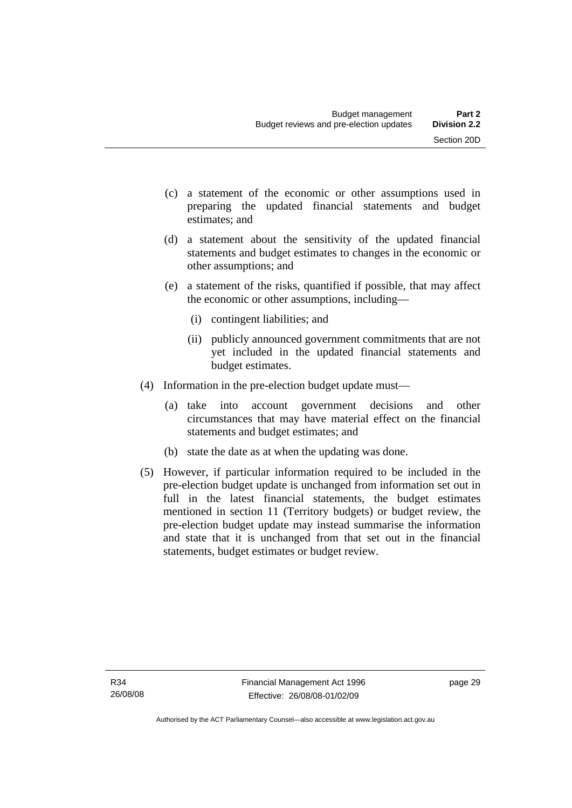- (c) a statement of the economic or other assumptions used in preparing the updated financial statements and budget estimates; and
- (d) a statement about the sensitivity of the updated financial statements and budget estimates to changes in the economic or other assumptions; and
- (e) a statement of the risks, quantified if possible, that may affect the economic or other assumptions, including—
	- (i) contingent liabilities; and
	- (ii) publicly announced government commitments that are not yet included in the updated financial statements and budget estimates.
- (4) Information in the pre-election budget update must—
	- (a) take into account government decisions and other circumstances that may have material effect on the financial statements and budget estimates; and
	- (b) state the date as at when the updating was done.
- (5) However, if particular information required to be included in the pre-election budget update is unchanged from information set out in full in the latest financial statements, the budget estimates mentioned in section 11 (Territory budgets) or budget review, the pre-election budget update may instead summarise the information and state that it is unchanged from that set out in the financial statements, budget estimates or budget review.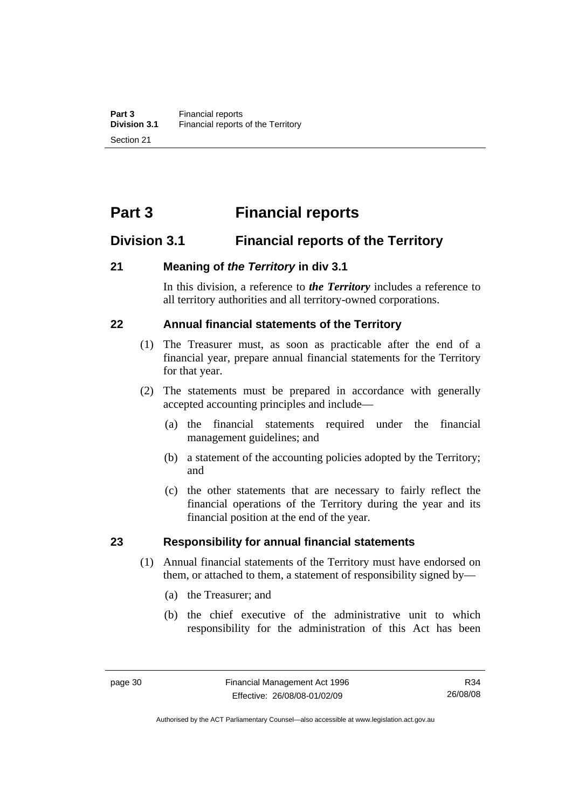# **Part 3 Financial reports**

# **Division 3.1 Financial reports of the Territory**

### **21 Meaning of** *the Territory* **in div 3.1**

In this division, a reference to *the Territory* includes a reference to all territory authorities and all territory-owned corporations.

# **22 Annual financial statements of the Territory**

- (1) The Treasurer must, as soon as practicable after the end of a financial year, prepare annual financial statements for the Territory for that year.
- (2) The statements must be prepared in accordance with generally accepted accounting principles and include—
	- (a) the financial statements required under the financial management guidelines; and
	- (b) a statement of the accounting policies adopted by the Territory; and
	- (c) the other statements that are necessary to fairly reflect the financial operations of the Territory during the year and its financial position at the end of the year.

#### **23 Responsibility for annual financial statements**

- (1) Annual financial statements of the Territory must have endorsed on them, or attached to them, a statement of responsibility signed by—
	- (a) the Treasurer; and
	- (b) the chief executive of the administrative unit to which responsibility for the administration of this Act has been

R34 26/08/08

Authorised by the ACT Parliamentary Counsel—also accessible at www.legislation.act.gov.au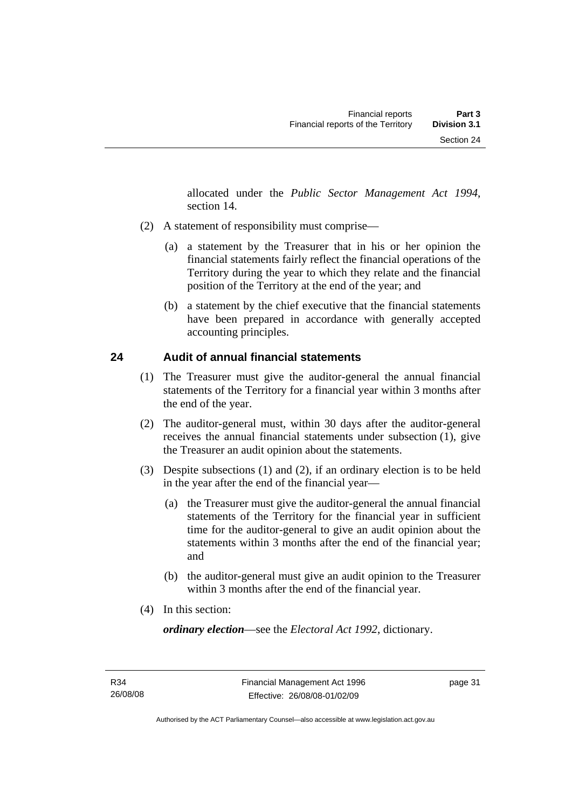allocated under the *Public Sector Management Act 1994*, section 14.

- (2) A statement of responsibility must comprise—
	- (a) a statement by the Treasurer that in his or her opinion the financial statements fairly reflect the financial operations of the Territory during the year to which they relate and the financial position of the Territory at the end of the year; and
	- (b) a statement by the chief executive that the financial statements have been prepared in accordance with generally accepted accounting principles.

# **24 Audit of annual financial statements**

- (1) The Treasurer must give the auditor-general the annual financial statements of the Territory for a financial year within 3 months after the end of the year.
- (2) The auditor-general must, within 30 days after the auditor-general receives the annual financial statements under subsection (1), give the Treasurer an audit opinion about the statements.
- (3) Despite subsections (1) and (2), if an ordinary election is to be held in the year after the end of the financial year—
	- (a) the Treasurer must give the auditor-general the annual financial statements of the Territory for the financial year in sufficient time for the auditor-general to give an audit opinion about the statements within 3 months after the end of the financial year; and
	- (b) the auditor-general must give an audit opinion to the Treasurer within 3 months after the end of the financial year.
- (4) In this section:

*ordinary election*—see the *Electoral Act 1992*, dictionary.

page 31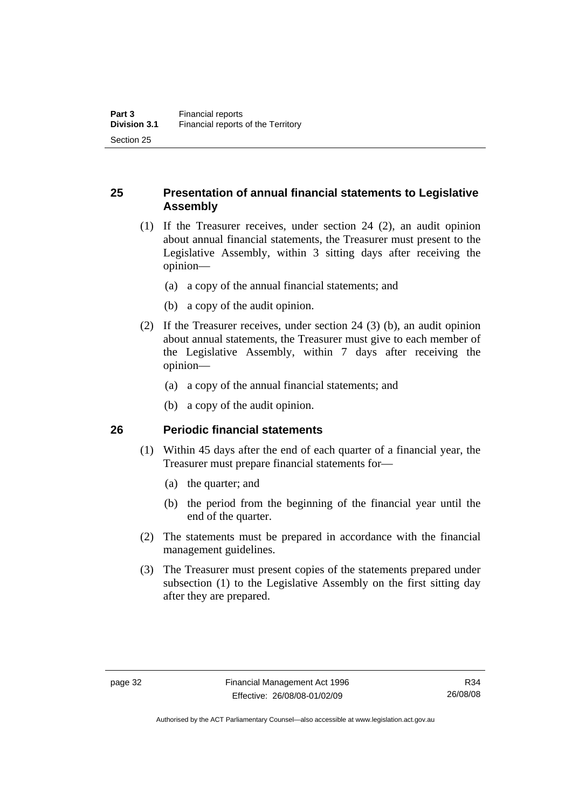# **25 Presentation of annual financial statements to Legislative Assembly**

- (1) If the Treasurer receives, under section 24 (2), an audit opinion about annual financial statements, the Treasurer must present to the Legislative Assembly, within 3 sitting days after receiving the opinion—
	- (a) a copy of the annual financial statements; and
	- (b) a copy of the audit opinion.
- (2) If the Treasurer receives, under section 24 (3) (b), an audit opinion about annual statements, the Treasurer must give to each member of the Legislative Assembly, within 7 days after receiving the opinion—
	- (a) a copy of the annual financial statements; and
	- (b) a copy of the audit opinion.

#### **26 Periodic financial statements**

- (1) Within 45 days after the end of each quarter of a financial year, the Treasurer must prepare financial statements for—
	- (a) the quarter; and
	- (b) the period from the beginning of the financial year until the end of the quarter.
- (2) The statements must be prepared in accordance with the financial management guidelines.
- (3) The Treasurer must present copies of the statements prepared under subsection (1) to the Legislative Assembly on the first sitting day after they are prepared.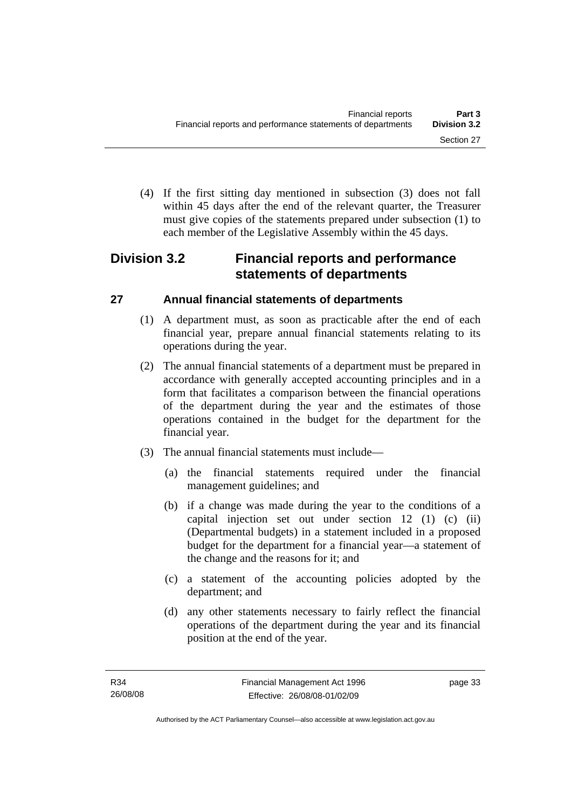(4) If the first sitting day mentioned in subsection (3) does not fall within 45 days after the end of the relevant quarter, the Treasurer must give copies of the statements prepared under subsection (1) to each member of the Legislative Assembly within the 45 days.

# **Division 3.2 Financial reports and performance statements of departments**

# **27 Annual financial statements of departments**

- (1) A department must, as soon as practicable after the end of each financial year, prepare annual financial statements relating to its operations during the year.
- (2) The annual financial statements of a department must be prepared in accordance with generally accepted accounting principles and in a form that facilitates a comparison between the financial operations of the department during the year and the estimates of those operations contained in the budget for the department for the financial year.
- (3) The annual financial statements must include—
	- (a) the financial statements required under the financial management guidelines; and
	- (b) if a change was made during the year to the conditions of a capital injection set out under section 12 (1) (c) (ii) (Departmental budgets) in a statement included in a proposed budget for the department for a financial year—a statement of the change and the reasons for it; and
	- (c) a statement of the accounting policies adopted by the department; and
	- (d) any other statements necessary to fairly reflect the financial operations of the department during the year and its financial position at the end of the year.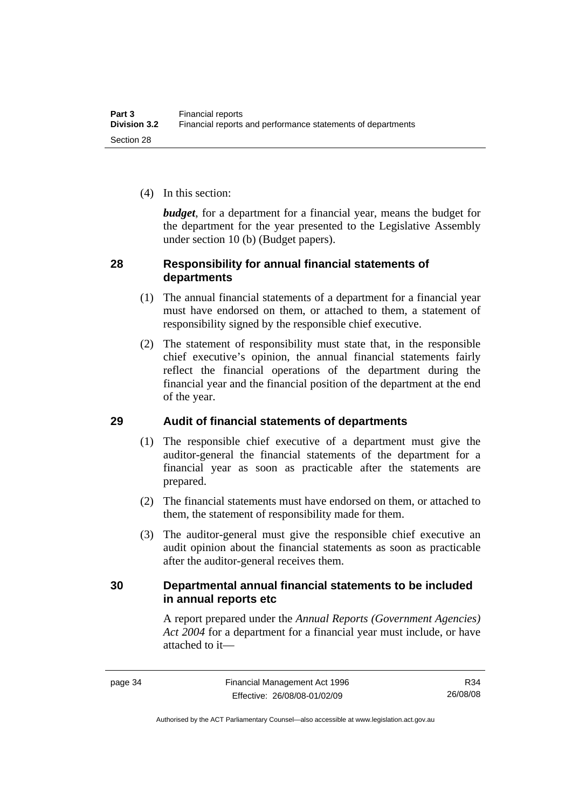(4) In this section:

*budget*, for a department for a financial year, means the budget for the department for the year presented to the Legislative Assembly under section 10 (b) (Budget papers).

## **28 Responsibility for annual financial statements of departments**

- (1) The annual financial statements of a department for a financial year must have endorsed on them, or attached to them, a statement of responsibility signed by the responsible chief executive.
- (2) The statement of responsibility must state that, in the responsible chief executive's opinion, the annual financial statements fairly reflect the financial operations of the department during the financial year and the financial position of the department at the end of the year.

# **29 Audit of financial statements of departments**

- (1) The responsible chief executive of a department must give the auditor-general the financial statements of the department for a financial year as soon as practicable after the statements are prepared.
- (2) The financial statements must have endorsed on them, or attached to them, the statement of responsibility made for them.
- (3) The auditor-general must give the responsible chief executive an audit opinion about the financial statements as soon as practicable after the auditor-general receives them.

# **30 Departmental annual financial statements to be included in annual reports etc**

A report prepared under the *Annual Reports (Government Agencies) Act 2004* for a department for a financial year must include, or have attached to it—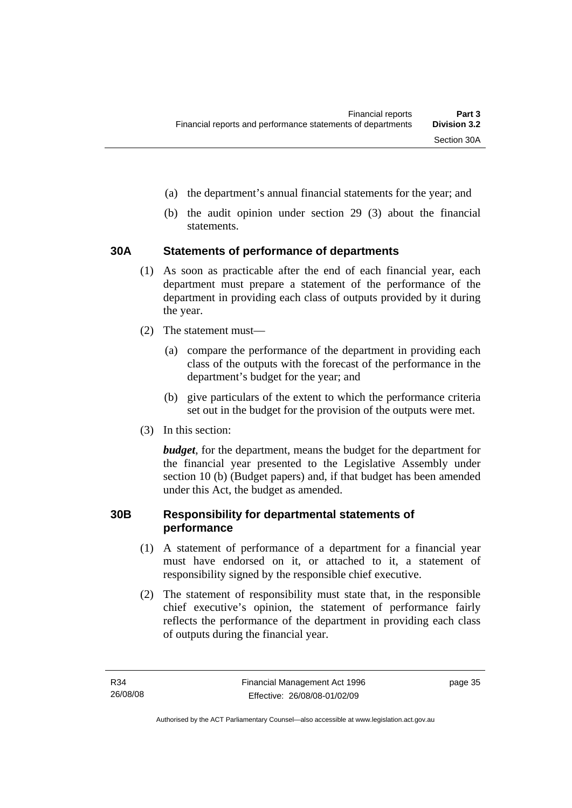- (a) the department's annual financial statements for the year; and
- (b) the audit opinion under section 29 (3) about the financial statements.

# **30A Statements of performance of departments**

- (1) As soon as practicable after the end of each financial year, each department must prepare a statement of the performance of the department in providing each class of outputs provided by it during the year.
- (2) The statement must—
	- (a) compare the performance of the department in providing each class of the outputs with the forecast of the performance in the department's budget for the year; and
	- (b) give particulars of the extent to which the performance criteria set out in the budget for the provision of the outputs were met.
- (3) In this section:

*budget*, for the department, means the budget for the department for the financial year presented to the Legislative Assembly under section 10 (b) (Budget papers) and, if that budget has been amended under this Act, the budget as amended.

### **30B Responsibility for departmental statements of performance**

- (1) A statement of performance of a department for a financial year must have endorsed on it, or attached to it, a statement of responsibility signed by the responsible chief executive.
- (2) The statement of responsibility must state that, in the responsible chief executive's opinion, the statement of performance fairly reflects the performance of the department in providing each class of outputs during the financial year.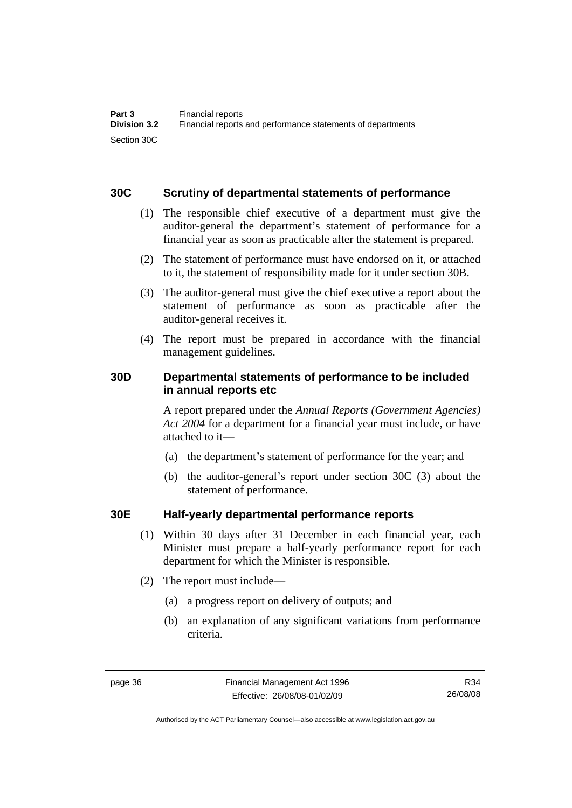## **30C Scrutiny of departmental statements of performance**

- (1) The responsible chief executive of a department must give the auditor-general the department's statement of performance for a financial year as soon as practicable after the statement is prepared.
- (2) The statement of performance must have endorsed on it, or attached to it, the statement of responsibility made for it under section 30B.
- (3) The auditor-general must give the chief executive a report about the statement of performance as soon as practicable after the auditor-general receives it.
- (4) The report must be prepared in accordance with the financial management guidelines.

# **30D Departmental statements of performance to be included in annual reports etc**

A report prepared under the *Annual Reports (Government Agencies) Act 2004* for a department for a financial year must include, or have attached to it—

- (a) the department's statement of performance for the year; and
- (b) the auditor-general's report under section 30C (3) about the statement of performance.

# **30E Half-yearly departmental performance reports**

- (1) Within 30 days after 31 December in each financial year, each Minister must prepare a half-yearly performance report for each department for which the Minister is responsible.
- (2) The report must include—
	- (a) a progress report on delivery of outputs; and
	- (b) an explanation of any significant variations from performance criteria.

R34 26/08/08

Authorised by the ACT Parliamentary Counsel—also accessible at www.legislation.act.gov.au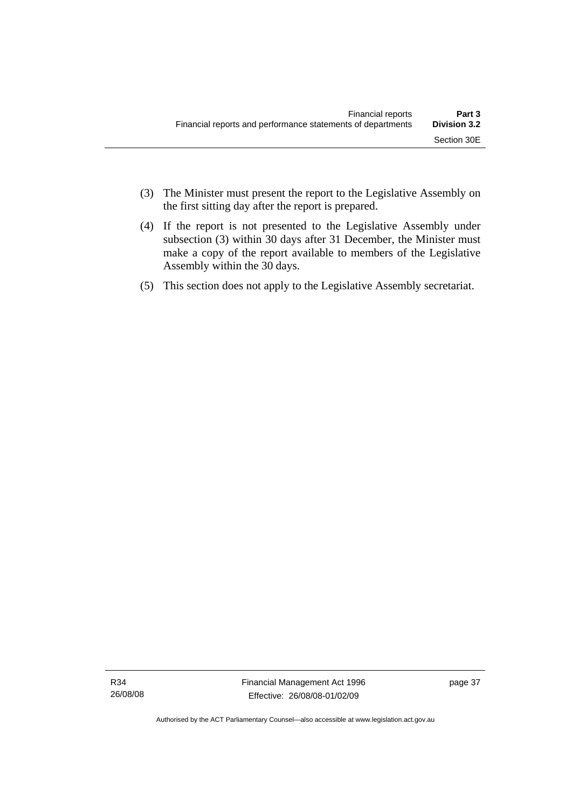- (3) The Minister must present the report to the Legislative Assembly on the first sitting day after the report is prepared.
- (4) If the report is not presented to the Legislative Assembly under subsection (3) within 30 days after 31 December, the Minister must make a copy of the report available to members of the Legislative Assembly within the 30 days.
- (5) This section does not apply to the Legislative Assembly secretariat.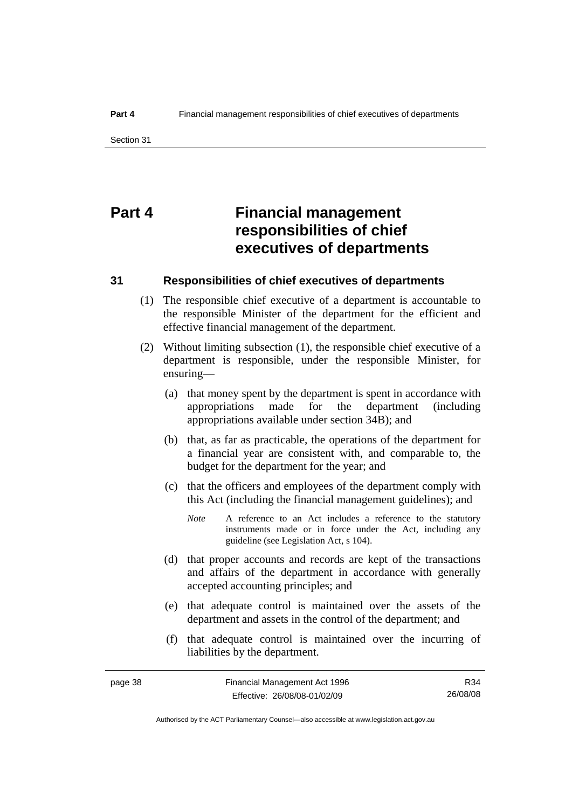# **Part 4 Financial management responsibilities of chief executives of departments**

#### **31 Responsibilities of chief executives of departments**

- (1) The responsible chief executive of a department is accountable to the responsible Minister of the department for the efficient and effective financial management of the department.
- (2) Without limiting subsection (1), the responsible chief executive of a department is responsible, under the responsible Minister, for ensuring—
	- (a) that money spent by the department is spent in accordance with appropriations made for the department (including appropriations available under section 34B); and
	- (b) that, as far as practicable, the operations of the department for a financial year are consistent with, and comparable to, the budget for the department for the year; and
	- (c) that the officers and employees of the department comply with this Act (including the financial management guidelines); and
		- *Note* A reference to an Act includes a reference to the statutory instruments made or in force under the Act, including any guideline (see Legislation Act, s 104).
	- (d) that proper accounts and records are kept of the transactions and affairs of the department in accordance with generally accepted accounting principles; and
	- (e) that adequate control is maintained over the assets of the department and assets in the control of the department; and
	- (f) that adequate control is maintained over the incurring of liabilities by the department.

Authorised by the ACT Parliamentary Counsel—also accessible at www.legislation.act.gov.au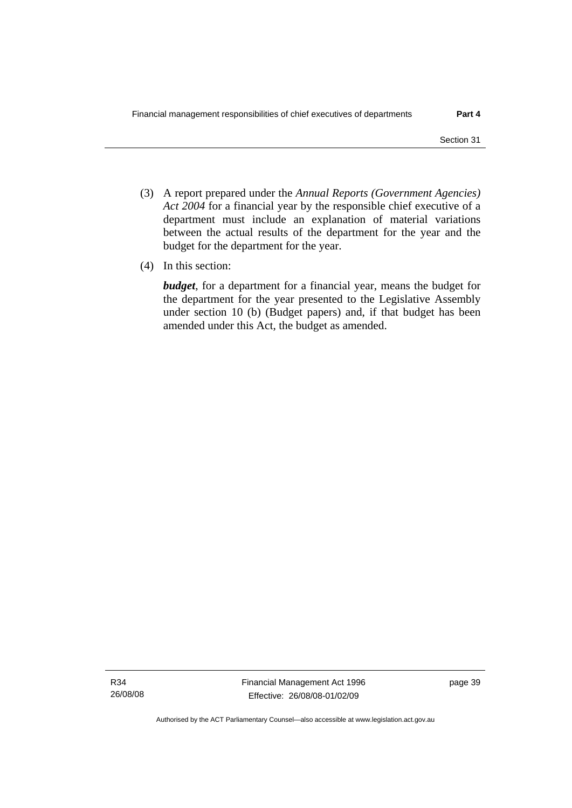- (3) A report prepared under the *Annual Reports (Government Agencies) Act 2004* for a financial year by the responsible chief executive of a department must include an explanation of material variations between the actual results of the department for the year and the budget for the department for the year.
- (4) In this section:

*budget*, for a department for a financial year, means the budget for the department for the year presented to the Legislative Assembly under section 10 (b) (Budget papers) and, if that budget has been amended under this Act, the budget as amended.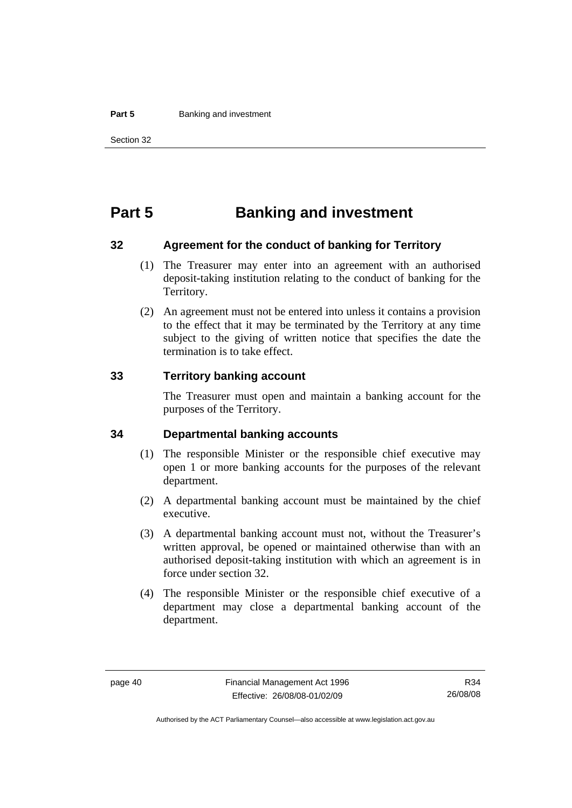#### **Part 5 Banking and investment**

# **Part 5 Banking and investment**

#### **32 Agreement for the conduct of banking for Territory**

- (1) The Treasurer may enter into an agreement with an authorised deposit-taking institution relating to the conduct of banking for the Territory.
- (2) An agreement must not be entered into unless it contains a provision to the effect that it may be terminated by the Territory at any time subject to the giving of written notice that specifies the date the termination is to take effect.

#### **33 Territory banking account**

The Treasurer must open and maintain a banking account for the purposes of the Territory.

#### **34 Departmental banking accounts**

- (1) The responsible Minister or the responsible chief executive may open 1 or more banking accounts for the purposes of the relevant department.
- (2) A departmental banking account must be maintained by the chief executive.
- (3) A departmental banking account must not, without the Treasurer's written approval, be opened or maintained otherwise than with an authorised deposit-taking institution with which an agreement is in force under section 32.
- (4) The responsible Minister or the responsible chief executive of a department may close a departmental banking account of the department.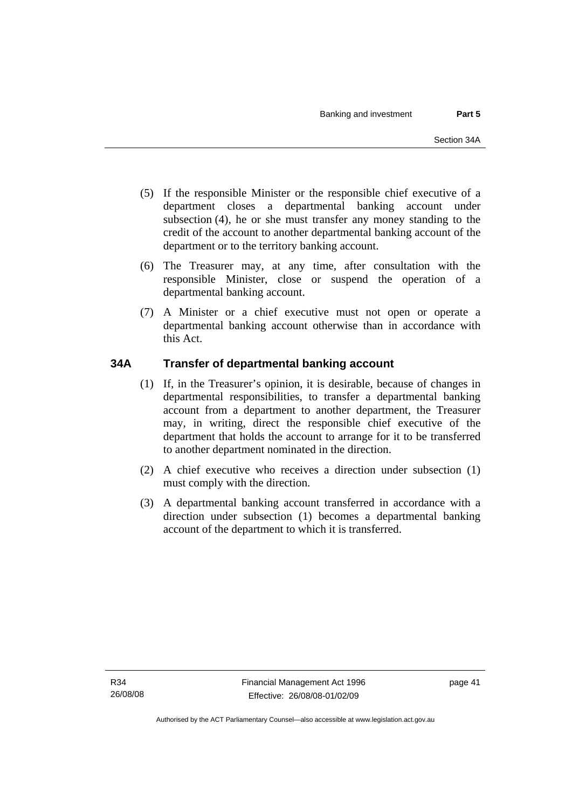- (5) If the responsible Minister or the responsible chief executive of a department closes a departmental banking account under subsection (4), he or she must transfer any money standing to the credit of the account to another departmental banking account of the department or to the territory banking account.
- (6) The Treasurer may, at any time, after consultation with the responsible Minister, close or suspend the operation of a departmental banking account.
- (7) A Minister or a chief executive must not open or operate a departmental banking account otherwise than in accordance with this Act.

# **34A Transfer of departmental banking account**

- (1) If, in the Treasurer's opinion, it is desirable, because of changes in departmental responsibilities, to transfer a departmental banking account from a department to another department, the Treasurer may, in writing, direct the responsible chief executive of the department that holds the account to arrange for it to be transferred to another department nominated in the direction.
- (2) A chief executive who receives a direction under subsection (1) must comply with the direction.
- (3) A departmental banking account transferred in accordance with a direction under subsection (1) becomes a departmental banking account of the department to which it is transferred.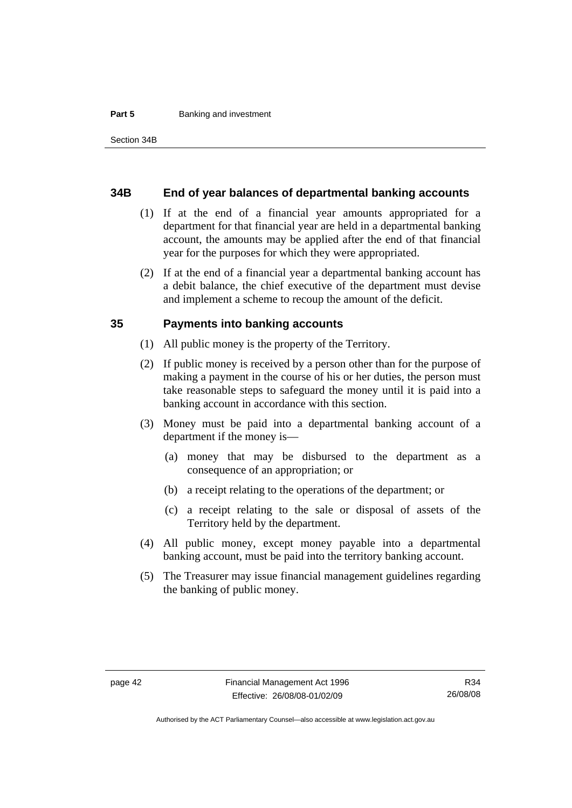#### **Part 5 Banking and investment**

#### **34B End of year balances of departmental banking accounts**

- (1) If at the end of a financial year amounts appropriated for a department for that financial year are held in a departmental banking account, the amounts may be applied after the end of that financial year for the purposes for which they were appropriated.
- (2) If at the end of a financial year a departmental banking account has a debit balance, the chief executive of the department must devise and implement a scheme to recoup the amount of the deficit.

#### **35 Payments into banking accounts**

- (1) All public money is the property of the Territory.
- (2) If public money is received by a person other than for the purpose of making a payment in the course of his or her duties, the person must take reasonable steps to safeguard the money until it is paid into a banking account in accordance with this section.
- (3) Money must be paid into a departmental banking account of a department if the money is—
	- (a) money that may be disbursed to the department as a consequence of an appropriation; or
	- (b) a receipt relating to the operations of the department; or
	- (c) a receipt relating to the sale or disposal of assets of the Territory held by the department.
- (4) All public money, except money payable into a departmental banking account, must be paid into the territory banking account.
- (5) The Treasurer may issue financial management guidelines regarding the banking of public money.

Authorised by the ACT Parliamentary Counsel—also accessible at www.legislation.act.gov.au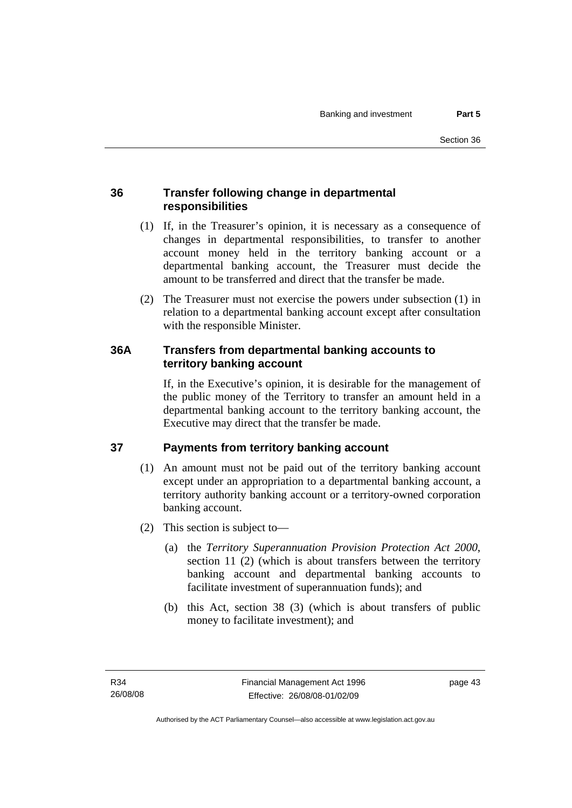# **36 Transfer following change in departmental responsibilities**

- (1) If, in the Treasurer's opinion, it is necessary as a consequence of changes in departmental responsibilities, to transfer to another account money held in the territory banking account or a departmental banking account, the Treasurer must decide the amount to be transferred and direct that the transfer be made.
- (2) The Treasurer must not exercise the powers under subsection (1) in relation to a departmental banking account except after consultation with the responsible Minister.

# **36A Transfers from departmental banking accounts to territory banking account**

If, in the Executive's opinion, it is desirable for the management of the public money of the Territory to transfer an amount held in a departmental banking account to the territory banking account, the Executive may direct that the transfer be made.

# **37 Payments from territory banking account**

- (1) An amount must not be paid out of the territory banking account except under an appropriation to a departmental banking account, a territory authority banking account or a territory-owned corporation banking account.
- (2) This section is subject to—
	- (a) the *Territory Superannuation Provision Protection Act 2000*, section 11 (2) (which is about transfers between the territory banking account and departmental banking accounts to facilitate investment of superannuation funds); and
	- (b) this Act, section 38 (3) (which is about transfers of public money to facilitate investment); and

page 43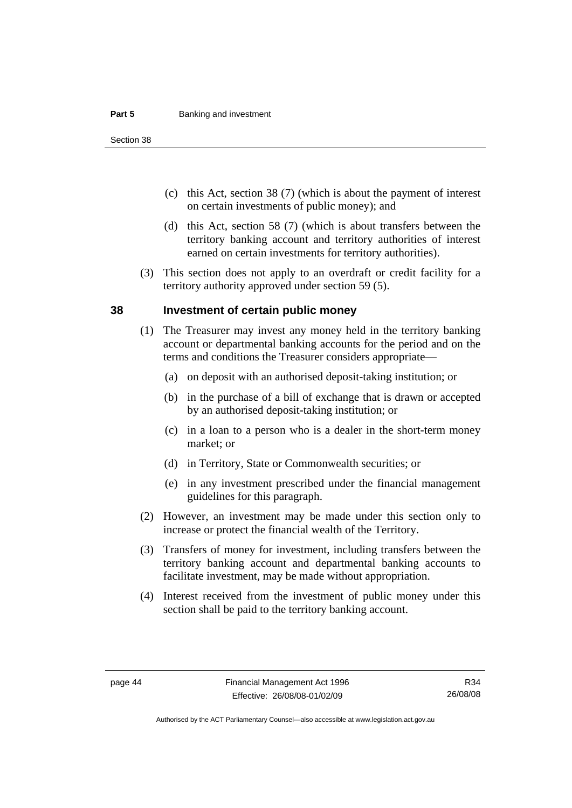#### **Part 5 Banking and investment**

Section 38

- (c) this Act, section 38 (7) (which is about the payment of interest on certain investments of public money); and
- (d) this Act, section 58 (7) (which is about transfers between the territory banking account and territory authorities of interest earned on certain investments for territory authorities).
- (3) This section does not apply to an overdraft or credit facility for a territory authority approved under section 59 (5).

#### **38 Investment of certain public money**

- (1) The Treasurer may invest any money held in the territory banking account or departmental banking accounts for the period and on the terms and conditions the Treasurer considers appropriate—
	- (a) on deposit with an authorised deposit-taking institution; or
	- (b) in the purchase of a bill of exchange that is drawn or accepted by an authorised deposit-taking institution; or
	- (c) in a loan to a person who is a dealer in the short-term money market; or
	- (d) in Territory, State or Commonwealth securities; or
	- (e) in any investment prescribed under the financial management guidelines for this paragraph.
- (2) However, an investment may be made under this section only to increase or protect the financial wealth of the Territory.
- (3) Transfers of money for investment, including transfers between the territory banking account and departmental banking accounts to facilitate investment, may be made without appropriation.
- (4) Interest received from the investment of public money under this section shall be paid to the territory banking account.

Authorised by the ACT Parliamentary Counsel—also accessible at www.legislation.act.gov.au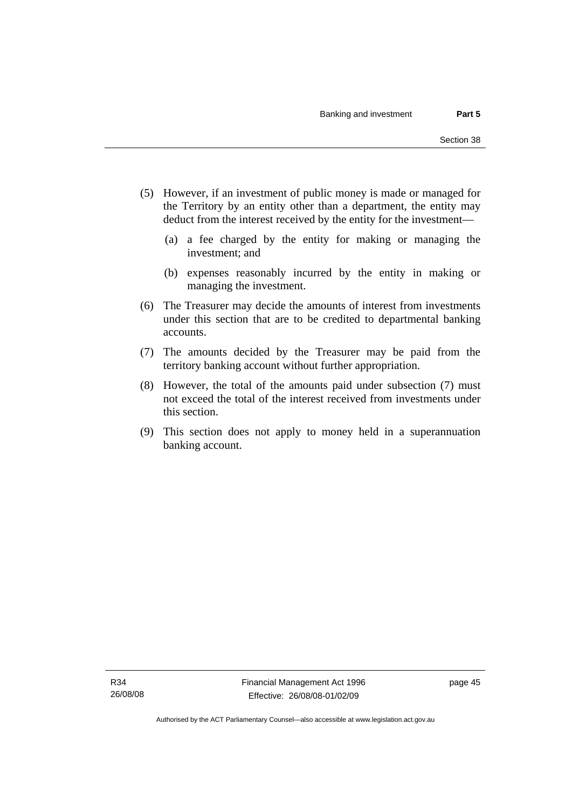- (5) However, if an investment of public money is made or managed for the Territory by an entity other than a department, the entity may deduct from the interest received by the entity for the investment—
	- (a) a fee charged by the entity for making or managing the investment; and
	- (b) expenses reasonably incurred by the entity in making or managing the investment.
- (6) The Treasurer may decide the amounts of interest from investments under this section that are to be credited to departmental banking accounts.
- (7) The amounts decided by the Treasurer may be paid from the territory banking account without further appropriation.
- (8) However, the total of the amounts paid under subsection (7) must not exceed the total of the interest received from investments under this section.
- (9) This section does not apply to money held in a superannuation banking account.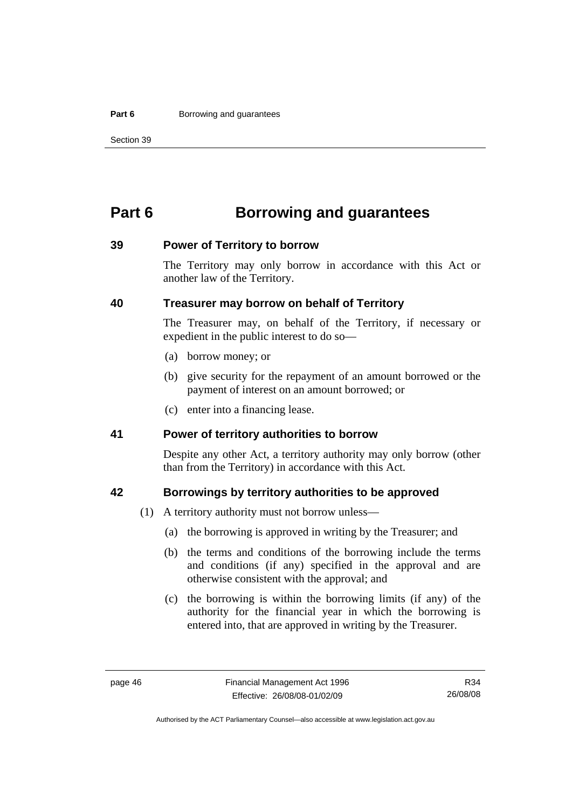#### **Part 6 Borrowing and guarantees**

Section 39

# **Part 6 Borrowing and guarantees**

#### **39 Power of Territory to borrow**

The Territory may only borrow in accordance with this Act or another law of the Territory.

### **40 Treasurer may borrow on behalf of Territory**

The Treasurer may, on behalf of the Territory, if necessary or expedient in the public interest to do so—

- (a) borrow money; or
- (b) give security for the repayment of an amount borrowed or the payment of interest on an amount borrowed; or
- (c) enter into a financing lease.

#### **41 Power of territory authorities to borrow**

Despite any other Act, a territory authority may only borrow (other than from the Territory) in accordance with this Act.

#### **42 Borrowings by territory authorities to be approved**

- (1) A territory authority must not borrow unless—
	- (a) the borrowing is approved in writing by the Treasurer; and
	- (b) the terms and conditions of the borrowing include the terms and conditions (if any) specified in the approval and are otherwise consistent with the approval; and
	- (c) the borrowing is within the borrowing limits (if any) of the authority for the financial year in which the borrowing is entered into, that are approved in writing by the Treasurer.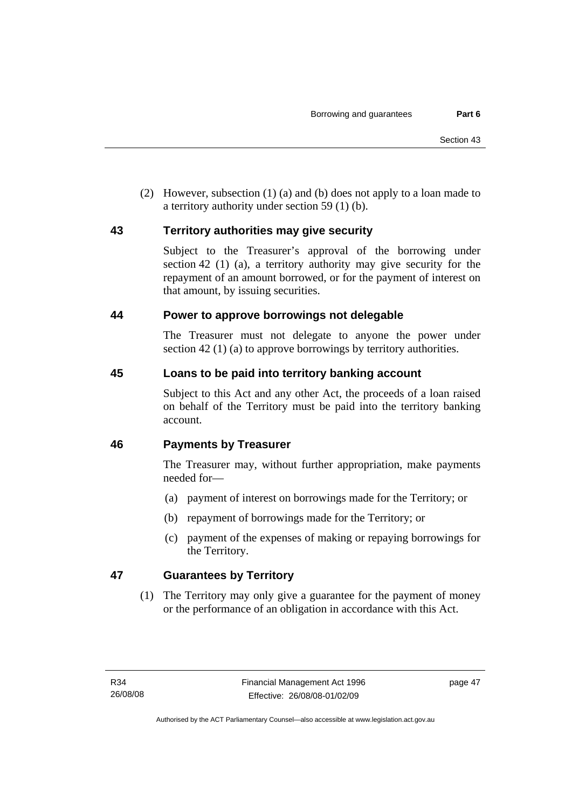(2) However, subsection (1) (a) and (b) does not apply to a loan made to a territory authority under section 59 (1) (b).

### **43 Territory authorities may give security**

Subject to the Treasurer's approval of the borrowing under section 42 (1) (a), a territory authority may give security for the repayment of an amount borrowed, or for the payment of interest on that amount, by issuing securities.

### **44 Power to approve borrowings not delegable**

The Treasurer must not delegate to anyone the power under section 42 (1) (a) to approve borrowings by territory authorities.

# **45 Loans to be paid into territory banking account**

Subject to this Act and any other Act, the proceeds of a loan raised on behalf of the Territory must be paid into the territory banking account.

# **46 Payments by Treasurer**

The Treasurer may, without further appropriation, make payments needed for—

- (a) payment of interest on borrowings made for the Territory; or
- (b) repayment of borrowings made for the Territory; or
- (c) payment of the expenses of making or repaying borrowings for the Territory.

# **47 Guarantees by Territory**

 (1) The Territory may only give a guarantee for the payment of money or the performance of an obligation in accordance with this Act.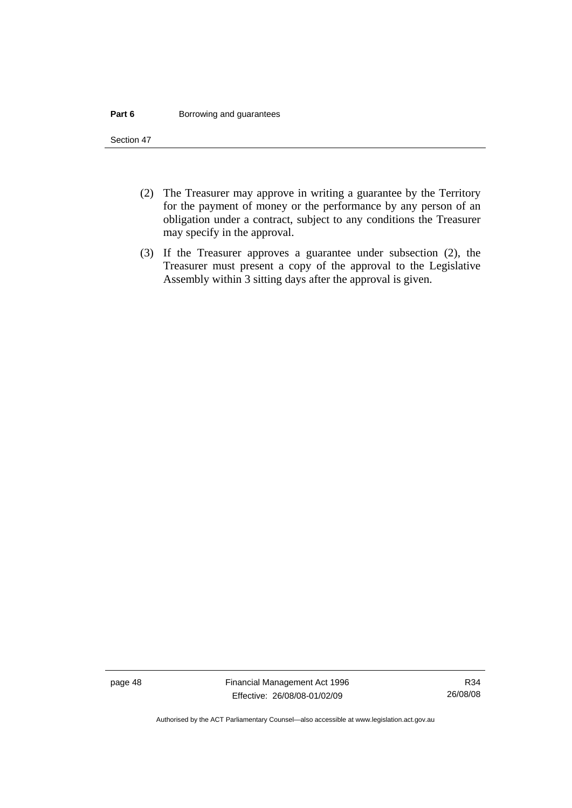#### **Part 6 Borrowing and guarantees**

Section 47

- (2) The Treasurer may approve in writing a guarantee by the Territory for the payment of money or the performance by any person of an obligation under a contract, subject to any conditions the Treasurer may specify in the approval.
- (3) If the Treasurer approves a guarantee under subsection (2), the Treasurer must present a copy of the approval to the Legislative Assembly within 3 sitting days after the approval is given.

page 48 Financial Management Act 1996 Effective: 26/08/08-01/02/09

Authorised by the ACT Parliamentary Counsel—also accessible at www.legislation.act.gov.au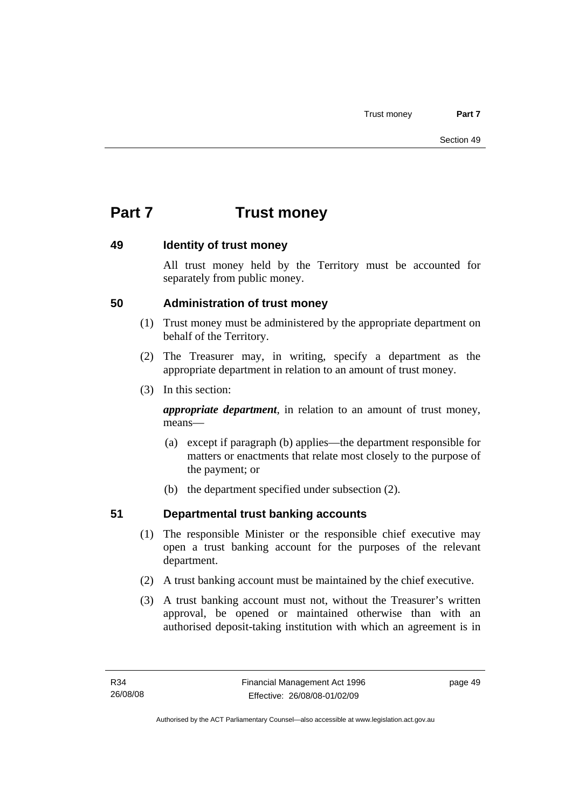# **Part 7 Trust money**

### **49 Identity of trust money**

All trust money held by the Territory must be accounted for separately from public money.

# **50 Administration of trust money**

- (1) Trust money must be administered by the appropriate department on behalf of the Territory.
- (2) The Treasurer may, in writing, specify a department as the appropriate department in relation to an amount of trust money.
- (3) In this section:

*appropriate department*, in relation to an amount of trust money, means—

- (a) except if paragraph (b) applies—the department responsible for matters or enactments that relate most closely to the purpose of the payment; or
- (b) the department specified under subsection (2).

# **51 Departmental trust banking accounts**

- (1) The responsible Minister or the responsible chief executive may open a trust banking account for the purposes of the relevant department.
- (2) A trust banking account must be maintained by the chief executive.
- (3) A trust banking account must not, without the Treasurer's written approval, be opened or maintained otherwise than with an authorised deposit-taking institution with which an agreement is in

page 49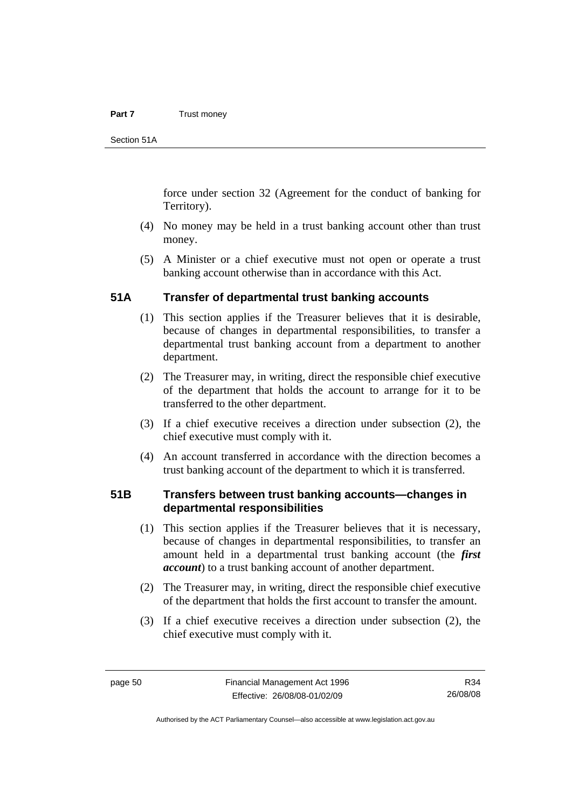#### **Part 7** Trust money

Section 51A

force under section 32 (Agreement for the conduct of banking for Territory).

- (4) No money may be held in a trust banking account other than trust money.
- (5) A Minister or a chief executive must not open or operate a trust banking account otherwise than in accordance with this Act.

#### **51A Transfer of departmental trust banking accounts**

- (1) This section applies if the Treasurer believes that it is desirable, because of changes in departmental responsibilities, to transfer a departmental trust banking account from a department to another department.
- (2) The Treasurer may, in writing, direct the responsible chief executive of the department that holds the account to arrange for it to be transferred to the other department.
- (3) If a chief executive receives a direction under subsection (2), the chief executive must comply with it.
- (4) An account transferred in accordance with the direction becomes a trust banking account of the department to which it is transferred.

#### **51B Transfers between trust banking accounts—changes in departmental responsibilities**

- (1) This section applies if the Treasurer believes that it is necessary, because of changes in departmental responsibilities, to transfer an amount held in a departmental trust banking account (the *first account*) to a trust banking account of another department.
- (2) The Treasurer may, in writing, direct the responsible chief executive of the department that holds the first account to transfer the amount.
- (3) If a chief executive receives a direction under subsection (2), the chief executive must comply with it.

R34 26/08/08

Authorised by the ACT Parliamentary Counsel—also accessible at www.legislation.act.gov.au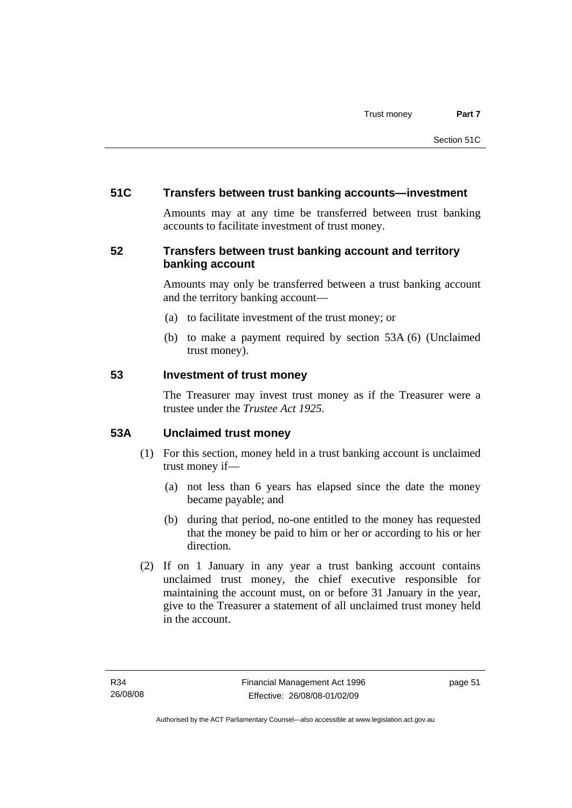## **51C Transfers between trust banking accounts—investment**

Amounts may at any time be transferred between trust banking accounts to facilitate investment of trust money.

# **52 Transfers between trust banking account and territory banking account**

Amounts may only be transferred between a trust banking account and the territory banking account—

- (a) to facilitate investment of the trust money; or
- (b) to make a payment required by section 53A (6) (Unclaimed trust money).

#### **53 Investment of trust money**

The Treasurer may invest trust money as if the Treasurer were a trustee under the *Trustee Act 1925.*

# **53A Unclaimed trust money**

- (1) For this section, money held in a trust banking account is unclaimed trust money if—
	- (a) not less than 6 years has elapsed since the date the money became payable; and
	- (b) during that period, no-one entitled to the money has requested that the money be paid to him or her or according to his or her direction.
- (2) If on 1 January in any year a trust banking account contains unclaimed trust money, the chief executive responsible for maintaining the account must, on or before 31 January in the year, give to the Treasurer a statement of all unclaimed trust money held in the account.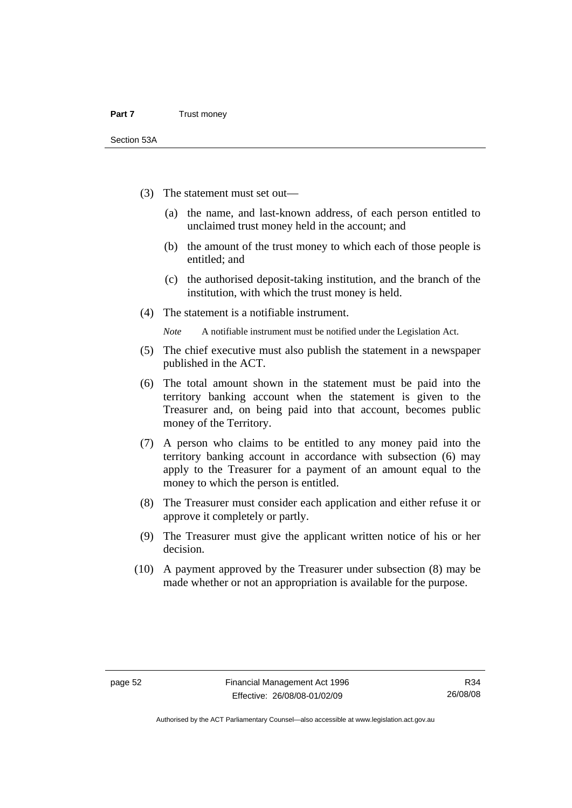- (3) The statement must set out—
	- (a) the name, and last-known address, of each person entitled to unclaimed trust money held in the account; and
	- (b) the amount of the trust money to which each of those people is entitled; and
	- (c) the authorised deposit-taking institution, and the branch of the institution, with which the trust money is held.
- (4) The statement is a notifiable instrument.

*Note* A notifiable instrument must be notified under the Legislation Act.

- (5) The chief executive must also publish the statement in a newspaper published in the ACT.
- (6) The total amount shown in the statement must be paid into the territory banking account when the statement is given to the Treasurer and, on being paid into that account, becomes public money of the Territory.
- (7) A person who claims to be entitled to any money paid into the territory banking account in accordance with subsection (6) may apply to the Treasurer for a payment of an amount equal to the money to which the person is entitled.
- (8) The Treasurer must consider each application and either refuse it or approve it completely or partly.
- (9) The Treasurer must give the applicant written notice of his or her decision.
- (10) A payment approved by the Treasurer under subsection (8) may be made whether or not an appropriation is available for the purpose.

Authorised by the ACT Parliamentary Counsel—also accessible at www.legislation.act.gov.au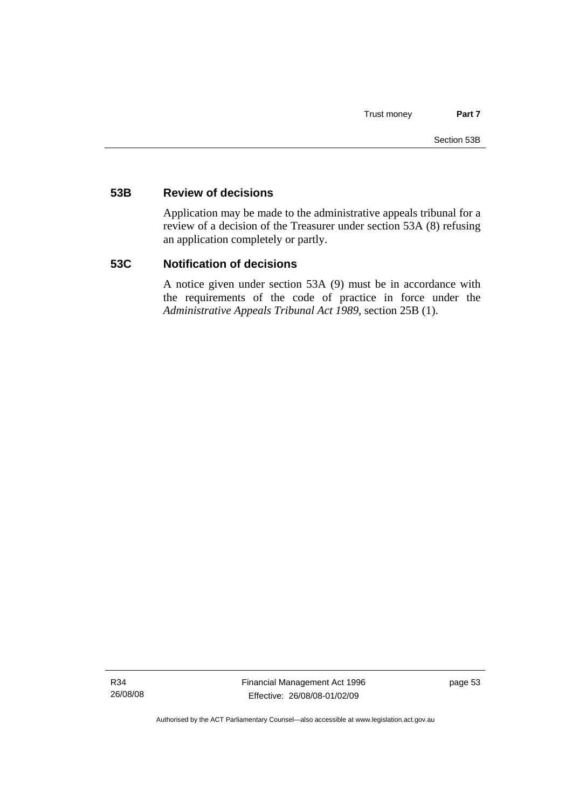### **53B Review of decisions**

Application may be made to the administrative appeals tribunal for a review of a decision of the Treasurer under section 53A (8) refusing an application completely or partly.

#### **53C Notification of decisions**

A notice given under section 53A (9) must be in accordance with the requirements of the code of practice in force under the *Administrative Appeals Tribunal Act 1989*, section 25B (1).

R34 26/08/08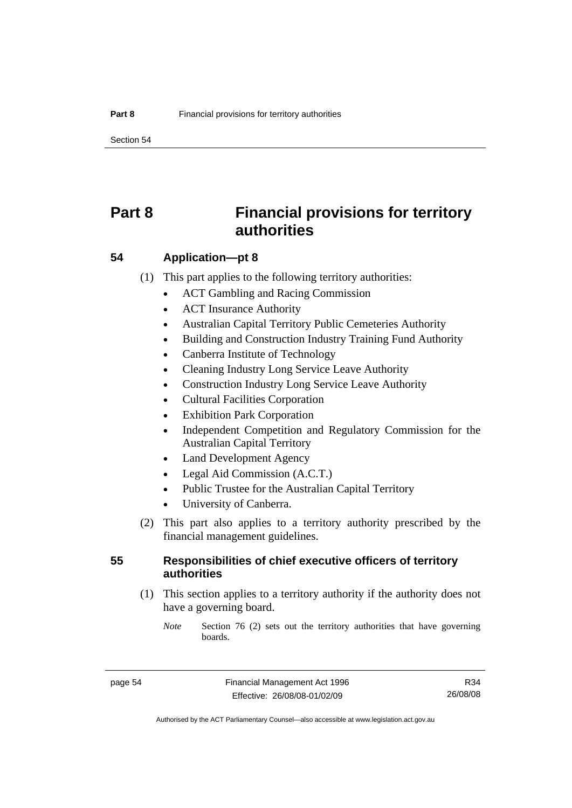Section 54

# **Part 8 Financial provisions for territory authorities**

#### **54 Application—pt 8**

(1) This part applies to the following territory authorities:

- ACT Gambling and Racing Commission
- ACT Insurance Authority
- Australian Capital Territory Public Cemeteries Authority
- Building and Construction Industry Training Fund Authority
- Canberra Institute of Technology
- Cleaning Industry Long Service Leave Authority
- Construction Industry Long Service Leave Authority
- Cultural Facilities Corporation
- Exhibition Park Corporation
- Independent Competition and Regulatory Commission for the Australian Capital Territory
- Land Development Agency
- Legal Aid Commission (A.C.T.)
- Public Trustee for the Australian Capital Territory
- University of Canberra.
- (2) This part also applies to a territory authority prescribed by the financial management guidelines.

#### **55 Responsibilities of chief executive officers of territory authorities**

- (1) This section applies to a territory authority if the authority does not have a governing board.
	- *Note* Section 76 (2) sets out the territory authorities that have governing boards.

R34 26/08/08

Authorised by the ACT Parliamentary Counsel—also accessible at www.legislation.act.gov.au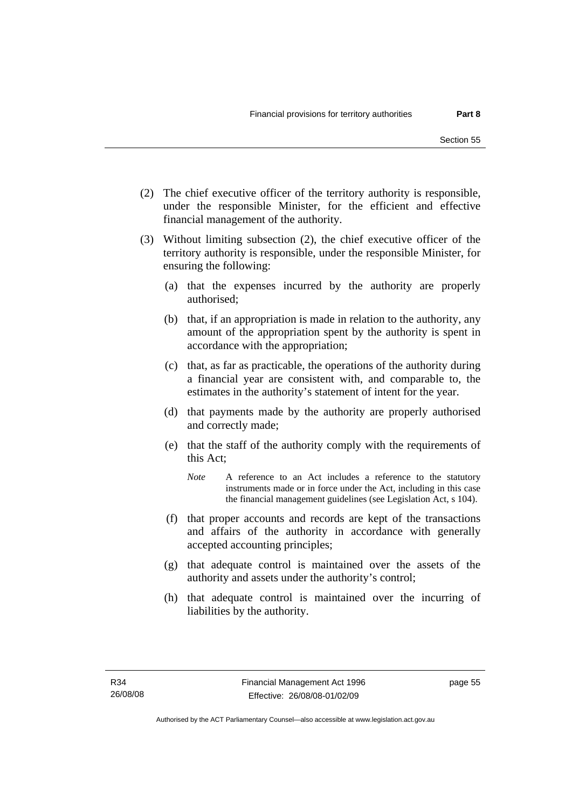- (2) The chief executive officer of the territory authority is responsible, under the responsible Minister, for the efficient and effective financial management of the authority.
- (3) Without limiting subsection (2), the chief executive officer of the territory authority is responsible, under the responsible Minister, for ensuring the following:
	- (a) that the expenses incurred by the authority are properly authorised;
	- (b) that, if an appropriation is made in relation to the authority, any amount of the appropriation spent by the authority is spent in accordance with the appropriation;
	- (c) that, as far as practicable, the operations of the authority during a financial year are consistent with, and comparable to, the estimates in the authority's statement of intent for the year.
	- (d) that payments made by the authority are properly authorised and correctly made;
	- (e) that the staff of the authority comply with the requirements of this Act;
		- *Note* A reference to an Act includes a reference to the statutory instruments made or in force under the Act, including in this case the financial management guidelines (see Legislation Act, s 104).
	- (f) that proper accounts and records are kept of the transactions and affairs of the authority in accordance with generally accepted accounting principles;
	- (g) that adequate control is maintained over the assets of the authority and assets under the authority's control;
	- (h) that adequate control is maintained over the incurring of liabilities by the authority.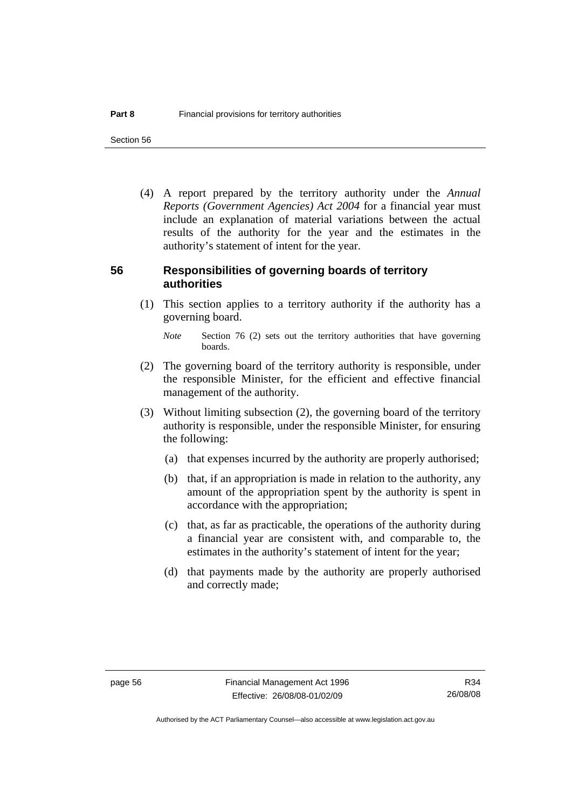Section 56

 (4) A report prepared by the territory authority under the *Annual Reports (Government Agencies) Act 2004* for a financial year must include an explanation of material variations between the actual results of the authority for the year and the estimates in the authority's statement of intent for the year.

#### **56 Responsibilities of governing boards of territory authorities**

 (1) This section applies to a territory authority if the authority has a governing board.

- (2) The governing board of the territory authority is responsible, under the responsible Minister, for the efficient and effective financial management of the authority.
- (3) Without limiting subsection (2), the governing board of the territory authority is responsible, under the responsible Minister, for ensuring the following:
	- (a) that expenses incurred by the authority are properly authorised;
	- (b) that, if an appropriation is made in relation to the authority, any amount of the appropriation spent by the authority is spent in accordance with the appropriation;
	- (c) that, as far as practicable, the operations of the authority during a financial year are consistent with, and comparable to, the estimates in the authority's statement of intent for the year;
	- (d) that payments made by the authority are properly authorised and correctly made;

*Note* Section 76 (2) sets out the territory authorities that have governing boards.

R34 26/08/08

Authorised by the ACT Parliamentary Counsel—also accessible at www.legislation.act.gov.au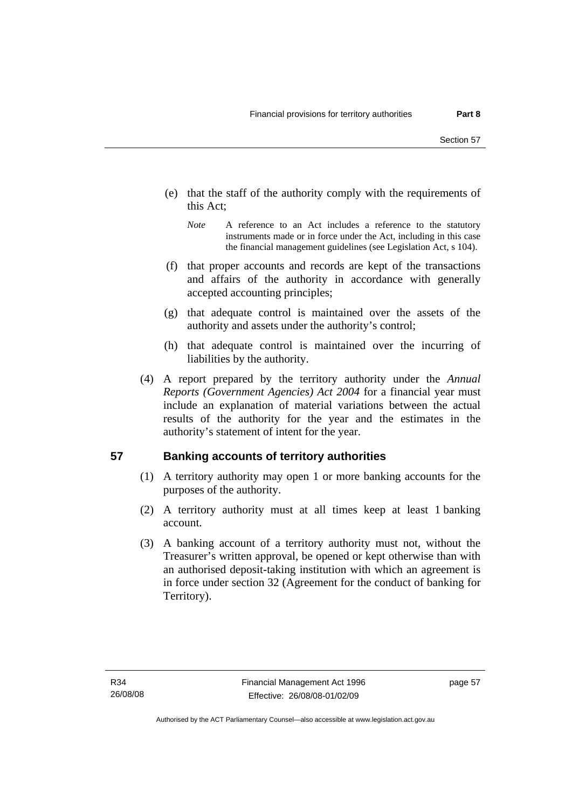- (e) that the staff of the authority comply with the requirements of this Act;
	- *Note* A reference to an Act includes a reference to the statutory instruments made or in force under the Act, including in this case the financial management guidelines (see Legislation Act, s 104).
- (f) that proper accounts and records are kept of the transactions and affairs of the authority in accordance with generally accepted accounting principles;
- (g) that adequate control is maintained over the assets of the authority and assets under the authority's control;
- (h) that adequate control is maintained over the incurring of liabilities by the authority.
- (4) A report prepared by the territory authority under the *Annual Reports (Government Agencies) Act 2004* for a financial year must include an explanation of material variations between the actual results of the authority for the year and the estimates in the authority's statement of intent for the year.

# **57 Banking accounts of territory authorities**

- (1) A territory authority may open 1 or more banking accounts for the purposes of the authority.
- (2) A territory authority must at all times keep at least 1 banking account.
- (3) A banking account of a territory authority must not, without the Treasurer's written approval, be opened or kept otherwise than with an authorised deposit-taking institution with which an agreement is in force under section 32 (Agreement for the conduct of banking for Territory).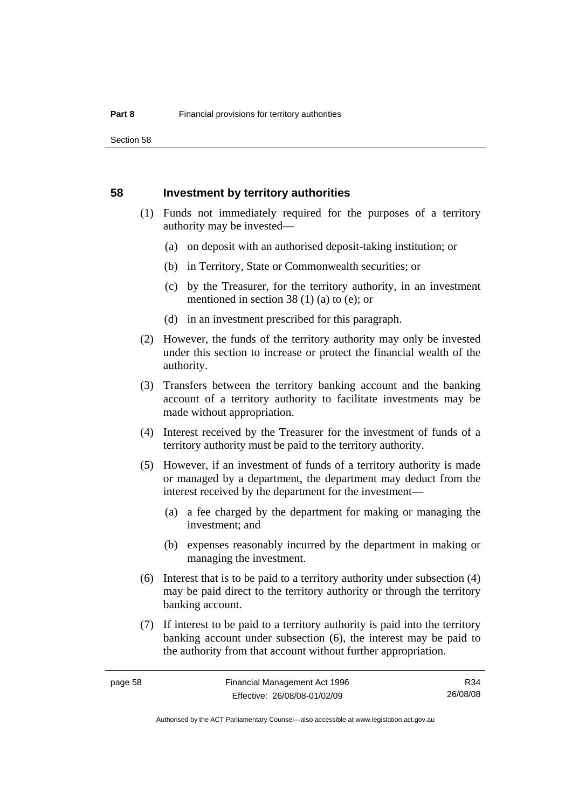#### **58 Investment by territory authorities**

- (1) Funds not immediately required for the purposes of a territory authority may be invested—
	- (a) on deposit with an authorised deposit-taking institution; or
	- (b) in Territory, State or Commonwealth securities; or
	- (c) by the Treasurer, for the territory authority, in an investment mentioned in section 38 (1) (a) to (e); or
	- (d) in an investment prescribed for this paragraph.
- (2) However, the funds of the territory authority may only be invested under this section to increase or protect the financial wealth of the authority.
- (3) Transfers between the territory banking account and the banking account of a territory authority to facilitate investments may be made without appropriation.
- (4) Interest received by the Treasurer for the investment of funds of a territory authority must be paid to the territory authority.
- (5) However, if an investment of funds of a territory authority is made or managed by a department, the department may deduct from the interest received by the department for the investment—
	- (a) a fee charged by the department for making or managing the investment; and
	- (b) expenses reasonably incurred by the department in making or managing the investment.
- (6) Interest that is to be paid to a territory authority under subsection (4) may be paid direct to the territory authority or through the territory banking account.
- (7) If interest to be paid to a territory authority is paid into the territory banking account under subsection (6), the interest may be paid to the authority from that account without further appropriation.

R34 26/08/08

Authorised by the ACT Parliamentary Counsel—also accessible at www.legislation.act.gov.au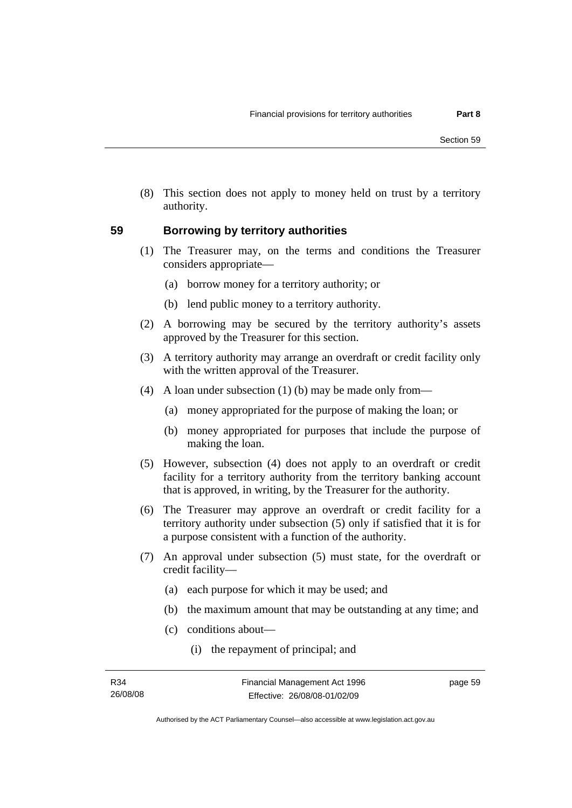(8) This section does not apply to money held on trust by a territory authority.

#### **59 Borrowing by territory authorities**

- (1) The Treasurer may, on the terms and conditions the Treasurer considers appropriate—
	- (a) borrow money for a territory authority; or
	- (b) lend public money to a territory authority.
- (2) A borrowing may be secured by the territory authority's assets approved by the Treasurer for this section.
- (3) A territory authority may arrange an overdraft or credit facility only with the written approval of the Treasurer.
- (4) A loan under subsection (1) (b) may be made only from—
	- (a) money appropriated for the purpose of making the loan; or
	- (b) money appropriated for purposes that include the purpose of making the loan.
- (5) However, subsection (4) does not apply to an overdraft or credit facility for a territory authority from the territory banking account that is approved, in writing, by the Treasurer for the authority.
- (6) The Treasurer may approve an overdraft or credit facility for a territory authority under subsection (5) only if satisfied that it is for a purpose consistent with a function of the authority.
- (7) An approval under subsection (5) must state, for the overdraft or credit facility—
	- (a) each purpose for which it may be used; and
	- (b) the maximum amount that may be outstanding at any time; and
	- (c) conditions about—
		- (i) the repayment of principal; and

page 59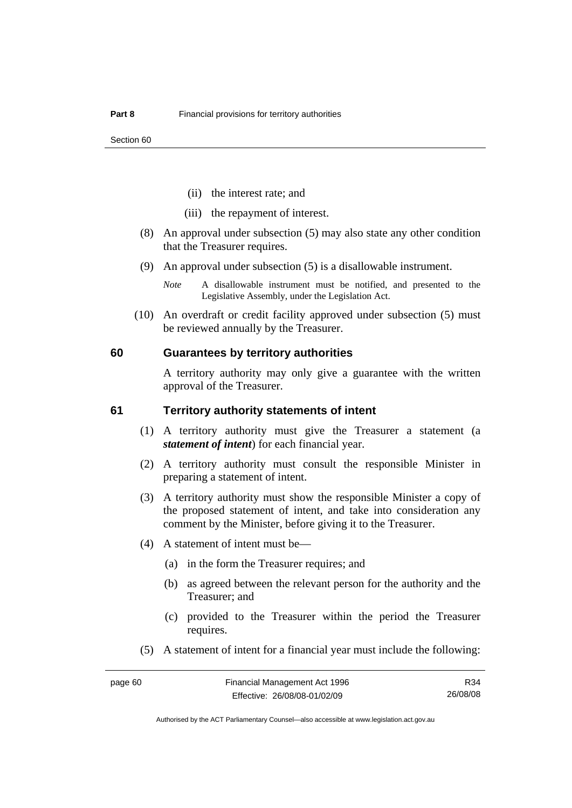- (ii) the interest rate; and
- (iii) the repayment of interest.
- (8) An approval under subsection (5) may also state any other condition that the Treasurer requires.
- (9) An approval under subsection (5) is a disallowable instrument.
	- *Note* A disallowable instrument must be notified, and presented to the Legislative Assembly, under the Legislation Act.
- (10) An overdraft or credit facility approved under subsection (5) must be reviewed annually by the Treasurer.

#### **60 Guarantees by territory authorities**

A territory authority may only give a guarantee with the written approval of the Treasurer.

#### **61 Territory authority statements of intent**

- (1) A territory authority must give the Treasurer a statement (a *statement of intent*) for each financial year.
- (2) A territory authority must consult the responsible Minister in preparing a statement of intent.
- (3) A territory authority must show the responsible Minister a copy of the proposed statement of intent, and take into consideration any comment by the Minister, before giving it to the Treasurer.
- (4) A statement of intent must be—
	- (a) in the form the Treasurer requires; and
	- (b) as agreed between the relevant person for the authority and the Treasurer; and
	- (c) provided to the Treasurer within the period the Treasurer requires.
- (5) A statement of intent for a financial year must include the following:

R34 26/08/08

Authorised by the ACT Parliamentary Counsel—also accessible at www.legislation.act.gov.au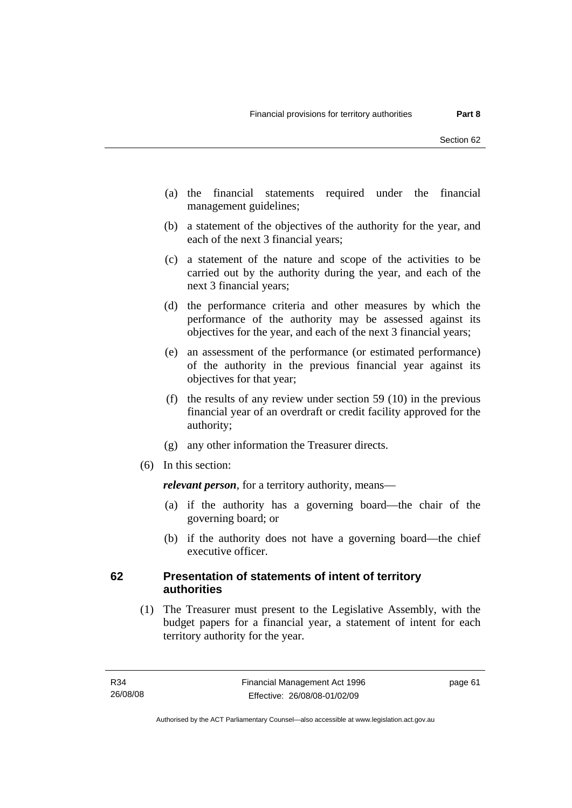- (a) the financial statements required under the financial management guidelines;
- (b) a statement of the objectives of the authority for the year, and each of the next 3 financial years;
- (c) a statement of the nature and scope of the activities to be carried out by the authority during the year, and each of the next 3 financial years;
- (d) the performance criteria and other measures by which the performance of the authority may be assessed against its objectives for the year, and each of the next 3 financial years;
- (e) an assessment of the performance (or estimated performance) of the authority in the previous financial year against its objectives for that year;
- (f) the results of any review under section 59 (10) in the previous financial year of an overdraft or credit facility approved for the authority;
- (g) any other information the Treasurer directs.
- (6) In this section:

*relevant person*, for a territory authority, means—

- (a) if the authority has a governing board—the chair of the governing board; or
- (b) if the authority does not have a governing board—the chief executive officer.

### **62 Presentation of statements of intent of territory authorities**

 (1) The Treasurer must present to the Legislative Assembly, with the budget papers for a financial year, a statement of intent for each territory authority for the year.

page 61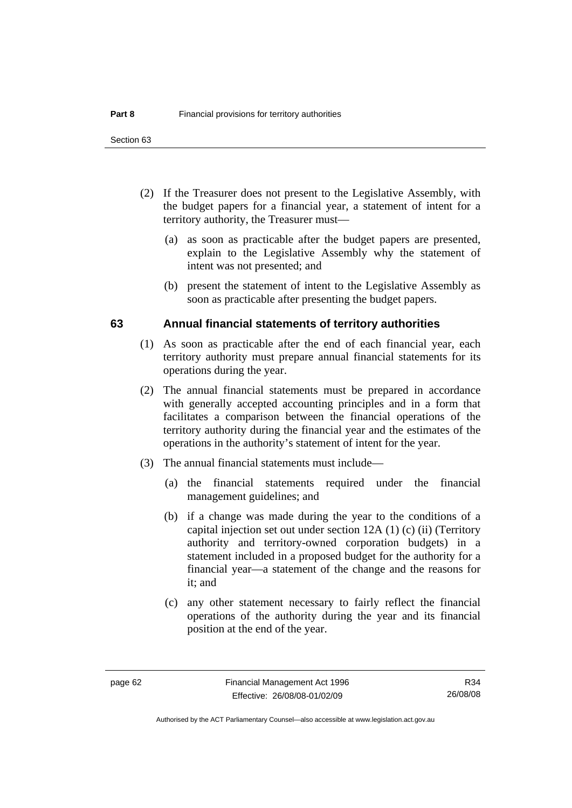- (2) If the Treasurer does not present to the Legislative Assembly, with the budget papers for a financial year, a statement of intent for a territory authority, the Treasurer must—
	- (a) as soon as practicable after the budget papers are presented, explain to the Legislative Assembly why the statement of intent was not presented; and
	- (b) present the statement of intent to the Legislative Assembly as soon as practicable after presenting the budget papers.

#### **63 Annual financial statements of territory authorities**

- (1) As soon as practicable after the end of each financial year, each territory authority must prepare annual financial statements for its operations during the year.
- (2) The annual financial statements must be prepared in accordance with generally accepted accounting principles and in a form that facilitates a comparison between the financial operations of the territory authority during the financial year and the estimates of the operations in the authority's statement of intent for the year.
- (3) The annual financial statements must include—
	- (a) the financial statements required under the financial management guidelines; and
	- (b) if a change was made during the year to the conditions of a capital injection set out under section 12A (1) (c) (ii) (Territory authority and territory-owned corporation budgets) in a statement included in a proposed budget for the authority for a financial year—a statement of the change and the reasons for it; and
	- (c) any other statement necessary to fairly reflect the financial operations of the authority during the year and its financial position at the end of the year.

R34 26/08/08

Authorised by the ACT Parliamentary Counsel—also accessible at www.legislation.act.gov.au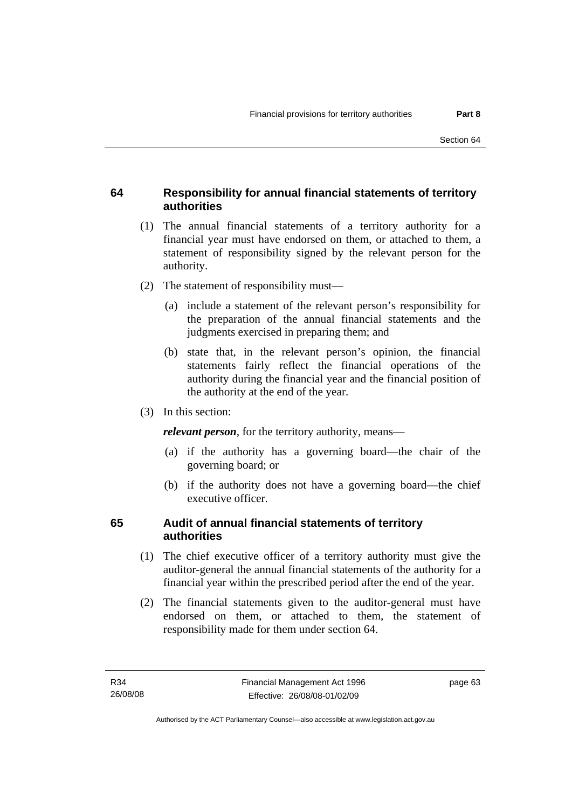# **64 Responsibility for annual financial statements of territory authorities**

- (1) The annual financial statements of a territory authority for a financial year must have endorsed on them, or attached to them, a statement of responsibility signed by the relevant person for the authority.
- (2) The statement of responsibility must—
	- (a) include a statement of the relevant person's responsibility for the preparation of the annual financial statements and the judgments exercised in preparing them; and
	- (b) state that, in the relevant person's opinion, the financial statements fairly reflect the financial operations of the authority during the financial year and the financial position of the authority at the end of the year.
- (3) In this section:

*relevant person*, for the territory authority, means—

- (a) if the authority has a governing board—the chair of the governing board; or
- (b) if the authority does not have a governing board—the chief executive officer.

# **65 Audit of annual financial statements of territory authorities**

- (1) The chief executive officer of a territory authority must give the auditor-general the annual financial statements of the authority for a financial year within the prescribed period after the end of the year.
- (2) The financial statements given to the auditor-general must have endorsed on them, or attached to them, the statement of responsibility made for them under section 64.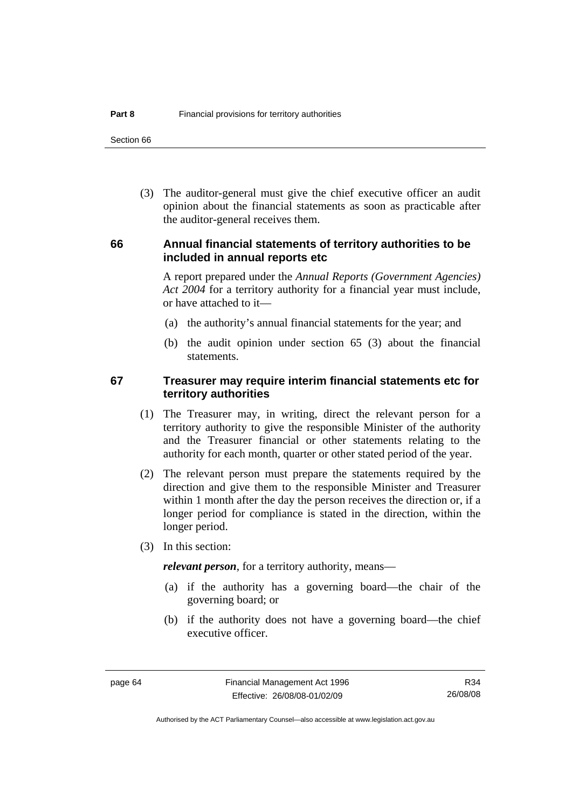Section 66

 (3) The auditor-general must give the chief executive officer an audit opinion about the financial statements as soon as practicable after the auditor-general receives them.

# **66 Annual financial statements of territory authorities to be included in annual reports etc**

A report prepared under the *Annual Reports (Government Agencies) Act 2004* for a territory authority for a financial year must include, or have attached to it—

- (a) the authority's annual financial statements for the year; and
- (b) the audit opinion under section 65 (3) about the financial statements.

# **67 Treasurer may require interim financial statements etc for territory authorities**

- (1) The Treasurer may, in writing, direct the relevant person for a territory authority to give the responsible Minister of the authority and the Treasurer financial or other statements relating to the authority for each month, quarter or other stated period of the year.
- (2) The relevant person must prepare the statements required by the direction and give them to the responsible Minister and Treasurer within 1 month after the day the person receives the direction or, if a longer period for compliance is stated in the direction, within the longer period.
- (3) In this section:

*relevant person*, for a territory authority, means—

- (a) if the authority has a governing board—the chair of the governing board; or
- (b) if the authority does not have a governing board—the chief executive officer.

R34 26/08/08

Authorised by the ACT Parliamentary Counsel—also accessible at www.legislation.act.gov.au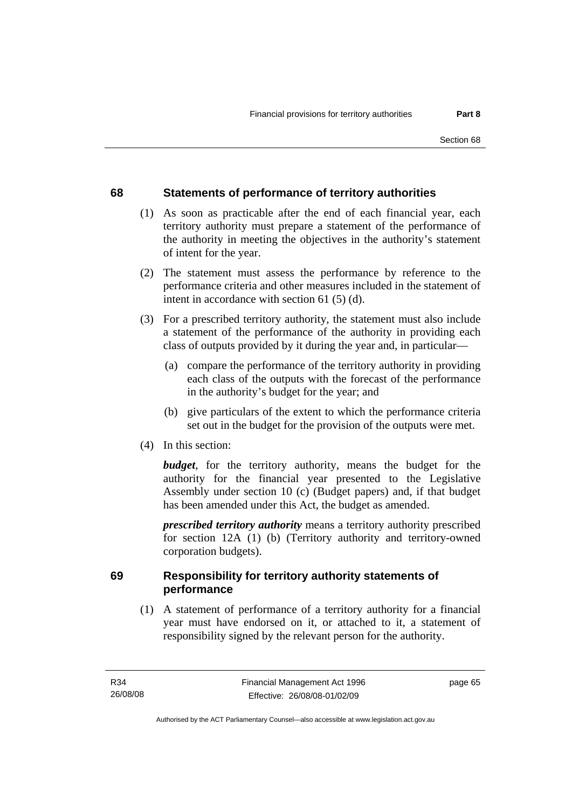# **68 Statements of performance of territory authorities**

- (1) As soon as practicable after the end of each financial year, each territory authority must prepare a statement of the performance of the authority in meeting the objectives in the authority's statement of intent for the year.
- (2) The statement must assess the performance by reference to the performance criteria and other measures included in the statement of intent in accordance with section 61 (5) (d).
- (3) For a prescribed territory authority, the statement must also include a statement of the performance of the authority in providing each class of outputs provided by it during the year and, in particular—
	- (a) compare the performance of the territory authority in providing each class of the outputs with the forecast of the performance in the authority's budget for the year; and
	- (b) give particulars of the extent to which the performance criteria set out in the budget for the provision of the outputs were met.
- (4) In this section:

*budget*, for the territory authority, means the budget for the authority for the financial year presented to the Legislative Assembly under section 10 (c) (Budget papers) and, if that budget has been amended under this Act, the budget as amended.

*prescribed territory authority* means a territory authority prescribed for section 12A (1) (b) (Territory authority and territory-owned corporation budgets).

# **69 Responsibility for territory authority statements of performance**

 (1) A statement of performance of a territory authority for a financial year must have endorsed on it, or attached to it, a statement of responsibility signed by the relevant person for the authority.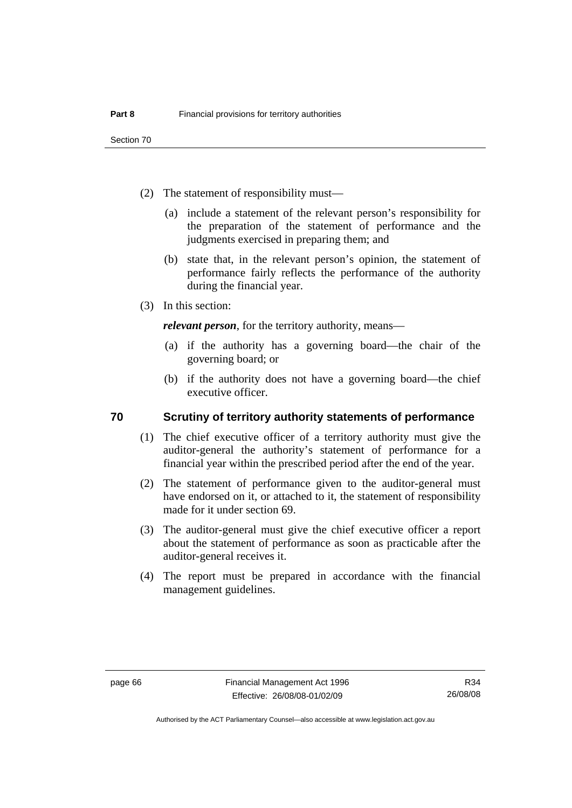Section 70

- (2) The statement of responsibility must—
	- (a) include a statement of the relevant person's responsibility for the preparation of the statement of performance and the judgments exercised in preparing them; and
	- (b) state that, in the relevant person's opinion, the statement of performance fairly reflects the performance of the authority during the financial year.
- (3) In this section:

*relevant person*, for the territory authority, means—

- (a) if the authority has a governing board—the chair of the governing board; or
- (b) if the authority does not have a governing board—the chief executive officer.

# **70 Scrutiny of territory authority statements of performance**

- (1) The chief executive officer of a territory authority must give the auditor-general the authority's statement of performance for a financial year within the prescribed period after the end of the year.
- (2) The statement of performance given to the auditor-general must have endorsed on it, or attached to it, the statement of responsibility made for it under section 69.
- (3) The auditor-general must give the chief executive officer a report about the statement of performance as soon as practicable after the auditor-general receives it.
- (4) The report must be prepared in accordance with the financial management guidelines.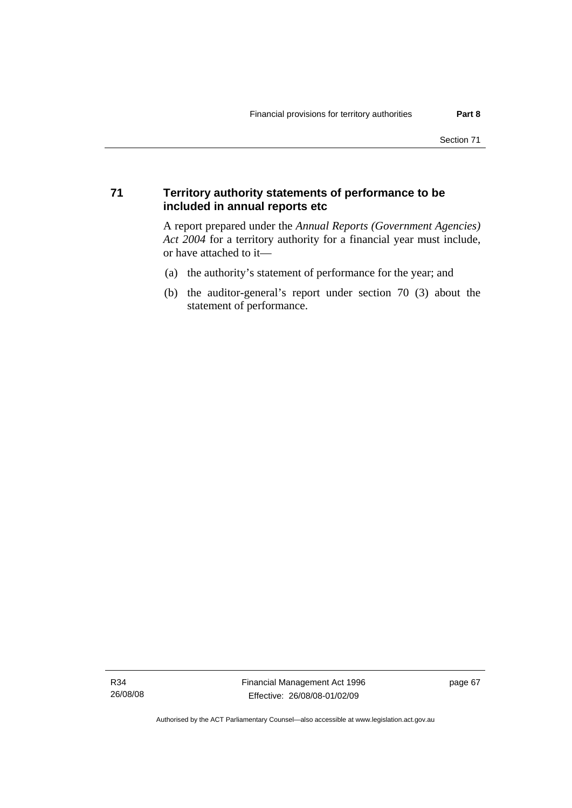# **71 Territory authority statements of performance to be included in annual reports etc**

A report prepared under the *Annual Reports (Government Agencies) Act 2004* for a territory authority for a financial year must include, or have attached to it—

- (a) the authority's statement of performance for the year; and
- (b) the auditor-general's report under section 70 (3) about the statement of performance.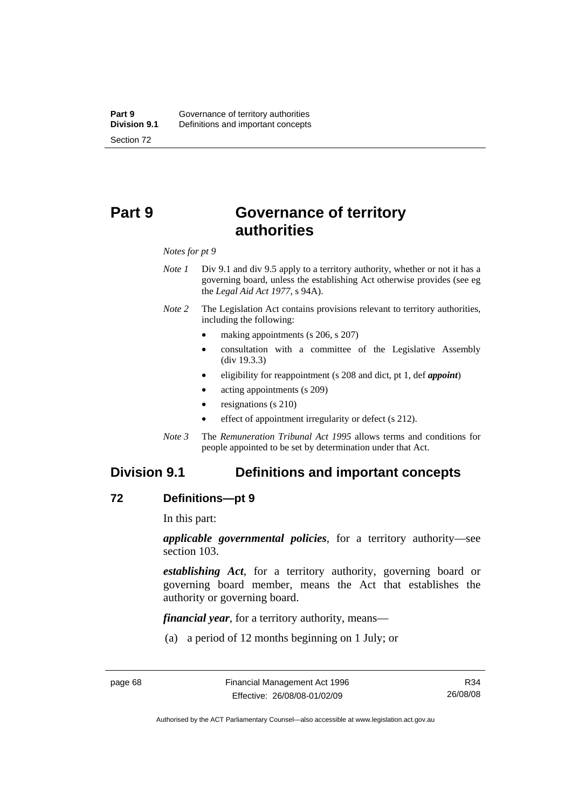# **Part 9 Governance of territory authorities**

#### *Notes for pt 9*

- *Note 1* Div 9.1 and div 9.5 apply to a territory authority, whether or not it has a governing board, unless the establishing Act otherwise provides (see eg the *Legal Aid Act 1977*, s 94A).
- *Note 2* The Legislation Act contains provisions relevant to territory authorities, including the following:
	- making appointments (s 206, s 207)
	- consultation with a committee of the Legislative Assembly (div 19.3.3)
	- eligibility for reappointment (s 208 and dict, pt 1, def *appoint*)
	- acting appointments (s 209)
	- resignations (s 210)
	- effect of appointment irregularity or defect (s 212).
- *Note 3* The *Remuneration Tribunal Act 1995* allows terms and conditions for people appointed to be set by determination under that Act.

# **Division 9.1 Definitions and important concepts**

#### **72 Definitions—pt 9**

In this part:

*applicable governmental policies*, for a territory authority—see section 103.

*establishing Act*, for a territory authority, governing board or governing board member, means the Act that establishes the authority or governing board.

*financial year*, for a territory authority, means—

(a) a period of 12 months beginning on 1 July; or

Authorised by the ACT Parliamentary Counsel—also accessible at www.legislation.act.gov.au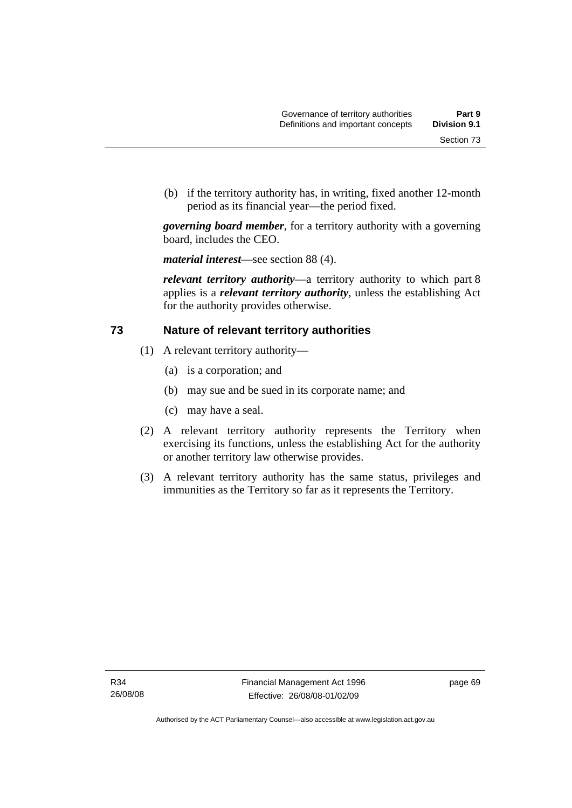(b) if the territory authority has, in writing, fixed another 12-month period as its financial year—the period fixed.

*governing board member*, for a territory authority with a governing board, includes the CEO.

*material interest*—see section 88 (4).

*relevant territory authority*—a territory authority to which part 8 applies is a *relevant territory authority*, unless the establishing Act for the authority provides otherwise.

# **73 Nature of relevant territory authorities**

- (1) A relevant territory authority—
	- (a) is a corporation; and
	- (b) may sue and be sued in its corporate name; and
	- (c) may have a seal.
- (2) A relevant territory authority represents the Territory when exercising its functions, unless the establishing Act for the authority or another territory law otherwise provides.
- (3) A relevant territory authority has the same status, privileges and immunities as the Territory so far as it represents the Territory.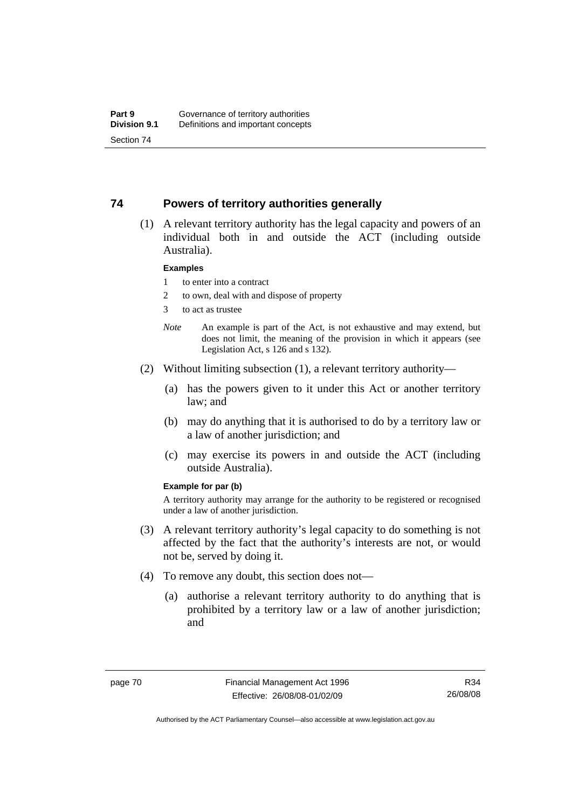### **74 Powers of territory authorities generally**

 (1) A relevant territory authority has the legal capacity and powers of an individual both in and outside the ACT (including outside Australia).

#### **Examples**

- 1 to enter into a contract
- 2 to own, deal with and dispose of property
- 3 to act as trustee
- *Note* An example is part of the Act, is not exhaustive and may extend, but does not limit, the meaning of the provision in which it appears (see Legislation Act, s 126 and s 132).
- (2) Without limiting subsection (1), a relevant territory authority—
	- (a) has the powers given to it under this Act or another territory law; and
	- (b) may do anything that it is authorised to do by a territory law or a law of another jurisdiction; and
	- (c) may exercise its powers in and outside the ACT (including outside Australia).

#### **Example for par (b)**

A territory authority may arrange for the authority to be registered or recognised under a law of another jurisdiction.

- (3) A relevant territory authority's legal capacity to do something is not affected by the fact that the authority's interests are not, or would not be, served by doing it.
- (4) To remove any doubt, this section does not—
	- (a) authorise a relevant territory authority to do anything that is prohibited by a territory law or a law of another jurisdiction; and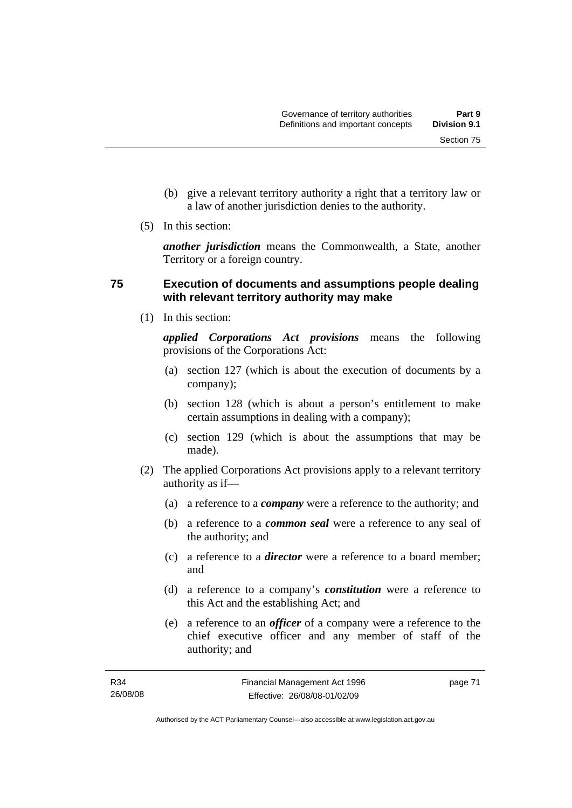Section 75

- (b) give a relevant territory authority a right that a territory law or a law of another jurisdiction denies to the authority.
- (5) In this section:

*another jurisdiction* means the Commonwealth, a State, another Territory or a foreign country.

# **75 Execution of documents and assumptions people dealing with relevant territory authority may make**

(1) In this section:

*applied Corporations Act provisions* means the following provisions of the Corporations Act:

- (a) section 127 (which is about the execution of documents by a company);
- (b) section 128 (which is about a person's entitlement to make certain assumptions in dealing with a company);
- (c) section 129 (which is about the assumptions that may be made).
- (2) The applied Corporations Act provisions apply to a relevant territory authority as if—
	- (a) a reference to a *company* were a reference to the authority; and
	- (b) a reference to a *common seal* were a reference to any seal of the authority; and
	- (c) a reference to a *director* were a reference to a board member; and
	- (d) a reference to a company's *constitution* were a reference to this Act and the establishing Act; and
	- (e) a reference to an *officer* of a company were a reference to the chief executive officer and any member of staff of the authority; and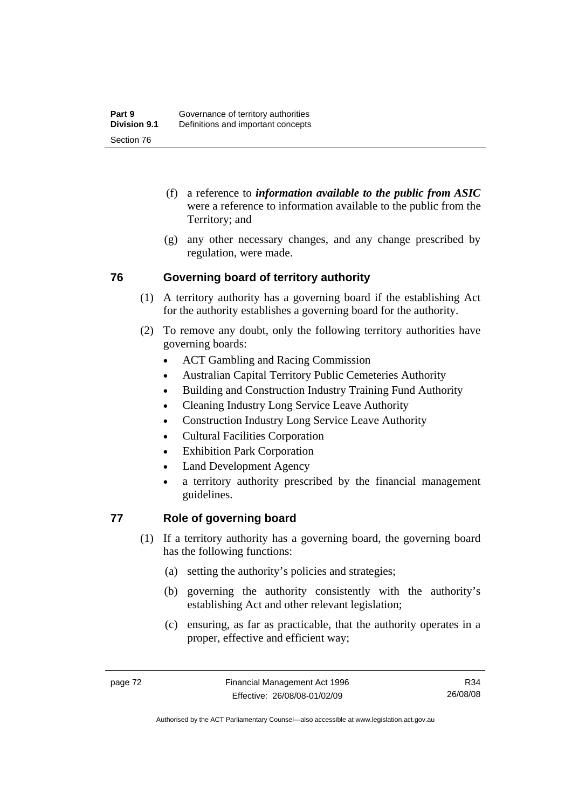- (f) a reference to *information available to the public from ASIC*  were a reference to information available to the public from the Territory; and
- (g) any other necessary changes, and any change prescribed by regulation, were made.

# **76 Governing board of territory authority**

- (1) A territory authority has a governing board if the establishing Act for the authority establishes a governing board for the authority.
- (2) To remove any doubt, only the following territory authorities have governing boards:
	- ACT Gambling and Racing Commission
	- Australian Capital Territory Public Cemeteries Authority
	- Building and Construction Industry Training Fund Authority
	- Cleaning Industry Long Service Leave Authority
	- Construction Industry Long Service Leave Authority
	- Cultural Facilities Corporation
	- **Exhibition Park Corporation**
	- Land Development Agency
	- a territory authority prescribed by the financial management guidelines.

# **77 Role of governing board**

- (1) If a territory authority has a governing board, the governing board has the following functions:
	- (a) setting the authority's policies and strategies;
	- (b) governing the authority consistently with the authority's establishing Act and other relevant legislation;
	- (c) ensuring, as far as practicable, that the authority operates in a proper, effective and efficient way;

R34 26/08/08

Authorised by the ACT Parliamentary Counsel—also accessible at www.legislation.act.gov.au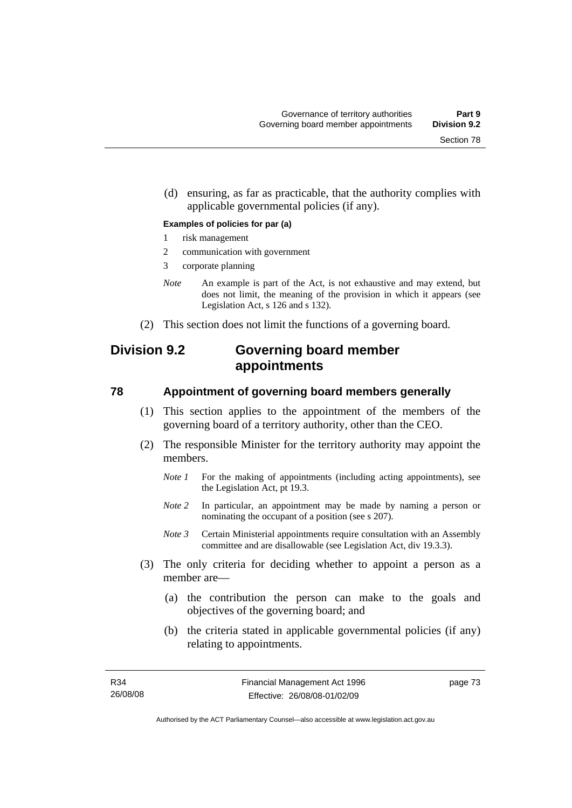(d) ensuring, as far as practicable, that the authority complies with applicable governmental policies (if any).

#### **Examples of policies for par (a)**

- 1 risk management
- 2 communication with government
- 3 corporate planning
- *Note* An example is part of the Act, is not exhaustive and may extend, but does not limit, the meaning of the provision in which it appears (see Legislation Act, s 126 and s 132).
- (2) This section does not limit the functions of a governing board.

# **Division 9.2 Governing board member appointments**

#### **78 Appointment of governing board members generally**

- (1) This section applies to the appointment of the members of the governing board of a territory authority, other than the CEO.
- (2) The responsible Minister for the territory authority may appoint the members.
	- *Note 1* For the making of appointments (including acting appointments), see the Legislation Act, pt 19.3.
	- *Note 2* In particular, an appointment may be made by naming a person or nominating the occupant of a position (see s 207).
	- *Note 3* Certain Ministerial appointments require consultation with an Assembly committee and are disallowable (see Legislation Act, div 19.3.3).
- (3) The only criteria for deciding whether to appoint a person as a member are—
	- (a) the contribution the person can make to the goals and objectives of the governing board; and
	- (b) the criteria stated in applicable governmental policies (if any) relating to appointments.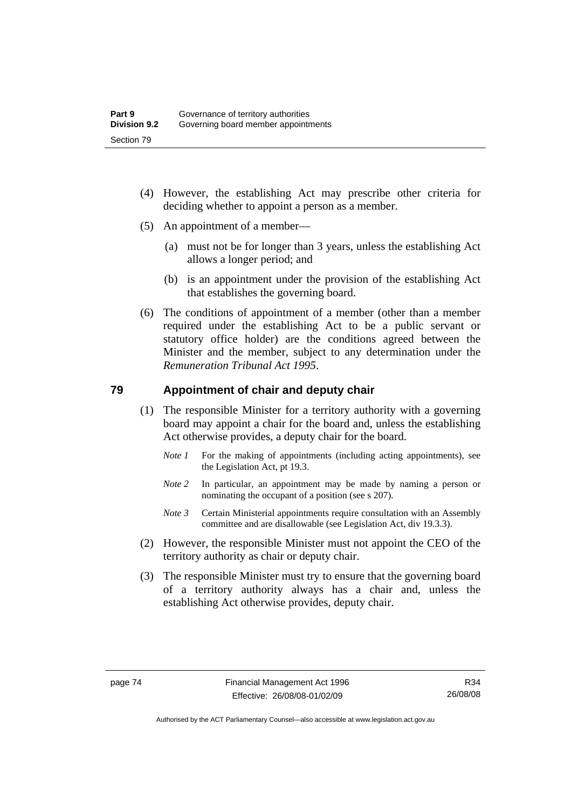- (4) However, the establishing Act may prescribe other criteria for deciding whether to appoint a person as a member.
- (5) An appointment of a member—
	- (a) must not be for longer than 3 years, unless the establishing Act allows a longer period; and
	- (b) is an appointment under the provision of the establishing Act that establishes the governing board.
- (6) The conditions of appointment of a member (other than a member required under the establishing Act to be a public servant or statutory office holder) are the conditions agreed between the Minister and the member, subject to any determination under the *Remuneration Tribunal Act 1995*.

# **79 Appointment of chair and deputy chair**

- (1) The responsible Minister for a territory authority with a governing board may appoint a chair for the board and, unless the establishing Act otherwise provides, a deputy chair for the board.
	- *Note 1* For the making of appointments (including acting appointments), see the Legislation Act, pt 19.3.
	- *Note 2* In particular, an appointment may be made by naming a person or nominating the occupant of a position (see s 207).
	- *Note 3* Certain Ministerial appointments require consultation with an Assembly committee and are disallowable (see Legislation Act, div 19.3.3).
- (2) However, the responsible Minister must not appoint the CEO of the territory authority as chair or deputy chair.
- (3) The responsible Minister must try to ensure that the governing board of a territory authority always has a chair and, unless the establishing Act otherwise provides, deputy chair.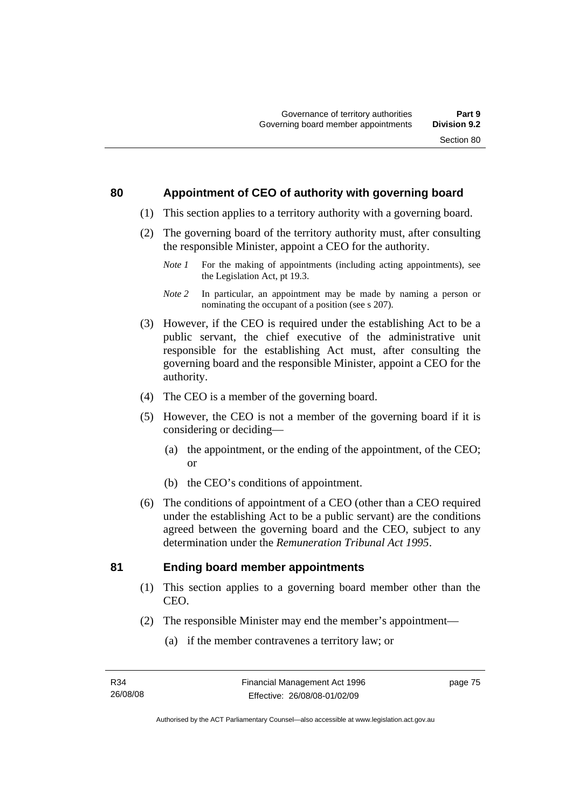# **80 Appointment of CEO of authority with governing board**

- (1) This section applies to a territory authority with a governing board.
- (2) The governing board of the territory authority must, after consulting the responsible Minister, appoint a CEO for the authority.
	- *Note 1* For the making of appointments (including acting appointments), see the Legislation Act, pt 19.3.
	- *Note 2* In particular, an appointment may be made by naming a person or nominating the occupant of a position (see s 207).
- (3) However, if the CEO is required under the establishing Act to be a public servant, the chief executive of the administrative unit responsible for the establishing Act must, after consulting the governing board and the responsible Minister, appoint a CEO for the authority.
- (4) The CEO is a member of the governing board.
- (5) However, the CEO is not a member of the governing board if it is considering or deciding—
	- (a) the appointment, or the ending of the appointment, of the CEO; or
	- (b) the CEO's conditions of appointment.
- (6) The conditions of appointment of a CEO (other than a CEO required under the establishing Act to be a public servant) are the conditions agreed between the governing board and the CEO, subject to any determination under the *Remuneration Tribunal Act 1995*.

# **81 Ending board member appointments**

- (1) This section applies to a governing board member other than the CEO.
- (2) The responsible Minister may end the member's appointment—
	- (a) if the member contravenes a territory law; or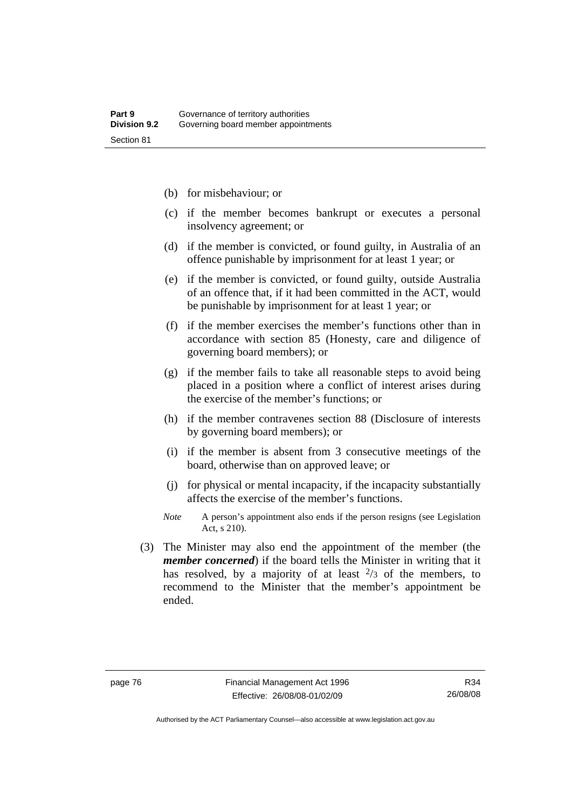- (b) for misbehaviour; or
- (c) if the member becomes bankrupt or executes a personal insolvency agreement; or
- (d) if the member is convicted, or found guilty, in Australia of an offence punishable by imprisonment for at least 1 year; or
- (e) if the member is convicted, or found guilty, outside Australia of an offence that, if it had been committed in the ACT, would be punishable by imprisonment for at least 1 year; or
- (f) if the member exercises the member's functions other than in accordance with section 85 (Honesty, care and diligence of governing board members); or
- (g) if the member fails to take all reasonable steps to avoid being placed in a position where a conflict of interest arises during the exercise of the member's functions; or
- (h) if the member contravenes section 88 (Disclosure of interests by governing board members); or
- (i) if the member is absent from 3 consecutive meetings of the board, otherwise than on approved leave; or
- (j) for physical or mental incapacity, if the incapacity substantially affects the exercise of the member's functions.
- *Note* A person's appointment also ends if the person resigns (see Legislation Act, s 210).
- (3) The Minister may also end the appointment of the member (the *member concerned*) if the board tells the Minister in writing that it has resolved, by a majority of at least  $\frac{2}{3}$  of the members, to recommend to the Minister that the member's appointment be ended.

Authorised by the ACT Parliamentary Counsel—also accessible at www.legislation.act.gov.au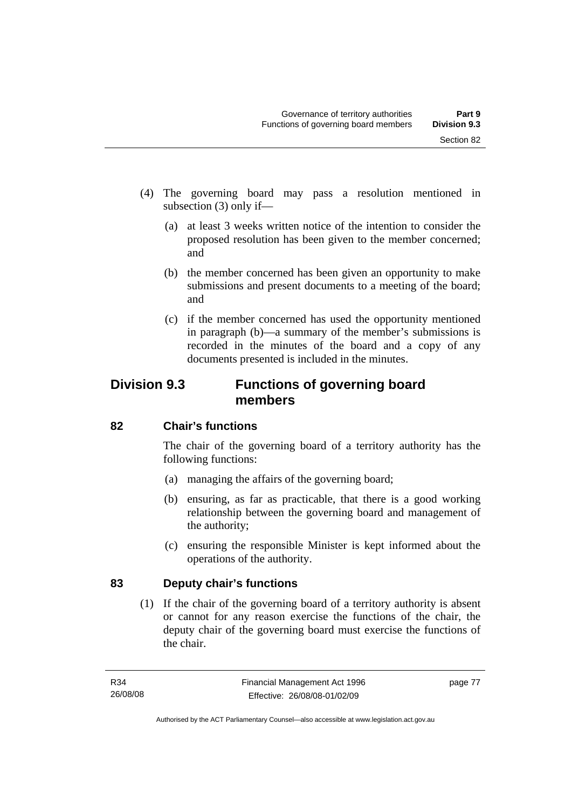- (4) The governing board may pass a resolution mentioned in subsection (3) only if—
	- (a) at least 3 weeks written notice of the intention to consider the proposed resolution has been given to the member concerned; and
	- (b) the member concerned has been given an opportunity to make submissions and present documents to a meeting of the board; and
	- (c) if the member concerned has used the opportunity mentioned in paragraph (b)—a summary of the member's submissions is recorded in the minutes of the board and a copy of any documents presented is included in the minutes.

# **Division 9.3 Functions of governing board members**

# **82 Chair's functions**

The chair of the governing board of a territory authority has the following functions:

- (a) managing the affairs of the governing board;
- (b) ensuring, as far as practicable, that there is a good working relationship between the governing board and management of the authority;
- (c) ensuring the responsible Minister is kept informed about the operations of the authority.

# **83 Deputy chair's functions**

 (1) If the chair of the governing board of a territory authority is absent or cannot for any reason exercise the functions of the chair, the deputy chair of the governing board must exercise the functions of the chair.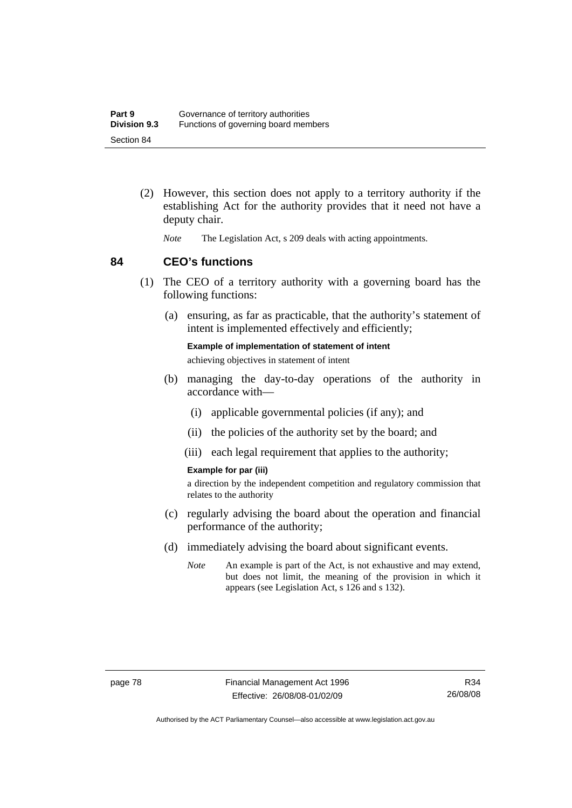- (2) However, this section does not apply to a territory authority if the establishing Act for the authority provides that it need not have a deputy chair.
	- *Note* The Legislation Act, s 209 deals with acting appointments.

### **84 CEO's functions**

- (1) The CEO of a territory authority with a governing board has the following functions:
	- (a) ensuring, as far as practicable, that the authority's statement of intent is implemented effectively and efficiently;

**Example of implementation of statement of intent**  achieving objectives in statement of intent

- (b) managing the day-to-day operations of the authority in accordance with—
	- (i) applicable governmental policies (if any); and
	- (ii) the policies of the authority set by the board; and
	- (iii) each legal requirement that applies to the authority;

#### **Example for par (iii)**

a direction by the independent competition and regulatory commission that relates to the authority

- (c) regularly advising the board about the operation and financial performance of the authority;
- (d) immediately advising the board about significant events.
	- *Note* An example is part of the Act, is not exhaustive and may extend, but does not limit, the meaning of the provision in which it appears (see Legislation Act, s 126 and s 132).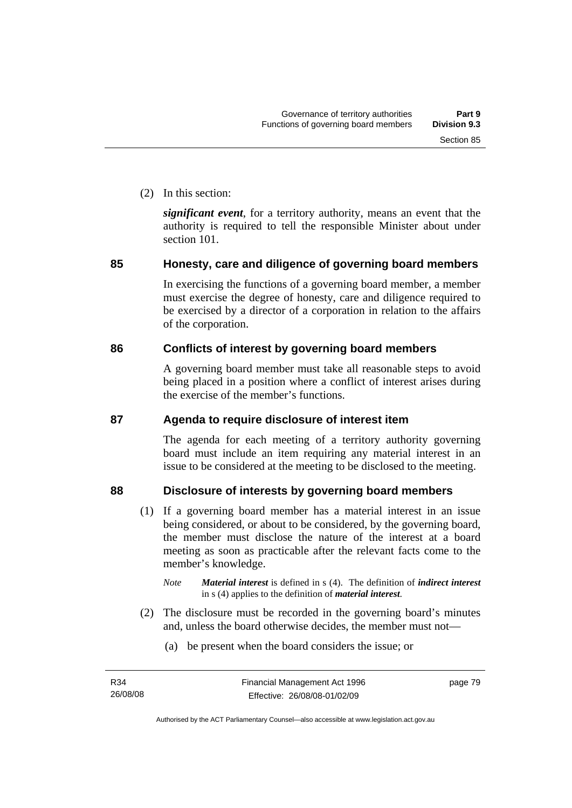(2) In this section:

*significant event*, for a territory authority, means an event that the authority is required to tell the responsible Minister about under section 101.

# **85 Honesty, care and diligence of governing board members**

In exercising the functions of a governing board member, a member must exercise the degree of honesty, care and diligence required to be exercised by a director of a corporation in relation to the affairs of the corporation.

# **86 Conflicts of interest by governing board members**

A governing board member must take all reasonable steps to avoid being placed in a position where a conflict of interest arises during the exercise of the member's functions.

# **87 Agenda to require disclosure of interest item**

The agenda for each meeting of a territory authority governing board must include an item requiring any material interest in an issue to be considered at the meeting to be disclosed to the meeting.

# **88 Disclosure of interests by governing board members**

- (1) If a governing board member has a material interest in an issue being considered, or about to be considered, by the governing board, the member must disclose the nature of the interest at a board meeting as soon as practicable after the relevant facts come to the member's knowledge.
	- *Note Material interest* is defined in s (4). The definition of *indirect interest* in s (4) applies to the definition of *material interest*.
- (2) The disclosure must be recorded in the governing board's minutes and, unless the board otherwise decides, the member must not—
	- (a) be present when the board considers the issue; or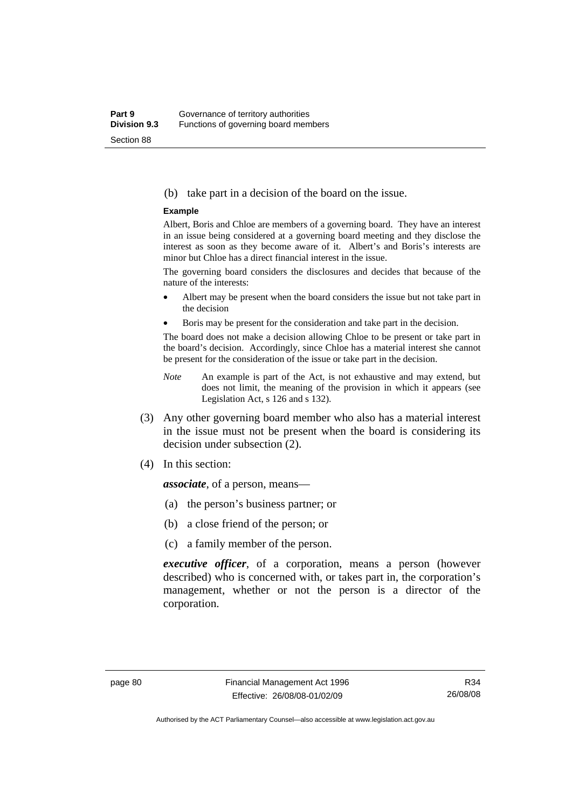#### (b) take part in a decision of the board on the issue.

#### **Example**

Albert, Boris and Chloe are members of a governing board. They have an interest in an issue being considered at a governing board meeting and they disclose the interest as soon as they become aware of it. Albert's and Boris's interests are minor but Chloe has a direct financial interest in the issue.

The governing board considers the disclosures and decides that because of the nature of the interests:

- Albert may be present when the board considers the issue but not take part in the decision
- Boris may be present for the consideration and take part in the decision.

The board does not make a decision allowing Chloe to be present or take part in the board's decision. Accordingly, since Chloe has a material interest she cannot be present for the consideration of the issue or take part in the decision.

- *Note* An example is part of the Act, is not exhaustive and may extend, but does not limit, the meaning of the provision in which it appears (see Legislation Act, s 126 and s 132).
- (3) Any other governing board member who also has a material interest in the issue must not be present when the board is considering its decision under subsection (2).
- (4) In this section:

*associate*, of a person, means—

- (a) the person's business partner; or
- (b) a close friend of the person; or
- (c) a family member of the person.

*executive officer*, of a corporation, means a person (however described) who is concerned with, or takes part in, the corporation's management, whether or not the person is a director of the corporation.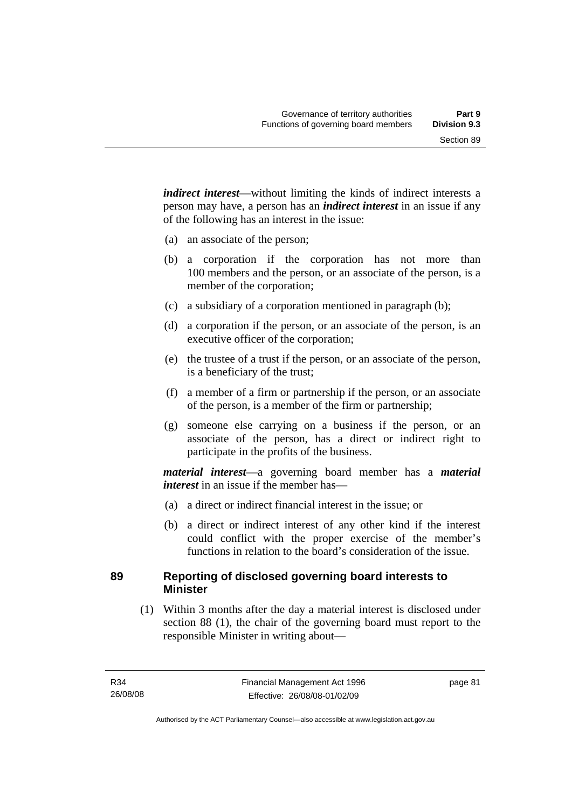*indirect interest*—without limiting the kinds of indirect interests a person may have, a person has an *indirect interest* in an issue if any of the following has an interest in the issue:

- (a) an associate of the person;
- (b) a corporation if the corporation has not more than 100 members and the person, or an associate of the person, is a member of the corporation;
- (c) a subsidiary of a corporation mentioned in paragraph (b);
- (d) a corporation if the person, or an associate of the person, is an executive officer of the corporation;
- (e) the trustee of a trust if the person, or an associate of the person, is a beneficiary of the trust;
- (f) a member of a firm or partnership if the person, or an associate of the person, is a member of the firm or partnership;
- (g) someone else carrying on a business if the person, or an associate of the person, has a direct or indirect right to participate in the profits of the business.

*material interest*—a governing board member has a *material interest* in an issue if the member has—

- (a) a direct or indirect financial interest in the issue; or
- (b) a direct or indirect interest of any other kind if the interest could conflict with the proper exercise of the member's functions in relation to the board's consideration of the issue.

# **89 Reporting of disclosed governing board interests to Minister**

 (1) Within 3 months after the day a material interest is disclosed under section 88 (1), the chair of the governing board must report to the responsible Minister in writing about—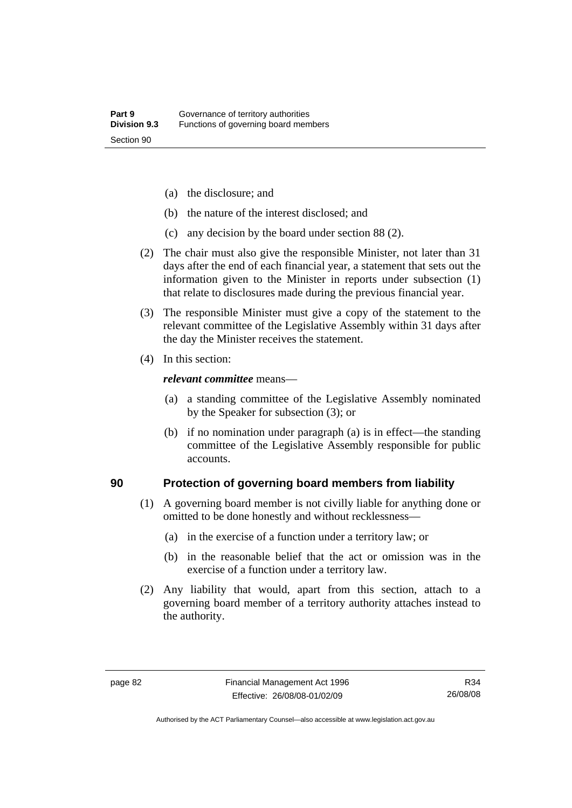- (a) the disclosure; and
- (b) the nature of the interest disclosed; and
- (c) any decision by the board under section 88 (2).
- (2) The chair must also give the responsible Minister, not later than 31 days after the end of each financial year, a statement that sets out the information given to the Minister in reports under subsection (1) that relate to disclosures made during the previous financial year.
- (3) The responsible Minister must give a copy of the statement to the relevant committee of the Legislative Assembly within 31 days after the day the Minister receives the statement.
- (4) In this section:

#### *relevant committee* means—

- (a) a standing committee of the Legislative Assembly nominated by the Speaker for subsection (3); or
- (b) if no nomination under paragraph (a) is in effect—the standing committee of the Legislative Assembly responsible for public accounts.

### **90 Protection of governing board members from liability**

- (1) A governing board member is not civilly liable for anything done or omitted to be done honestly and without recklessness—
	- (a) in the exercise of a function under a territory law; or
	- (b) in the reasonable belief that the act or omission was in the exercise of a function under a territory law.
- (2) Any liability that would, apart from this section, attach to a governing board member of a territory authority attaches instead to the authority.

Authorised by the ACT Parliamentary Counsel—also accessible at www.legislation.act.gov.au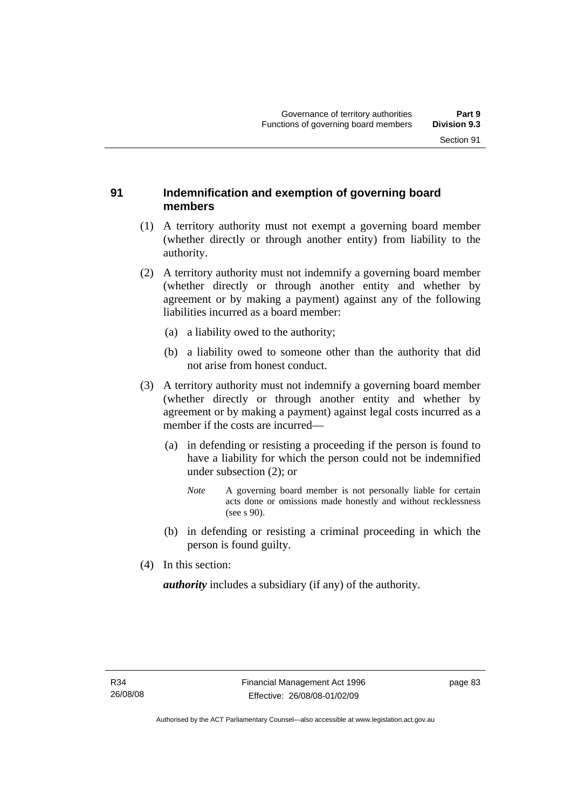# **91 Indemnification and exemption of governing board members**

- (1) A territory authority must not exempt a governing board member (whether directly or through another entity) from liability to the authority.
- (2) A territory authority must not indemnify a governing board member (whether directly or through another entity and whether by agreement or by making a payment) against any of the following liabilities incurred as a board member:
	- (a) a liability owed to the authority;
	- (b) a liability owed to someone other than the authority that did not arise from honest conduct.
- (3) A territory authority must not indemnify a governing board member (whether directly or through another entity and whether by agreement or by making a payment) against legal costs incurred as a member if the costs are incurred—
	- (a) in defending or resisting a proceeding if the person is found to have a liability for which the person could not be indemnified under subsection (2); or
		- *Note* A governing board member is not personally liable for certain acts done or omissions made honestly and without recklessness (see s 90).
	- (b) in defending or resisting a criminal proceeding in which the person is found guilty.
- (4) In this section:

*authority* includes a subsidiary (if any) of the authority.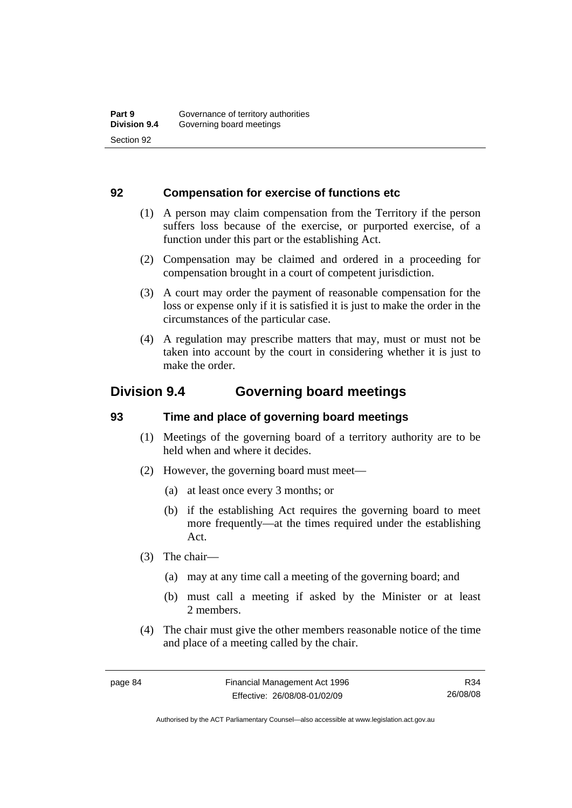# **92 Compensation for exercise of functions etc**

- (1) A person may claim compensation from the Territory if the person suffers loss because of the exercise, or purported exercise, of a function under this part or the establishing Act.
- (2) Compensation may be claimed and ordered in a proceeding for compensation brought in a court of competent jurisdiction.
- (3) A court may order the payment of reasonable compensation for the loss or expense only if it is satisfied it is just to make the order in the circumstances of the particular case.
- (4) A regulation may prescribe matters that may, must or must not be taken into account by the court in considering whether it is just to make the order.

# **Division 9.4 Governing board meetings**

# **93 Time and place of governing board meetings**

- (1) Meetings of the governing board of a territory authority are to be held when and where it decides.
- (2) However, the governing board must meet—
	- (a) at least once every 3 months; or
	- (b) if the establishing Act requires the governing board to meet more frequently—at the times required under the establishing Act.
- (3) The chair—
	- (a) may at any time call a meeting of the governing board; and
	- (b) must call a meeting if asked by the Minister or at least 2 members.
- (4) The chair must give the other members reasonable notice of the time and place of a meeting called by the chair.

R34 26/08/08

Authorised by the ACT Parliamentary Counsel—also accessible at www.legislation.act.gov.au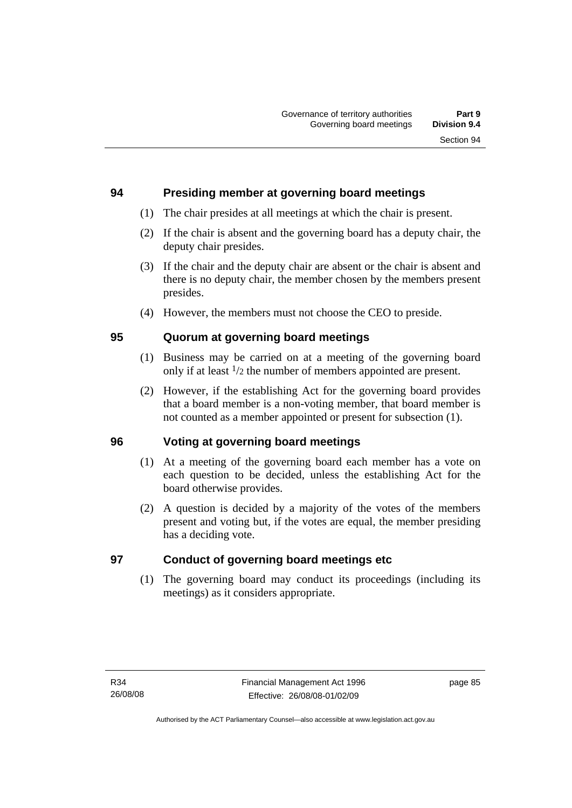# **94 Presiding member at governing board meetings**

- (1) The chair presides at all meetings at which the chair is present.
- (2) If the chair is absent and the governing board has a deputy chair, the deputy chair presides.
- (3) If the chair and the deputy chair are absent or the chair is absent and there is no deputy chair, the member chosen by the members present presides.
- (4) However, the members must not choose the CEO to preside.

# **95 Quorum at governing board meetings**

- (1) Business may be carried on at a meeting of the governing board only if at least 1/2 the number of members appointed are present.
- (2) However, if the establishing Act for the governing board provides that a board member is a non-voting member, that board member is not counted as a member appointed or present for subsection (1).

# **96 Voting at governing board meetings**

- (1) At a meeting of the governing board each member has a vote on each question to be decided, unless the establishing Act for the board otherwise provides.
- (2) A question is decided by a majority of the votes of the members present and voting but, if the votes are equal, the member presiding has a deciding vote.

# **97 Conduct of governing board meetings etc**

 (1) The governing board may conduct its proceedings (including its meetings) as it considers appropriate.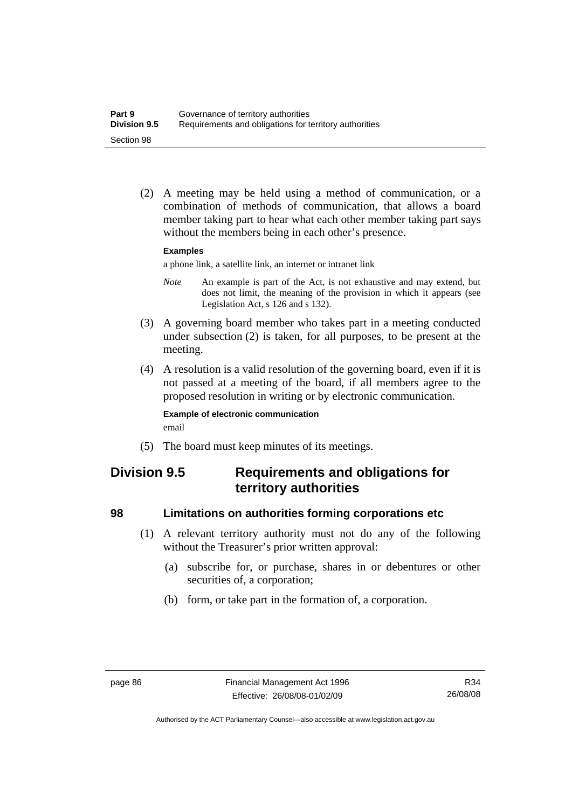(2) A meeting may be held using a method of communication, or a combination of methods of communication, that allows a board member taking part to hear what each other member taking part says without the members being in each other's presence.

#### **Examples**

a phone link, a satellite link, an internet or intranet link

- *Note* An example is part of the Act, is not exhaustive and may extend, but does not limit, the meaning of the provision in which it appears (see Legislation Act, s 126 and s 132).
- (3) A governing board member who takes part in a meeting conducted under subsection (2) is taken, for all purposes, to be present at the meeting.
- (4) A resolution is a valid resolution of the governing board, even if it is not passed at a meeting of the board, if all members agree to the proposed resolution in writing or by electronic communication.

#### **Example of electronic communication**  email

(5) The board must keep minutes of its meetings.

# **Division 9.5 Requirements and obligations for territory authorities**

# **98 Limitations on authorities forming corporations etc**

- (1) A relevant territory authority must not do any of the following without the Treasurer's prior written approval:
	- (a) subscribe for, or purchase, shares in or debentures or other securities of, a corporation;
	- (b) form, or take part in the formation of, a corporation.

Authorised by the ACT Parliamentary Counsel—also accessible at www.legislation.act.gov.au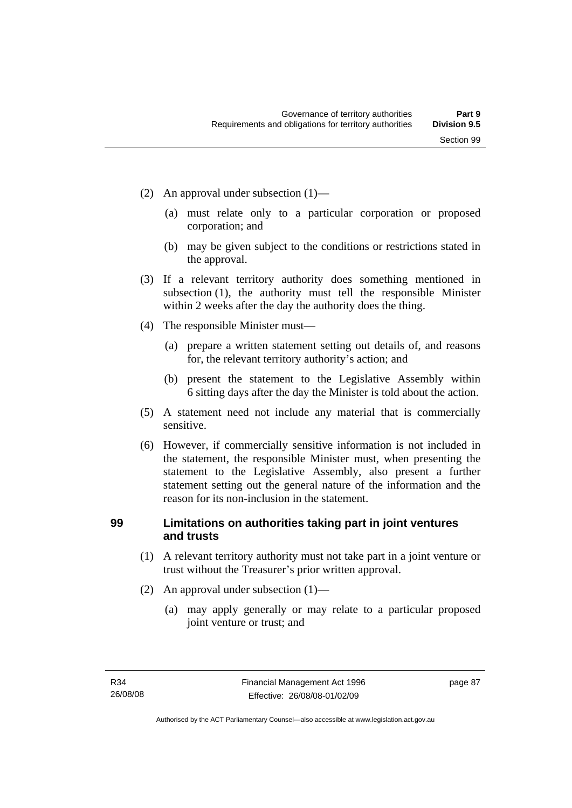- (2) An approval under subsection (1)—
	- (a) must relate only to a particular corporation or proposed corporation; and
	- (b) may be given subject to the conditions or restrictions stated in the approval.
- (3) If a relevant territory authority does something mentioned in subsection (1), the authority must tell the responsible Minister within 2 weeks after the day the authority does the thing.
- (4) The responsible Minister must—
	- (a) prepare a written statement setting out details of, and reasons for, the relevant territory authority's action; and
	- (b) present the statement to the Legislative Assembly within 6 sitting days after the day the Minister is told about the action.
- (5) A statement need not include any material that is commercially sensitive.
- (6) However, if commercially sensitive information is not included in the statement, the responsible Minister must, when presenting the statement to the Legislative Assembly, also present a further statement setting out the general nature of the information and the reason for its non-inclusion in the statement.

# **99 Limitations on authorities taking part in joint ventures and trusts**

- (1) A relevant territory authority must not take part in a joint venture or trust without the Treasurer's prior written approval.
- (2) An approval under subsection (1)—
	- (a) may apply generally or may relate to a particular proposed joint venture or trust; and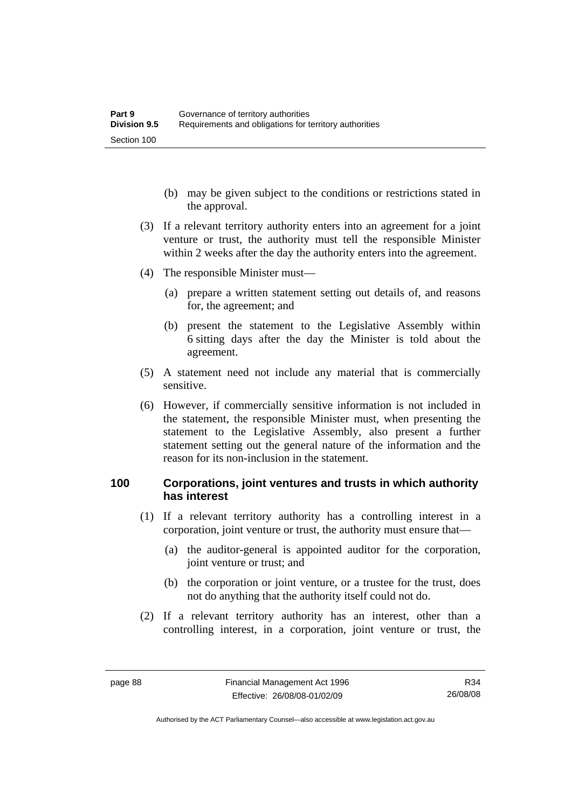- (b) may be given subject to the conditions or restrictions stated in the approval.
- (3) If a relevant territory authority enters into an agreement for a joint venture or trust, the authority must tell the responsible Minister within 2 weeks after the day the authority enters into the agreement.
- (4) The responsible Minister must—
	- (a) prepare a written statement setting out details of, and reasons for, the agreement; and
	- (b) present the statement to the Legislative Assembly within 6 sitting days after the day the Minister is told about the agreement.
- (5) A statement need not include any material that is commercially sensitive.
- (6) However, if commercially sensitive information is not included in the statement, the responsible Minister must, when presenting the statement to the Legislative Assembly, also present a further statement setting out the general nature of the information and the reason for its non-inclusion in the statement.

# **100 Corporations, joint ventures and trusts in which authority has interest**

- (1) If a relevant territory authority has a controlling interest in a corporation, joint venture or trust, the authority must ensure that—
	- (a) the auditor-general is appointed auditor for the corporation, joint venture or trust; and
	- (b) the corporation or joint venture, or a trustee for the trust, does not do anything that the authority itself could not do.
- (2) If a relevant territory authority has an interest, other than a controlling interest, in a corporation, joint venture or trust, the

Authorised by the ACT Parliamentary Counsel—also accessible at www.legislation.act.gov.au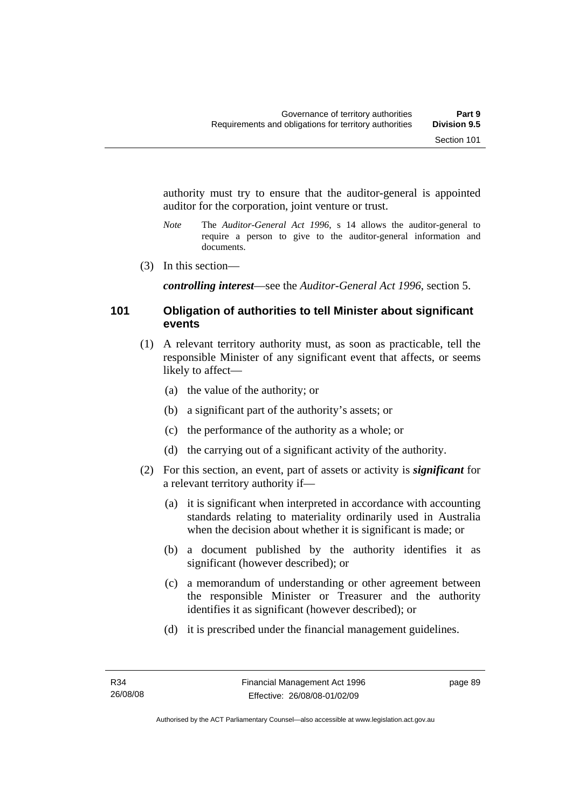authority must try to ensure that the auditor-general is appointed auditor for the corporation, joint venture or trust.

- *Note* The *Auditor-General Act 1996*, s 14 allows the auditor-general to require a person to give to the auditor-general information and documents.
- (3) In this section—

*controlling interest*—see the *Auditor-General Act 1996*, section 5.

# **101 Obligation of authorities to tell Minister about significant events**

- (1) A relevant territory authority must, as soon as practicable, tell the responsible Minister of any significant event that affects, or seems likely to affect—
	- (a) the value of the authority; or
	- (b) a significant part of the authority's assets; or
	- (c) the performance of the authority as a whole; or
	- (d) the carrying out of a significant activity of the authority.
- (2) For this section, an event, part of assets or activity is *significant* for a relevant territory authority if—
	- (a) it is significant when interpreted in accordance with accounting standards relating to materiality ordinarily used in Australia when the decision about whether it is significant is made; or
	- (b) a document published by the authority identifies it as significant (however described); or
	- (c) a memorandum of understanding or other agreement between the responsible Minister or Treasurer and the authority identifies it as significant (however described); or
	- (d) it is prescribed under the financial management guidelines.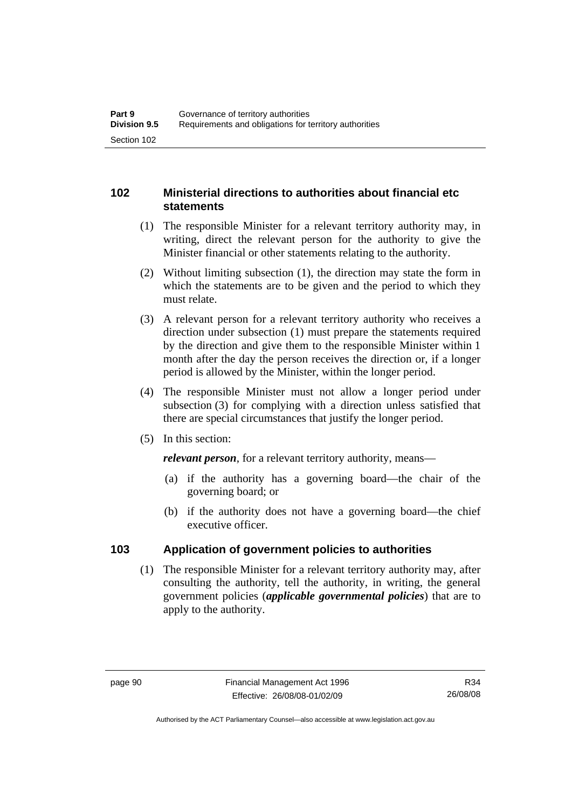# **102 Ministerial directions to authorities about financial etc statements**

- (1) The responsible Minister for a relevant territory authority may, in writing, direct the relevant person for the authority to give the Minister financial or other statements relating to the authority.
- (2) Without limiting subsection (1), the direction may state the form in which the statements are to be given and the period to which they must relate.
- (3) A relevant person for a relevant territory authority who receives a direction under subsection (1) must prepare the statements required by the direction and give them to the responsible Minister within 1 month after the day the person receives the direction or, if a longer period is allowed by the Minister, within the longer period.
- (4) The responsible Minister must not allow a longer period under subsection (3) for complying with a direction unless satisfied that there are special circumstances that justify the longer period.
- (5) In this section:

*relevant person*, for a relevant territory authority, means—

- (a) if the authority has a governing board—the chair of the governing board; or
- (b) if the authority does not have a governing board—the chief executive officer.

# **103 Application of government policies to authorities**

 (1) The responsible Minister for a relevant territory authority may, after consulting the authority, tell the authority, in writing, the general government policies (*applicable governmental policies*) that are to apply to the authority.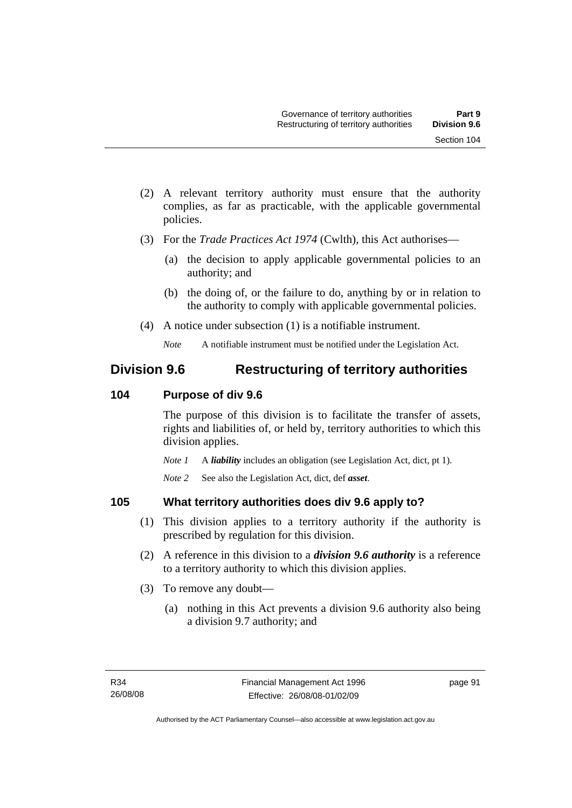- (2) A relevant territory authority must ensure that the authority complies, as far as practicable, with the applicable governmental policies.
- (3) For the *Trade Practices Act 1974* (Cwlth), this Act authorises—
	- (a) the decision to apply applicable governmental policies to an authority; and
	- (b) the doing of, or the failure to do, anything by or in relation to the authority to comply with applicable governmental policies.
- (4) A notice under subsection (1) is a notifiable instrument.

# **Division 9.6 Restructuring of territory authorities**

# **104 Purpose of div 9.6**

The purpose of this division is to facilitate the transfer of assets, rights and liabilities of, or held by, territory authorities to which this division applies.

*Note 1* A *liability* includes an obligation (see Legislation Act, dict, pt 1).

*Note 2* See also the Legislation Act, dict, def *asset*.

# **105 What territory authorities does div 9.6 apply to?**

- (1) This division applies to a territory authority if the authority is prescribed by regulation for this division.
- (2) A reference in this division to a *division 9.6 authority* is a reference to a territory authority to which this division applies.
- (3) To remove any doubt—
	- (a) nothing in this Act prevents a division 9.6 authority also being a division 9.7 authority; and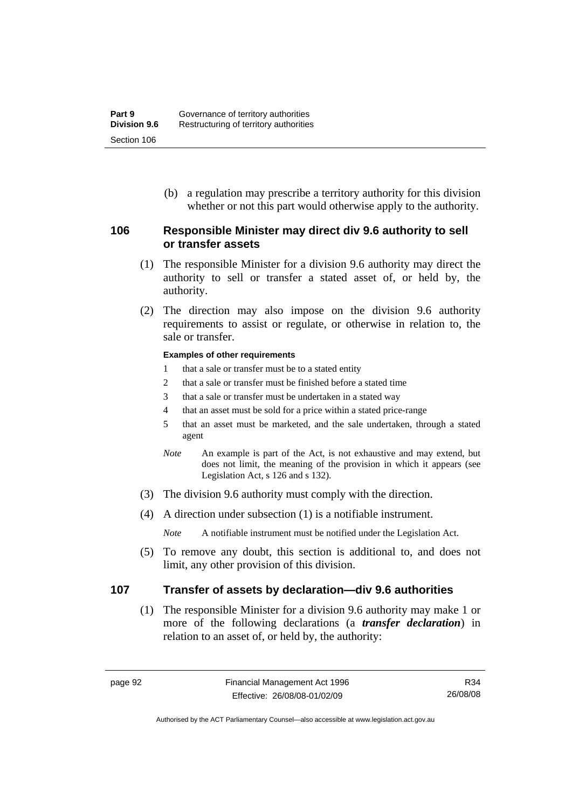(b) a regulation may prescribe a territory authority for this division whether or not this part would otherwise apply to the authority.

# **106 Responsible Minister may direct div 9.6 authority to sell or transfer assets**

- (1) The responsible Minister for a division 9.6 authority may direct the authority to sell or transfer a stated asset of, or held by, the authority.
- (2) The direction may also impose on the division 9.6 authority requirements to assist or regulate, or otherwise in relation to, the sale or transfer.

#### **Examples of other requirements**

- 1 that a sale or transfer must be to a stated entity
- 2 that a sale or transfer must be finished before a stated time
- 3 that a sale or transfer must be undertaken in a stated way
- 4 that an asset must be sold for a price within a stated price-range
- 5 that an asset must be marketed, and the sale undertaken, through a stated agent
- *Note* An example is part of the Act, is not exhaustive and may extend, but does not limit, the meaning of the provision in which it appears (see Legislation Act, s 126 and s 132).
- (3) The division 9.6 authority must comply with the direction.
- (4) A direction under subsection (1) is a notifiable instrument.

*Note* A notifiable instrument must be notified under the Legislation Act.

 (5) To remove any doubt, this section is additional to, and does not limit, any other provision of this division.

# **107 Transfer of assets by declaration—div 9.6 authorities**

 (1) The responsible Minister for a division 9.6 authority may make 1 or more of the following declarations (a *transfer declaration*) in relation to an asset of, or held by, the authority:

R34 26/08/08

Authorised by the ACT Parliamentary Counsel—also accessible at www.legislation.act.gov.au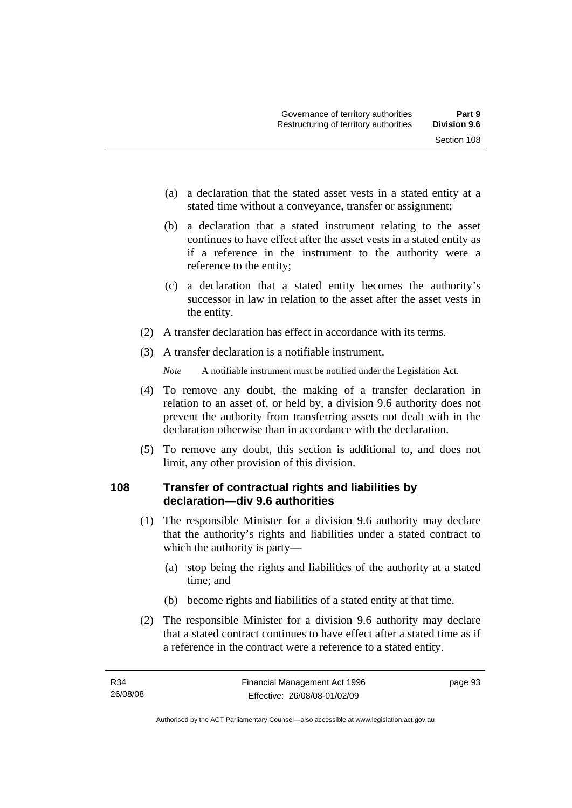- (a) a declaration that the stated asset vests in a stated entity at a stated time without a conveyance, transfer or assignment;
- (b) a declaration that a stated instrument relating to the asset continues to have effect after the asset vests in a stated entity as if a reference in the instrument to the authority were a reference to the entity;
- (c) a declaration that a stated entity becomes the authority's successor in law in relation to the asset after the asset vests in the entity.
- (2) A transfer declaration has effect in accordance with its terms.
- (3) A transfer declaration is a notifiable instrument.

- (4) To remove any doubt, the making of a transfer declaration in relation to an asset of, or held by, a division 9.6 authority does not prevent the authority from transferring assets not dealt with in the declaration otherwise than in accordance with the declaration.
- (5) To remove any doubt, this section is additional to, and does not limit, any other provision of this division.

# **108 Transfer of contractual rights and liabilities by declaration—div 9.6 authorities**

- (1) The responsible Minister for a division 9.6 authority may declare that the authority's rights and liabilities under a stated contract to which the authority is party—
	- (a) stop being the rights and liabilities of the authority at a stated time; and
	- (b) become rights and liabilities of a stated entity at that time.
- (2) The responsible Minister for a division 9.6 authority may declare that a stated contract continues to have effect after a stated time as if a reference in the contract were a reference to a stated entity.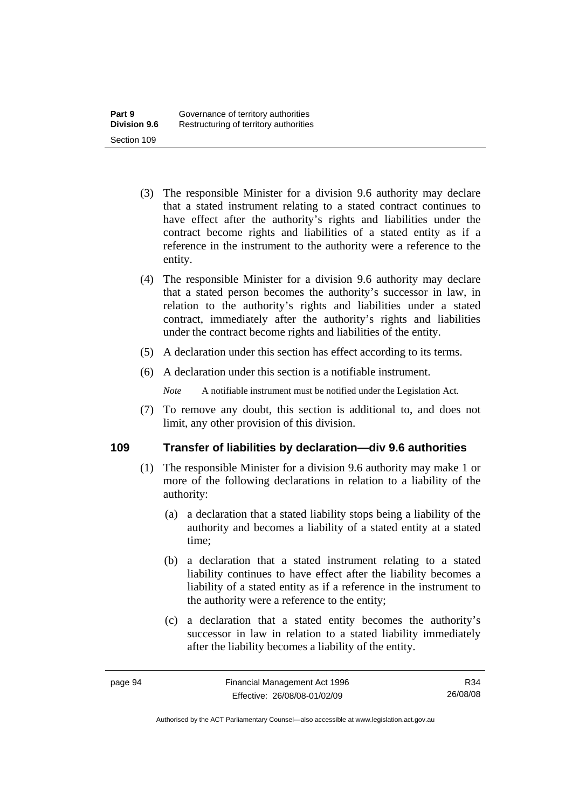- (3) The responsible Minister for a division 9.6 authority may declare that a stated instrument relating to a stated contract continues to have effect after the authority's rights and liabilities under the contract become rights and liabilities of a stated entity as if a reference in the instrument to the authority were a reference to the entity.
- (4) The responsible Minister for a division 9.6 authority may declare that a stated person becomes the authority's successor in law, in relation to the authority's rights and liabilities under a stated contract, immediately after the authority's rights and liabilities under the contract become rights and liabilities of the entity.
- (5) A declaration under this section has effect according to its terms.
- (6) A declaration under this section is a notifiable instrument.

 (7) To remove any doubt, this section is additional to, and does not limit, any other provision of this division.

# **109 Transfer of liabilities by declaration—div 9.6 authorities**

- (1) The responsible Minister for a division 9.6 authority may make 1 or more of the following declarations in relation to a liability of the authority:
	- (a) a declaration that a stated liability stops being a liability of the authority and becomes a liability of a stated entity at a stated time;
	- (b) a declaration that a stated instrument relating to a stated liability continues to have effect after the liability becomes a liability of a stated entity as if a reference in the instrument to the authority were a reference to the entity;
	- (c) a declaration that a stated entity becomes the authority's successor in law in relation to a stated liability immediately after the liability becomes a liability of the entity.

Authorised by the ACT Parliamentary Counsel—also accessible at www.legislation.act.gov.au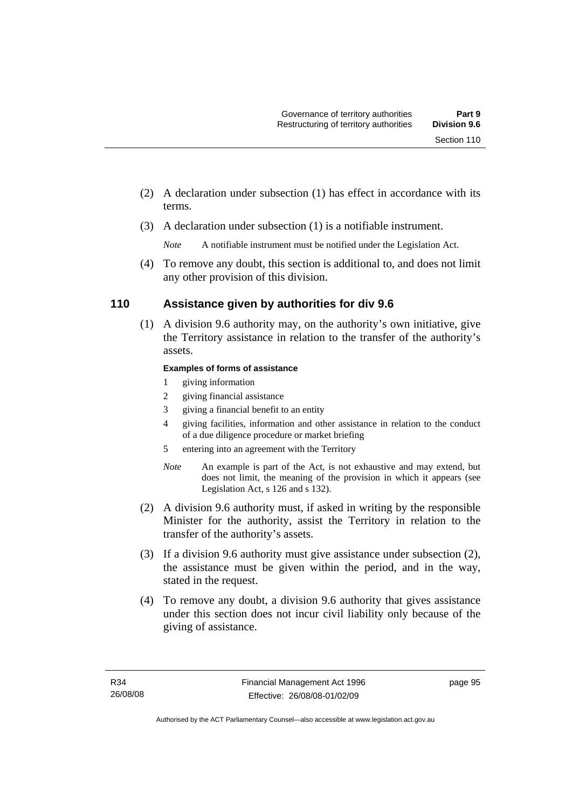- (2) A declaration under subsection (1) has effect in accordance with its terms.
- (3) A declaration under subsection (1) is a notifiable instrument.

 (4) To remove any doubt, this section is additional to, and does not limit any other provision of this division.

# **110 Assistance given by authorities for div 9.6**

 (1) A division 9.6 authority may, on the authority's own initiative, give the Territory assistance in relation to the transfer of the authority's assets.

#### **Examples of forms of assistance**

- 1 giving information
- 2 giving financial assistance
- 3 giving a financial benefit to an entity
- 4 giving facilities, information and other assistance in relation to the conduct of a due diligence procedure or market briefing
- 5 entering into an agreement with the Territory
- *Note* An example is part of the Act, is not exhaustive and may extend, but does not limit, the meaning of the provision in which it appears (see Legislation Act, s 126 and s 132).
- (2) A division 9.6 authority must, if asked in writing by the responsible Minister for the authority, assist the Territory in relation to the transfer of the authority's assets.
- (3) If a division 9.6 authority must give assistance under subsection (2), the assistance must be given within the period, and in the way, stated in the request.
- (4) To remove any doubt, a division 9.6 authority that gives assistance under this section does not incur civil liability only because of the giving of assistance.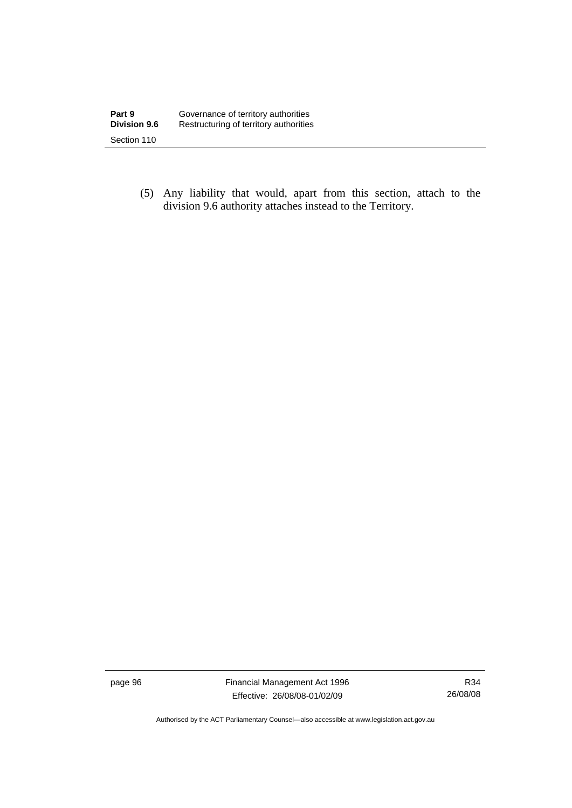(5) Any liability that would, apart from this section, attach to the division 9.6 authority attaches instead to the Territory.

page 96 Financial Management Act 1996 Effective: 26/08/08-01/02/09

R34 26/08/08

Authorised by the ACT Parliamentary Counsel—also accessible at www.legislation.act.gov.au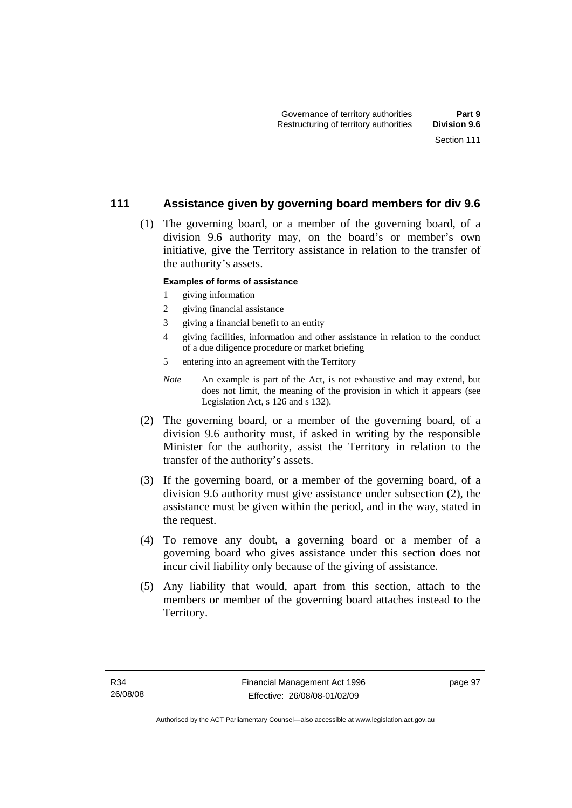# **111 Assistance given by governing board members for div 9.6**

 (1) The governing board, or a member of the governing board, of a division 9.6 authority may, on the board's or member's own initiative, give the Territory assistance in relation to the transfer of the authority's assets.

#### **Examples of forms of assistance**

- 1 giving information
- 2 giving financial assistance
- 3 giving a financial benefit to an entity
- 4 giving facilities, information and other assistance in relation to the conduct of a due diligence procedure or market briefing
- 5 entering into an agreement with the Territory
- *Note* An example is part of the Act, is not exhaustive and may extend, but does not limit, the meaning of the provision in which it appears (see Legislation Act, s 126 and s 132).
- (2) The governing board, or a member of the governing board, of a division 9.6 authority must, if asked in writing by the responsible Minister for the authority, assist the Territory in relation to the transfer of the authority's assets.
- (3) If the governing board, or a member of the governing board, of a division 9.6 authority must give assistance under subsection (2), the assistance must be given within the period, and in the way, stated in the request.
- (4) To remove any doubt, a governing board or a member of a governing board who gives assistance under this section does not incur civil liability only because of the giving of assistance.
- (5) Any liability that would, apart from this section, attach to the members or member of the governing board attaches instead to the Territory.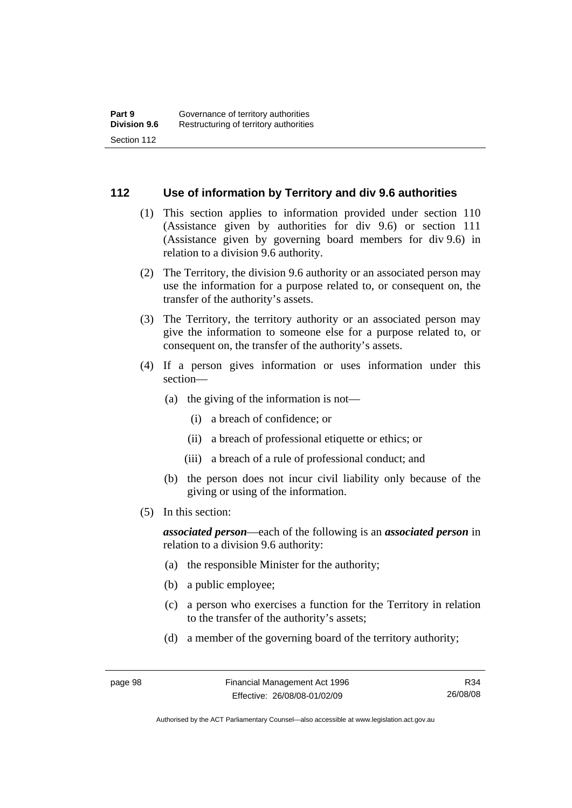# **112 Use of information by Territory and div 9.6 authorities**

- (1) This section applies to information provided under section 110 (Assistance given by authorities for div 9.6) or section 111 (Assistance given by governing board members for div 9.6) in relation to a division 9.6 authority.
- (2) The Territory, the division 9.6 authority or an associated person may use the information for a purpose related to, or consequent on, the transfer of the authority's assets.
- (3) The Territory, the territory authority or an associated person may give the information to someone else for a purpose related to, or consequent on, the transfer of the authority's assets.
- (4) If a person gives information or uses information under this section—
	- (a) the giving of the information is not—
		- (i) a breach of confidence; or
		- (ii) a breach of professional etiquette or ethics; or
		- (iii) a breach of a rule of professional conduct; and
	- (b) the person does not incur civil liability only because of the giving or using of the information.
- (5) In this section:

*associated person*—each of the following is an *associated person* in relation to a division 9.6 authority:

- (a) the responsible Minister for the authority;
- (b) a public employee;
- (c) a person who exercises a function for the Territory in relation to the transfer of the authority's assets;
- (d) a member of the governing board of the territory authority;

R34 26/08/08

Authorised by the ACT Parliamentary Counsel—also accessible at www.legislation.act.gov.au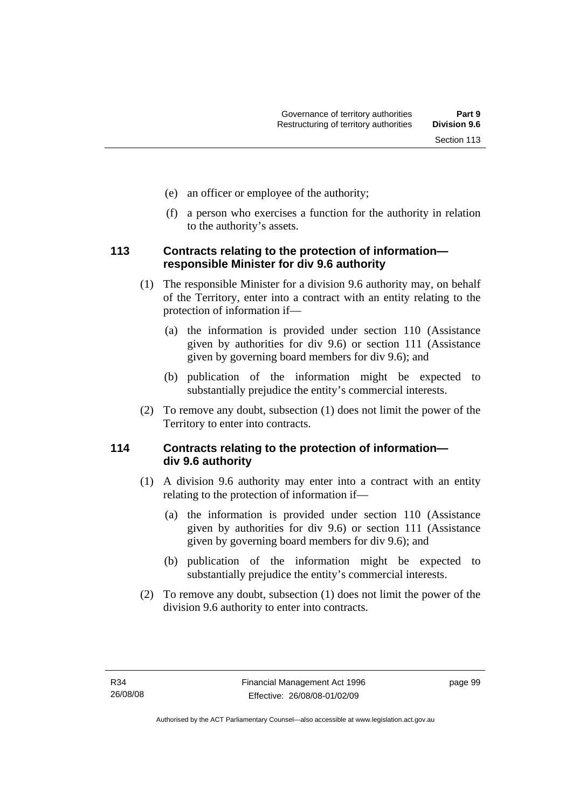- (e) an officer or employee of the authority;
- (f) a person who exercises a function for the authority in relation to the authority's assets.

### **113 Contracts relating to the protection of information responsible Minister for div 9.6 authority**

- (1) The responsible Minister for a division 9.6 authority may, on behalf of the Territory, enter into a contract with an entity relating to the protection of information if—
	- (a) the information is provided under section 110 (Assistance given by authorities for div 9.6) or section 111 (Assistance given by governing board members for div 9.6); and
	- (b) publication of the information might be expected to substantially prejudice the entity's commercial interests.
- (2) To remove any doubt, subsection (1) does not limit the power of the Territory to enter into contracts.

## **114 Contracts relating to the protection of information div 9.6 authority**

- (1) A division 9.6 authority may enter into a contract with an entity relating to the protection of information if—
	- (a) the information is provided under section 110 (Assistance given by authorities for div 9.6) or section 111 (Assistance given by governing board members for div 9.6); and
	- (b) publication of the information might be expected to substantially prejudice the entity's commercial interests.
- (2) To remove any doubt, subsection (1) does not limit the power of the division 9.6 authority to enter into contracts.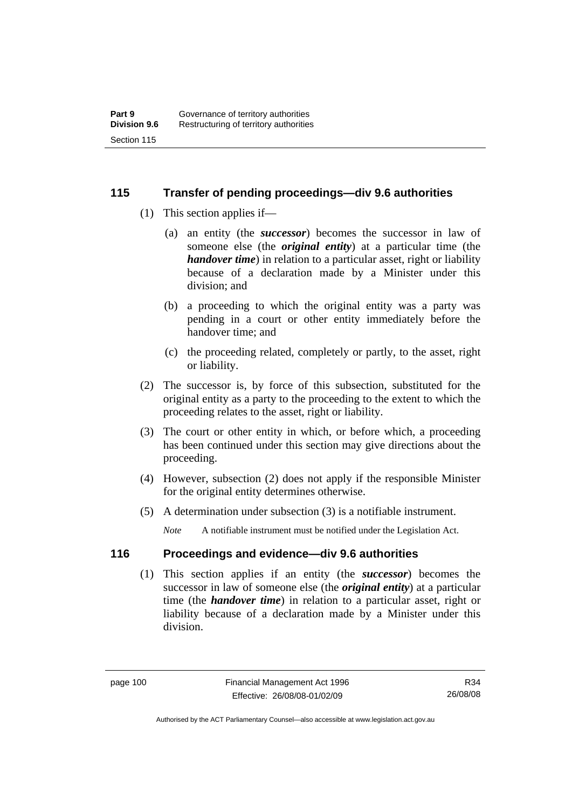### **115 Transfer of pending proceedings—div 9.6 authorities**

- (1) This section applies if—
	- (a) an entity (the *successor*) becomes the successor in law of someone else (the *original entity*) at a particular time (the *handover time*) in relation to a particular asset, right or liability because of a declaration made by a Minister under this division; and
	- (b) a proceeding to which the original entity was a party was pending in a court or other entity immediately before the handover time; and
	- (c) the proceeding related, completely or partly, to the asset, right or liability.
- (2) The successor is, by force of this subsection, substituted for the original entity as a party to the proceeding to the extent to which the proceeding relates to the asset, right or liability.
- (3) The court or other entity in which, or before which, a proceeding has been continued under this section may give directions about the proceeding.
- (4) However, subsection (2) does not apply if the responsible Minister for the original entity determines otherwise.
- (5) A determination under subsection (3) is a notifiable instrument.

*Note* A notifiable instrument must be notified under the Legislation Act.

## **116 Proceedings and evidence—div 9.6 authorities**

 (1) This section applies if an entity (the *successor*) becomes the successor in law of someone else (the *original entity*) at a particular time (the *handover time*) in relation to a particular asset, right or liability because of a declaration made by a Minister under this division.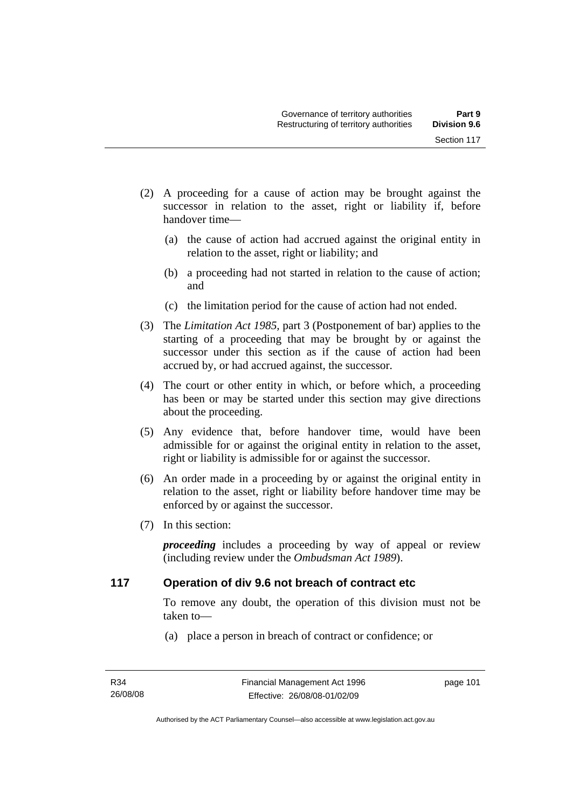- (2) A proceeding for a cause of action may be brought against the successor in relation to the asset, right or liability if, before handover time—
	- (a) the cause of action had accrued against the original entity in relation to the asset, right or liability; and
	- (b) a proceeding had not started in relation to the cause of action; and
	- (c) the limitation period for the cause of action had not ended.
- (3) The *Limitation Act 1985,* part 3 (Postponement of bar) applies to the starting of a proceeding that may be brought by or against the successor under this section as if the cause of action had been accrued by, or had accrued against, the successor.
- (4) The court or other entity in which, or before which, a proceeding has been or may be started under this section may give directions about the proceeding.
- (5) Any evidence that, before handover time, would have been admissible for or against the original entity in relation to the asset, right or liability is admissible for or against the successor.
- (6) An order made in a proceeding by or against the original entity in relation to the asset, right or liability before handover time may be enforced by or against the successor.
- (7) In this section:

*proceeding* includes a proceeding by way of appeal or review (including review under the *Ombudsman Act 1989*).

### **117 Operation of div 9.6 not breach of contract etc**

To remove any doubt, the operation of this division must not be taken to—

(a) place a person in breach of contract or confidence; or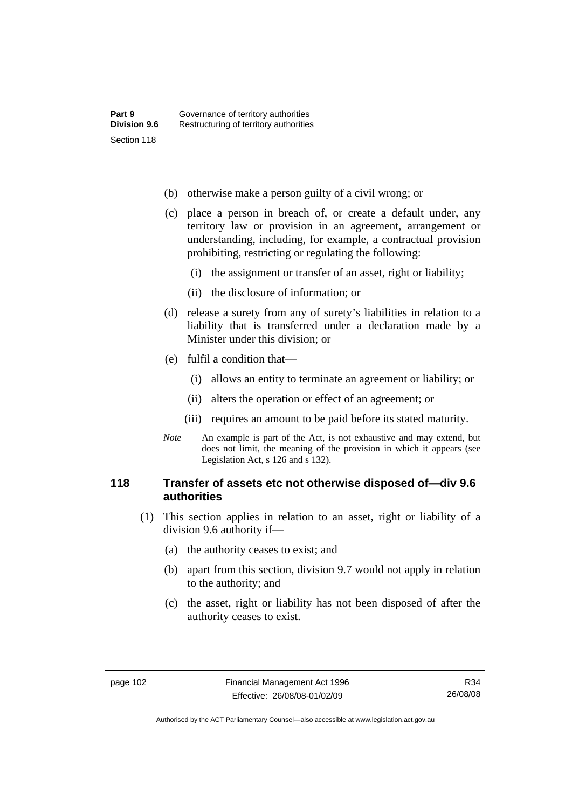- (b) otherwise make a person guilty of a civil wrong; or
- (c) place a person in breach of, or create a default under, any territory law or provision in an agreement, arrangement or understanding, including, for example, a contractual provision prohibiting, restricting or regulating the following:
	- (i) the assignment or transfer of an asset, right or liability;
	- (ii) the disclosure of information; or
- (d) release a surety from any of surety's liabilities in relation to a liability that is transferred under a declaration made by a Minister under this division; or
- (e) fulfil a condition that—
	- (i) allows an entity to terminate an agreement or liability; or
	- (ii) alters the operation or effect of an agreement; or
	- (iii) requires an amount to be paid before its stated maturity.
- *Note* An example is part of the Act, is not exhaustive and may extend, but does not limit, the meaning of the provision in which it appears (see Legislation Act, s 126 and s 132).

### **118 Transfer of assets etc not otherwise disposed of—div 9.6 authorities**

- (1) This section applies in relation to an asset, right or liability of a division 9.6 authority if—
	- (a) the authority ceases to exist; and
	- (b) apart from this section, division 9.7 would not apply in relation to the authority; and
	- (c) the asset, right or liability has not been disposed of after the authority ceases to exist.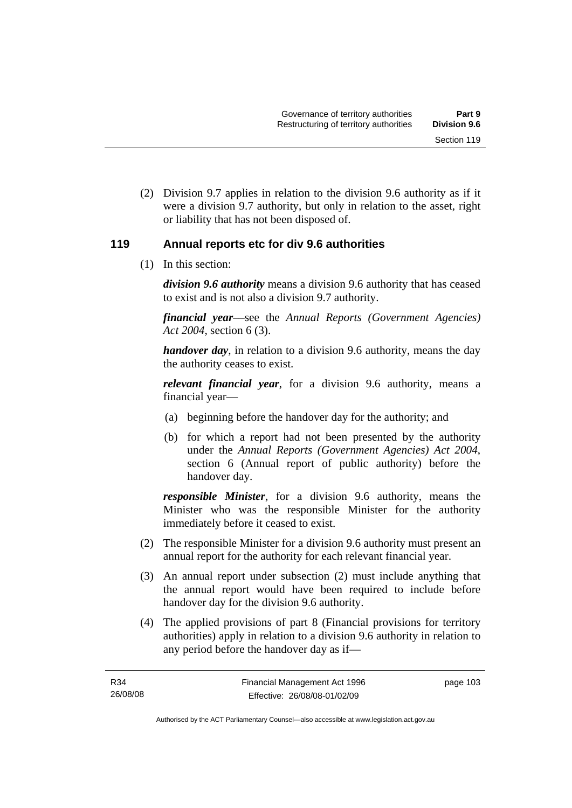(2) Division 9.7 applies in relation to the division 9.6 authority as if it were a division 9.7 authority, but only in relation to the asset, right or liability that has not been disposed of.

### **119 Annual reports etc for div 9.6 authorities**

(1) In this section:

*division 9.6 authority* means a division 9.6 authority that has ceased to exist and is not also a division 9.7 authority.

*financial year*––see the *Annual Reports (Government Agencies) Act 2004*, section 6 (3).

*handover day*, in relation to a division 9.6 authority, means the day the authority ceases to exist.

*relevant financial year*, for a division 9.6 authority, means a financial year—

- (a) beginning before the handover day for the authority; and
- (b) for which a report had not been presented by the authority under the *Annual Reports (Government Agencies) Act 2004*, section 6 (Annual report of public authority) before the handover day.

*responsible Minister*, for a division 9.6 authority, means the Minister who was the responsible Minister for the authority immediately before it ceased to exist.

- (2) The responsible Minister for a division 9.6 authority must present an annual report for the authority for each relevant financial year.
- (3) An annual report under subsection (2) must include anything that the annual report would have been required to include before handover day for the division 9.6 authority.
- (4) The applied provisions of part 8 (Financial provisions for territory authorities) apply in relation to a division 9.6 authority in relation to any period before the handover day as if—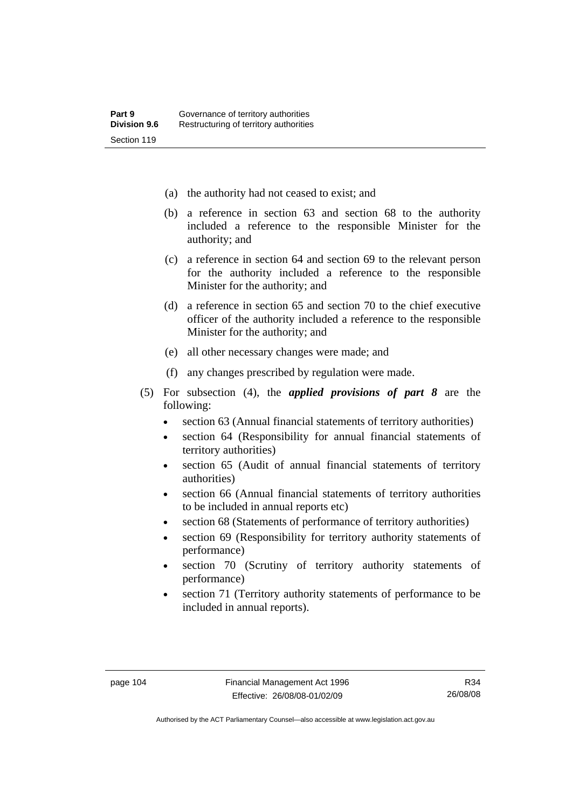- (a) the authority had not ceased to exist; and
- (b) a reference in section 63 and section 68 to the authority included a reference to the responsible Minister for the authority; and
- (c) a reference in section 64 and section 69 to the relevant person for the authority included a reference to the responsible Minister for the authority; and
- (d) a reference in section 65 and section 70 to the chief executive officer of the authority included a reference to the responsible Minister for the authority; and
- (e) all other necessary changes were made; and
- (f) any changes prescribed by regulation were made.
- (5) For subsection (4), the *applied provisions of part 8* are the following:
	- section 63 (Annual financial statements of territory authorities)
	- section 64 (Responsibility for annual financial statements of territory authorities)
	- section 65 (Audit of annual financial statements of territory authorities)
	- section 66 (Annual financial statements of territory authorities to be included in annual reports etc)
	- section 68 (Statements of performance of territory authorities)
	- section 69 (Responsibility for territory authority statements of performance)
	- section 70 (Scrutiny of territory authority statements of performance)
	- section 71 (Territory authority statements of performance to be included in annual reports).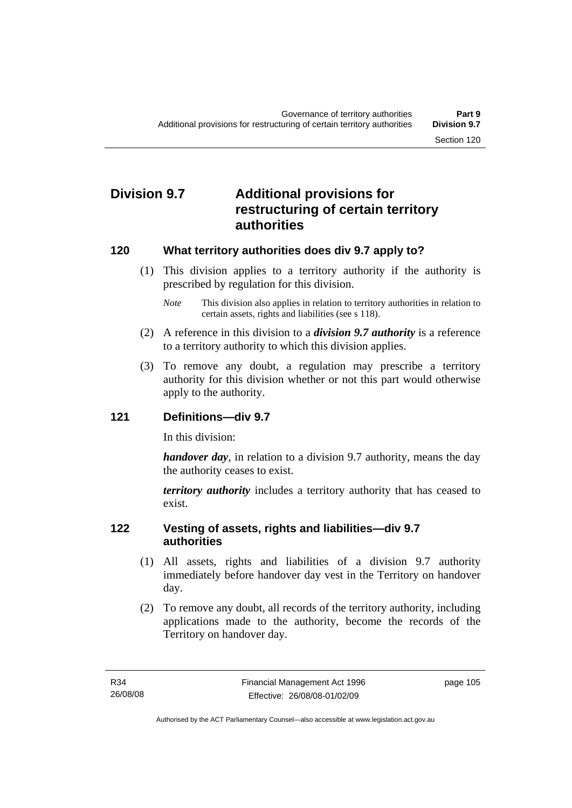# **Division 9.7 Additional provisions for restructuring of certain territory authorities**

### **120 What territory authorities does div 9.7 apply to?**

 (1) This division applies to a territory authority if the authority is prescribed by regulation for this division.

*Note* This division also applies in relation to territory authorities in relation to certain assets, rights and liabilities (see s 118).

- (2) A reference in this division to a *division 9.7 authority* is a reference to a territory authority to which this division applies.
- (3) To remove any doubt, a regulation may prescribe a territory authority for this division whether or not this part would otherwise apply to the authority.

### **121 Definitions—div 9.7**

In this division:

*handover day*, in relation to a division 9.7 authority, means the day the authority ceases to exist.

*territory authority* includes a territory authority that has ceased to exist.

### **122 Vesting of assets, rights and liabilities—div 9.7 authorities**

- (1) All assets, rights and liabilities of a division 9.7 authority immediately before handover day vest in the Territory on handover day.
- (2) To remove any doubt, all records of the territory authority, including applications made to the authority, become the records of the Territory on handover day.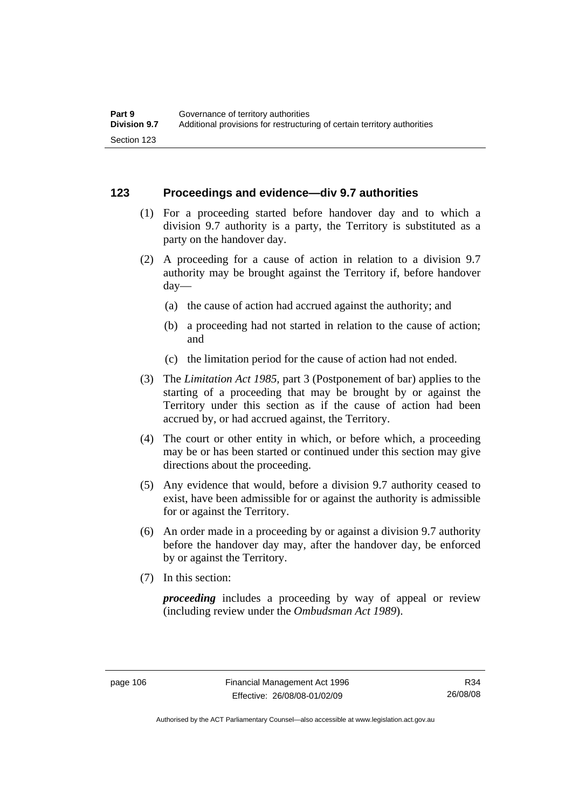### **123 Proceedings and evidence—div 9.7 authorities**

- (1) For a proceeding started before handover day and to which a division 9.7 authority is a party, the Territory is substituted as a party on the handover day.
- (2) A proceeding for a cause of action in relation to a division 9.7 authority may be brought against the Territory if, before handover day—
	- (a) the cause of action had accrued against the authority; and
	- (b) a proceeding had not started in relation to the cause of action; and
	- (c) the limitation period for the cause of action had not ended.
- (3) The *Limitation Act 1985,* part 3 (Postponement of bar) applies to the starting of a proceeding that may be brought by or against the Territory under this section as if the cause of action had been accrued by, or had accrued against, the Territory.
- (4) The court or other entity in which, or before which, a proceeding may be or has been started or continued under this section may give directions about the proceeding.
- (5) Any evidence that would, before a division 9.7 authority ceased to exist, have been admissible for or against the authority is admissible for or against the Territory.
- (6) An order made in a proceeding by or against a division 9.7 authority before the handover day may, after the handover day, be enforced by or against the Territory.
- (7) In this section:

*proceeding* includes a proceeding by way of appeal or review (including review under the *Ombudsman Act 1989*).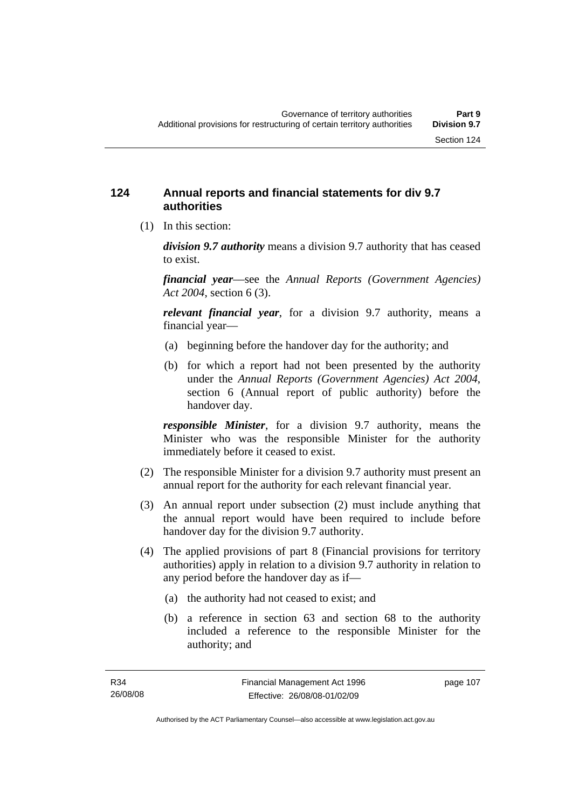### **124 Annual reports and financial statements for div 9.7 authorities**

(1) In this section:

*division 9.7 authority* means a division 9.7 authority that has ceased to exist.

*financial year*––see the *Annual Reports (Government Agencies) Act 2004*, section 6 (3).

*relevant financial year*, for a division 9.7 authority, means a financial year—

- (a) beginning before the handover day for the authority; and
- (b) for which a report had not been presented by the authority under the *Annual Reports (Government Agencies) Act 2004*, section 6 (Annual report of public authority) before the handover day.

*responsible Minister*, for a division 9.7 authority, means the Minister who was the responsible Minister for the authority immediately before it ceased to exist.

- (2) The responsible Minister for a division 9.7 authority must present an annual report for the authority for each relevant financial year.
- (3) An annual report under subsection (2) must include anything that the annual report would have been required to include before handover day for the division 9.7 authority.
- (4) The applied provisions of part 8 (Financial provisions for territory authorities) apply in relation to a division 9.7 authority in relation to any period before the handover day as if—
	- (a) the authority had not ceased to exist; and
	- (b) a reference in section 63 and section 68 to the authority included a reference to the responsible Minister for the authority; and

page 107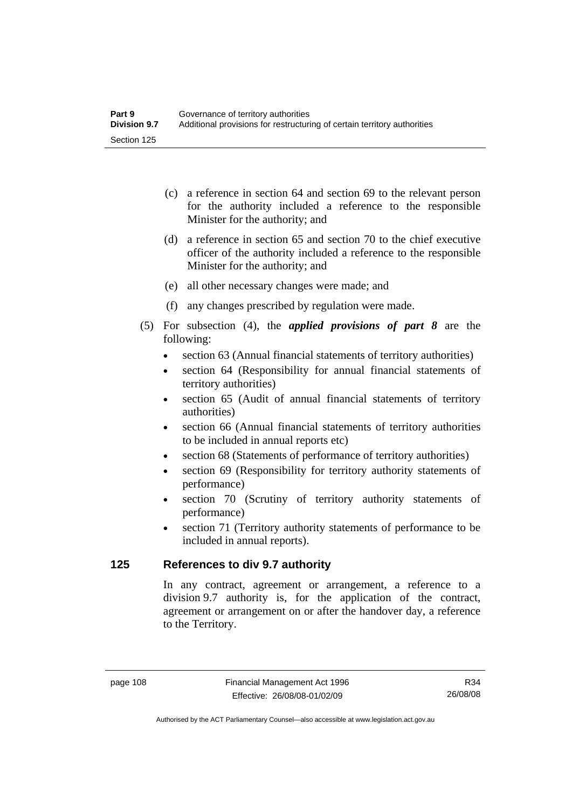- (c) a reference in section 64 and section 69 to the relevant person for the authority included a reference to the responsible Minister for the authority; and
- (d) a reference in section 65 and section 70 to the chief executive officer of the authority included a reference to the responsible Minister for the authority; and
- (e) all other necessary changes were made; and
- (f) any changes prescribed by regulation were made.
- (5) For subsection (4), the *applied provisions of part 8* are the following:
	- section 63 (Annual financial statements of territory authorities)
	- section 64 (Responsibility for annual financial statements of territory authorities)
	- section 65 (Audit of annual financial statements of territory authorities)
	- section 66 (Annual financial statements of territory authorities to be included in annual reports etc)
	- section 68 (Statements of performance of territory authorities)
	- section 69 (Responsibility for territory authority statements of performance)
	- section 70 (Scrutiny of territory authority statements of performance)
	- section 71 (Territory authority statements of performance to be included in annual reports).

### **125 References to div 9.7 authority**

In any contract, agreement or arrangement, a reference to a division 9.7 authority is, for the application of the contract, agreement or arrangement on or after the handover day, a reference to the Territory.

R34 26/08/08

Authorised by the ACT Parliamentary Counsel—also accessible at www.legislation.act.gov.au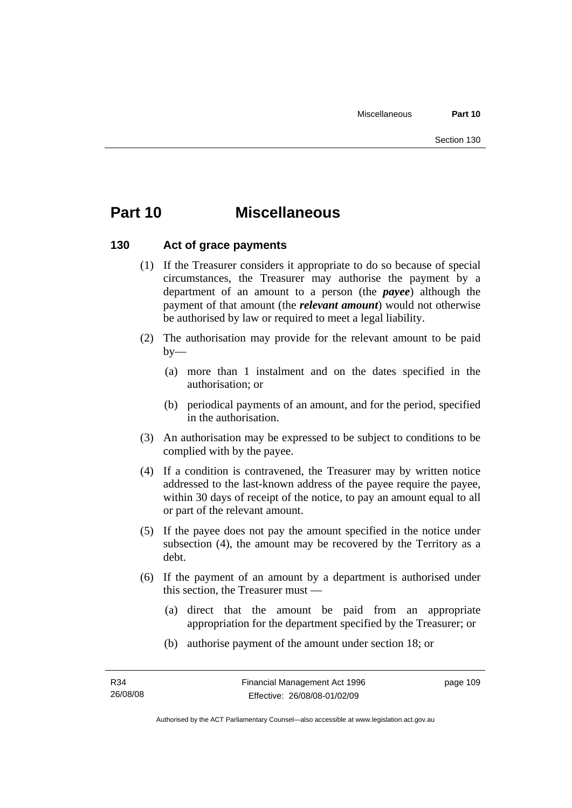# **Part 10 Miscellaneous**

### **130 Act of grace payments**

- (1) If the Treasurer considers it appropriate to do so because of special circumstances, the Treasurer may authorise the payment by a department of an amount to a person (the *payee*) although the payment of that amount (the *relevant amount*) would not otherwise be authorised by law or required to meet a legal liability.
- (2) The authorisation may provide for the relevant amount to be paid  $by-$ 
	- (a) more than 1 instalment and on the dates specified in the authorisation; or
	- (b) periodical payments of an amount, and for the period, specified in the authorisation.
- (3) An authorisation may be expressed to be subject to conditions to be complied with by the payee.
- (4) If a condition is contravened, the Treasurer may by written notice addressed to the last-known address of the payee require the payee, within 30 days of receipt of the notice, to pay an amount equal to all or part of the relevant amount.
- (5) If the payee does not pay the amount specified in the notice under subsection (4), the amount may be recovered by the Territory as a debt.
- (6) If the payment of an amount by a department is authorised under this section, the Treasurer must —
	- (a) direct that the amount be paid from an appropriate appropriation for the department specified by the Treasurer; or
	- (b) authorise payment of the amount under section 18; or

page 109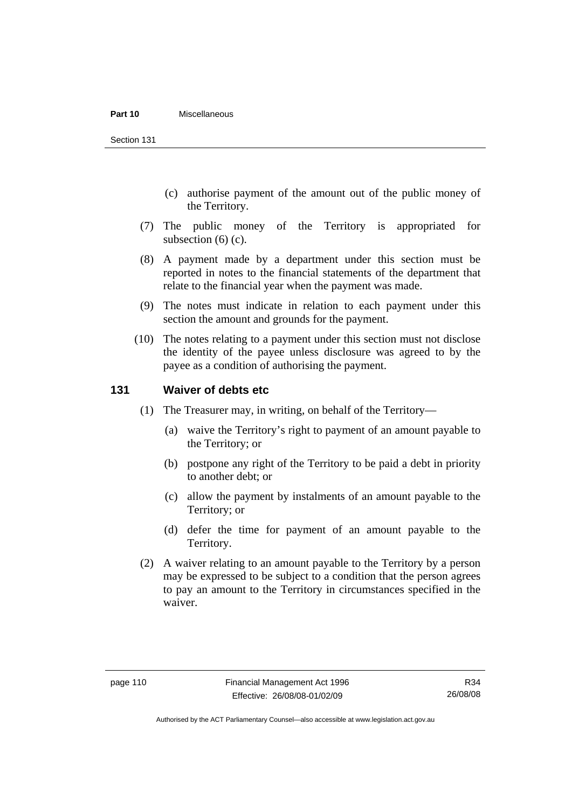#### **Part 10** Miscellaneous

Section 131

- (c) authorise payment of the amount out of the public money of the Territory.
- (7) The public money of the Territory is appropriated for subsection (6) (c).
- (8) A payment made by a department under this section must be reported in notes to the financial statements of the department that relate to the financial year when the payment was made.
- (9) The notes must indicate in relation to each payment under this section the amount and grounds for the payment.
- (10) The notes relating to a payment under this section must not disclose the identity of the payee unless disclosure was agreed to by the payee as a condition of authorising the payment.

### **131 Waiver of debts etc**

- (1) The Treasurer may, in writing, on behalf of the Territory—
	- (a) waive the Territory's right to payment of an amount payable to the Territory; or
	- (b) postpone any right of the Territory to be paid a debt in priority to another debt; or
	- (c) allow the payment by instalments of an amount payable to the Territory; or
	- (d) defer the time for payment of an amount payable to the Territory.
- (2) A waiver relating to an amount payable to the Territory by a person may be expressed to be subject to a condition that the person agrees to pay an amount to the Territory in circumstances specified in the waiver.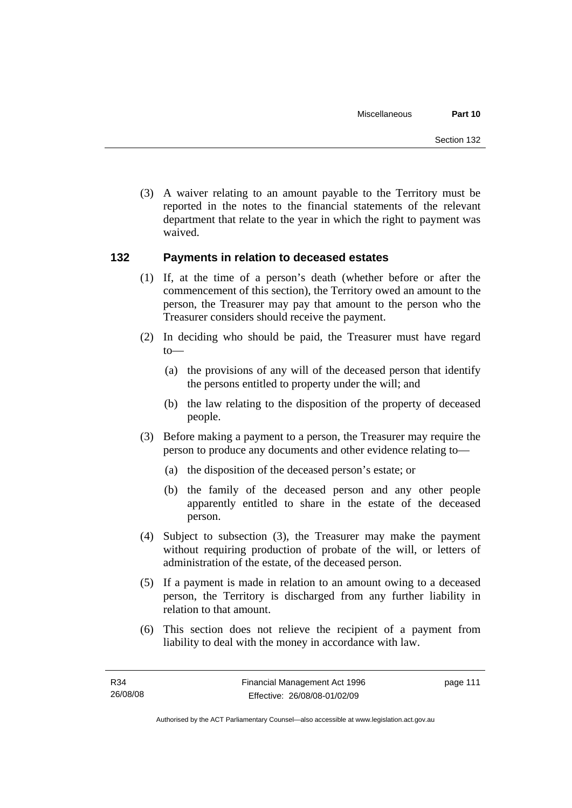(3) A waiver relating to an amount payable to the Territory must be reported in the notes to the financial statements of the relevant department that relate to the year in which the right to payment was waived.

### **132 Payments in relation to deceased estates**

- (1) If, at the time of a person's death (whether before or after the commencement of this section), the Territory owed an amount to the person, the Treasurer may pay that amount to the person who the Treasurer considers should receive the payment.
- (2) In deciding who should be paid, the Treasurer must have regard to—
	- (a) the provisions of any will of the deceased person that identify the persons entitled to property under the will; and
	- (b) the law relating to the disposition of the property of deceased people.
- (3) Before making a payment to a person, the Treasurer may require the person to produce any documents and other evidence relating to—
	- (a) the disposition of the deceased person's estate; or
	- (b) the family of the deceased person and any other people apparently entitled to share in the estate of the deceased person.
- (4) Subject to subsection (3), the Treasurer may make the payment without requiring production of probate of the will, or letters of administration of the estate, of the deceased person.
- (5) If a payment is made in relation to an amount owing to a deceased person, the Territory is discharged from any further liability in relation to that amount.
- (6) This section does not relieve the recipient of a payment from liability to deal with the money in accordance with law.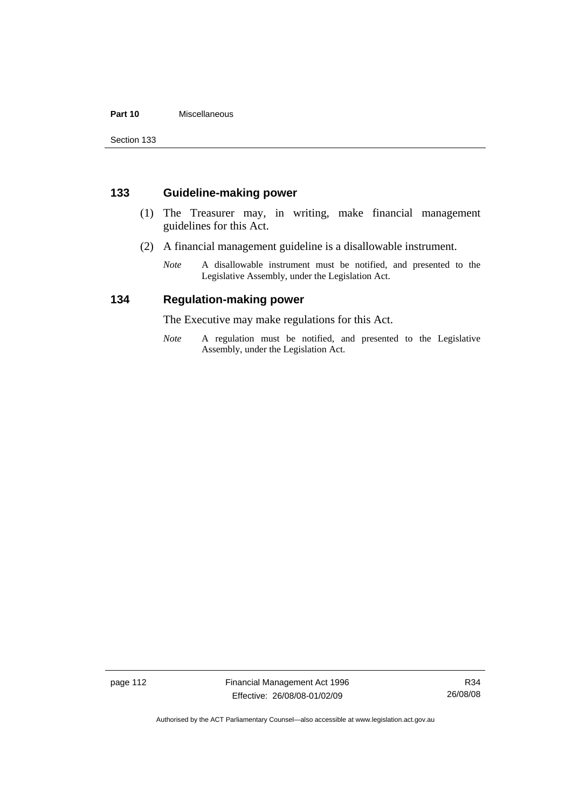### **Part 10** Miscellaneous

Section 133

### **133 Guideline-making power**

- (1) The Treasurer may, in writing, make financial management guidelines for this Act.
- (2) A financial management guideline is a disallowable instrument.
	- *Note* A disallowable instrument must be notified, and presented to the Legislative Assembly, under the Legislation Act.

### **134 Regulation-making power**

The Executive may make regulations for this Act.

*Note* A regulation must be notified, and presented to the Legislative Assembly, under the Legislation Act.

page 112 Financial Management Act 1996 Effective: 26/08/08-01/02/09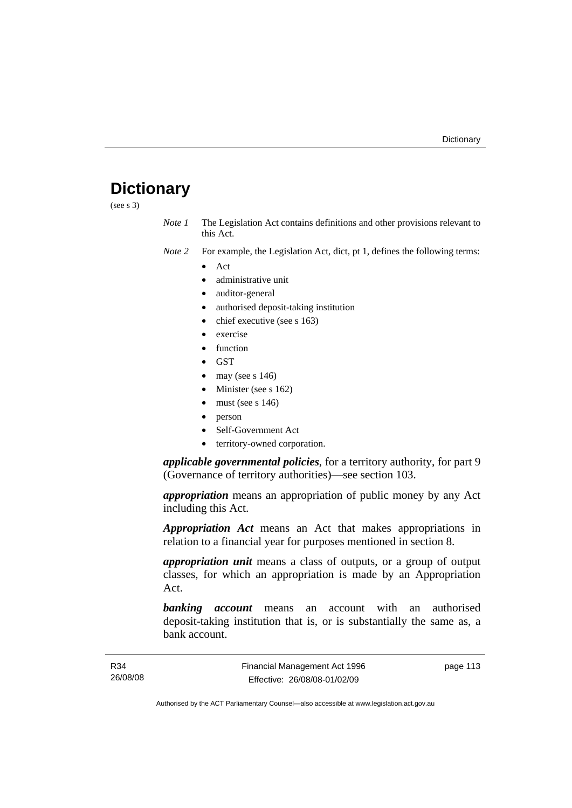# **Dictionary**

(see s 3)

*Note 1* The Legislation Act contains definitions and other provisions relevant to this Act.

*Note 2* For example, the Legislation Act, dict, pt 1, defines the following terms:

- Act
	- administrative unit
	- auditor-general
	- authorised deposit-taking institution
	- chief executive (see s 163)
	- exercise
	- **function**
	- GST
	- may (see s  $146$ )
	- Minister (see s 162)
	- must (see s  $146$ )
	- person
	- Self-Government Act
	- territory-owned corporation.

*applicable governmental policies*, for a territory authority, for part 9 (Governance of territory authorities)—see section 103.

*appropriation* means an appropriation of public money by any Act including this Act.

*Appropriation Act* means an Act that makes appropriations in relation to a financial year for purposes mentioned in section 8.

*appropriation unit* means a class of outputs, or a group of output classes, for which an appropriation is made by an Appropriation Act.

*banking account* means an account with an authorised deposit-taking institution that is, or is substantially the same as, a bank account.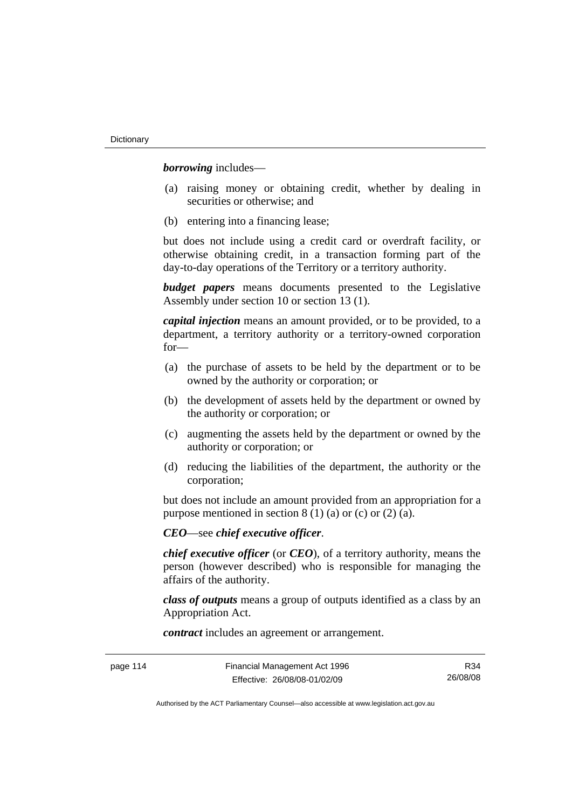*borrowing* includes—

- (a) raising money or obtaining credit, whether by dealing in securities or otherwise; and
- (b) entering into a financing lease;

but does not include using a credit card or overdraft facility, or otherwise obtaining credit, in a transaction forming part of the day-to-day operations of the Territory or a territory authority.

*budget papers* means documents presented to the Legislative Assembly under section 10 or section 13 (1).

*capital injection* means an amount provided, or to be provided, to a department, a territory authority or a territory-owned corporation for—

- (a) the purchase of assets to be held by the department or to be owned by the authority or corporation; or
- (b) the development of assets held by the department or owned by the authority or corporation; or
- (c) augmenting the assets held by the department or owned by the authority or corporation; or
- (d) reducing the liabilities of the department, the authority or the corporation;

but does not include an amount provided from an appropriation for a purpose mentioned in section  $8(1)(a)$  or (c) or (2) (a).

*CEO*—see *chief executive officer*.

*chief executive officer* (or *CEO*), of a territory authority, means the person (however described) who is responsible for managing the affairs of the authority.

*class of outputs* means a group of outputs identified as a class by an Appropriation Act.

*contract* includes an agreement or arrangement.

| page 114 |  |
|----------|--|
|----------|--|

R34 26/08/08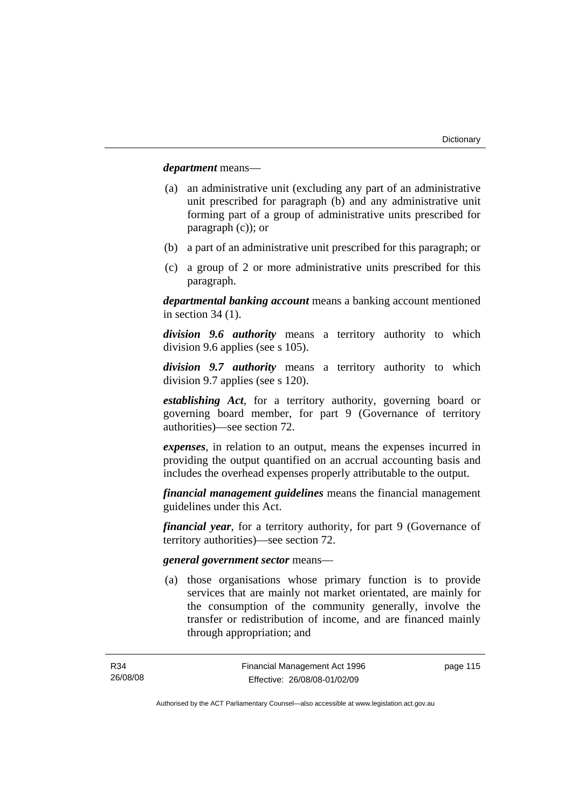*department* means—

- (a) an administrative unit (excluding any part of an administrative unit prescribed for paragraph (b) and any administrative unit forming part of a group of administrative units prescribed for paragraph (c)); or
- (b) a part of an administrative unit prescribed for this paragraph; or
- (c) a group of 2 or more administrative units prescribed for this paragraph.

*departmental banking account* means a banking account mentioned in section 34 (1).

*division 9.6 authority* means a territory authority to which division 9.6 applies (see s 105).

*division 9.7 authority* means a territory authority to which division 9.7 applies (see s 120).

*establishing Act*, for a territory authority, governing board or governing board member, for part 9 (Governance of territory authorities)—see section 72.

*expenses*, in relation to an output, means the expenses incurred in providing the output quantified on an accrual accounting basis and includes the overhead expenses properly attributable to the output.

*financial management guidelines* means the financial management guidelines under this Act.

*financial year*, for a territory authority, for part 9 (Governance of territory authorities)—see section 72.

#### *general government sector* means—

 (a) those organisations whose primary function is to provide services that are mainly not market orientated, are mainly for the consumption of the community generally, involve the transfer or redistribution of income, and are financed mainly through appropriation; and

page 115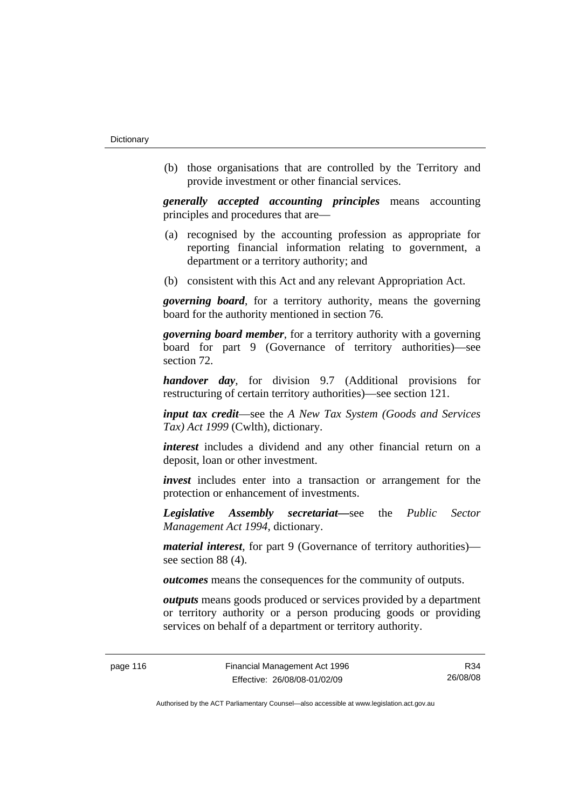(b) those organisations that are controlled by the Territory and provide investment or other financial services.

*generally accepted accounting principles* means accounting principles and procedures that are—

- (a) recognised by the accounting profession as appropriate for reporting financial information relating to government, a department or a territory authority; and
- (b) consistent with this Act and any relevant Appropriation Act.

*governing board*, for a territory authority, means the governing board for the authority mentioned in section 76.

*governing board member*, for a territory authority with a governing board for part 9 (Governance of territory authorities)—see section 72.

*handover day*, for division 9.7 (Additional provisions for restructuring of certain territory authorities)—see section 121.

*input tax credit*—see the *A New Tax System (Goods and Services Tax) Act 1999* (Cwlth), dictionary.

*interest* includes a dividend and any other financial return on a deposit, loan or other investment.

*invest* includes enter into a transaction or arrangement for the protection or enhancement of investments.

*Legislative Assembly secretariat***—**see the *Public Sector Management Act 1994*, dictionary.

*material interest*, for part 9 (Governance of territory authorities) see section 88 (4).

*outcomes* means the consequences for the community of outputs.

*outputs* means goods produced or services provided by a department or territory authority or a person producing goods or providing services on behalf of a department or territory authority.

R34 26/08/08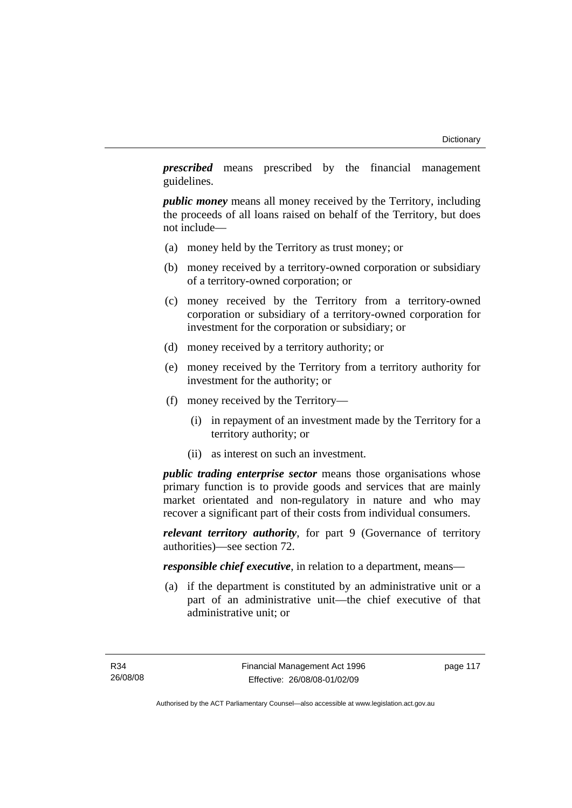*prescribed* means prescribed by the financial management guidelines.

*public money* means all money received by the Territory, including the proceeds of all loans raised on behalf of the Territory, but does not include—

- (a) money held by the Territory as trust money; or
- (b) money received by a territory-owned corporation or subsidiary of a territory-owned corporation; or
- (c) money received by the Territory from a territory-owned corporation or subsidiary of a territory-owned corporation for investment for the corporation or subsidiary; or
- (d) money received by a territory authority; or
- (e) money received by the Territory from a territory authority for investment for the authority; or
- (f) money received by the Territory—
	- (i) in repayment of an investment made by the Territory for a territory authority; or
	- (ii) as interest on such an investment.

*public trading enterprise sector* means those organisations whose primary function is to provide goods and services that are mainly market orientated and non-regulatory in nature and who may recover a significant part of their costs from individual consumers.

*relevant territory authority*, for part 9 (Governance of territory authorities)—see section 72.

*responsible chief executive*, in relation to a department, means—

 (a) if the department is constituted by an administrative unit or a part of an administrative unit—the chief executive of that administrative unit; or

page 117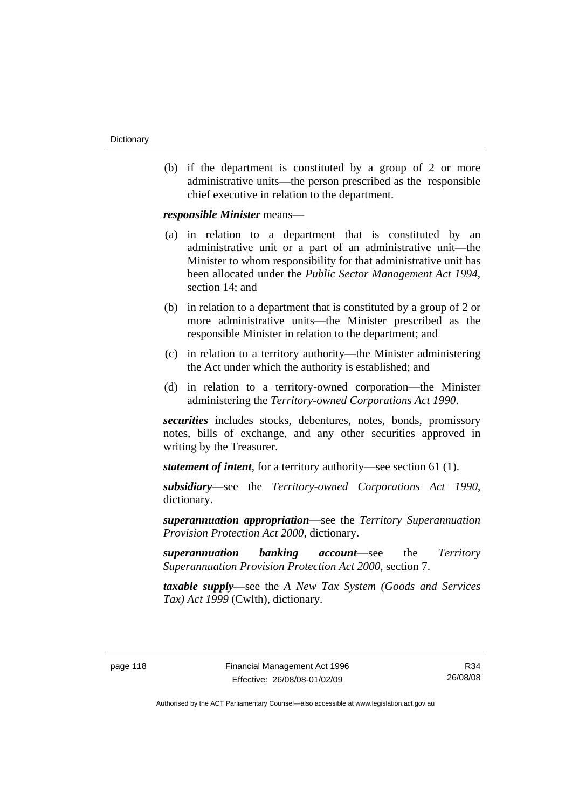(b) if the department is constituted by a group of 2 or more administrative units—the person prescribed as the responsible chief executive in relation to the department.

*responsible Minister* means—

- (a) in relation to a department that is constituted by an administrative unit or a part of an administrative unit—the Minister to whom responsibility for that administrative unit has been allocated under the *Public Sector Management Act 1994*, section 14; and
- (b) in relation to a department that is constituted by a group of 2 or more administrative units—the Minister prescribed as the responsible Minister in relation to the department; and
- (c) in relation to a territory authority—the Minister administering the Act under which the authority is established; and
- (d) in relation to a territory-owned corporation—the Minister administering the *Territory-owned Corporations Act 1990*.

*securities* includes stocks, debentures, notes, bonds, promissory notes, bills of exchange, and any other securities approved in writing by the Treasurer.

*statement of intent*, for a territory authority—see section 61 (1).

*subsidiary*—see the *Territory-owned Corporations Act 1990*, dictionary.

*superannuation appropriation*—see the *Territory Superannuation Provision Protection Act 2000*, dictionary.

*superannuation banking account*—see the *Territory Superannuation Provision Protection Act 2000*, section 7.

*taxable supply*—see the *A New Tax System (Goods and Services Tax) Act 1999* (Cwlth), dictionary.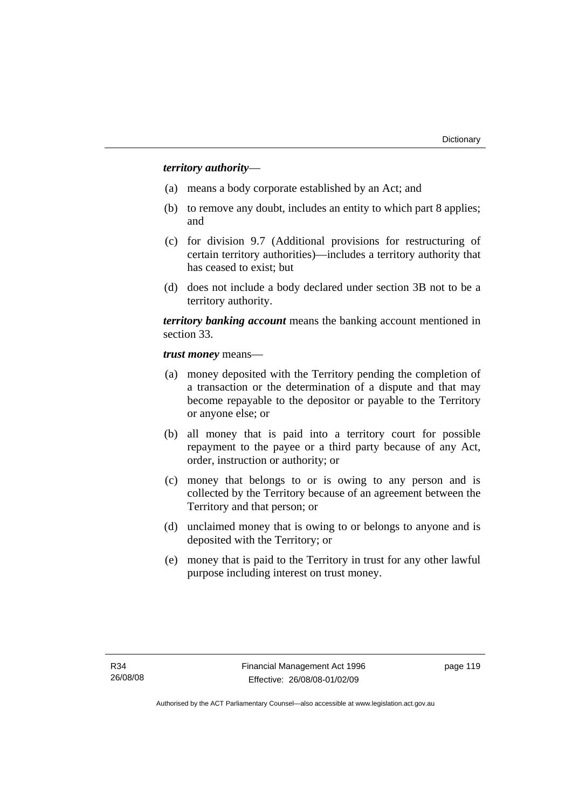### *territory authority*—

- (a) means a body corporate established by an Act; and
- (b) to remove any doubt, includes an entity to which part 8 applies; and
- (c) for division 9.7 (Additional provisions for restructuring of certain territory authorities)—includes a territory authority that has ceased to exist; but
- (d) does not include a body declared under section 3B not to be a territory authority.

*territory banking account* means the banking account mentioned in section 33.

*trust money* means—

- (a) money deposited with the Territory pending the completion of a transaction or the determination of a dispute and that may become repayable to the depositor or payable to the Territory or anyone else; or
- (b) all money that is paid into a territory court for possible repayment to the payee or a third party because of any Act, order, instruction or authority; or
- (c) money that belongs to or is owing to any person and is collected by the Territory because of an agreement between the Territory and that person; or
- (d) unclaimed money that is owing to or belongs to anyone and is deposited with the Territory; or
- (e) money that is paid to the Territory in trust for any other lawful purpose including interest on trust money.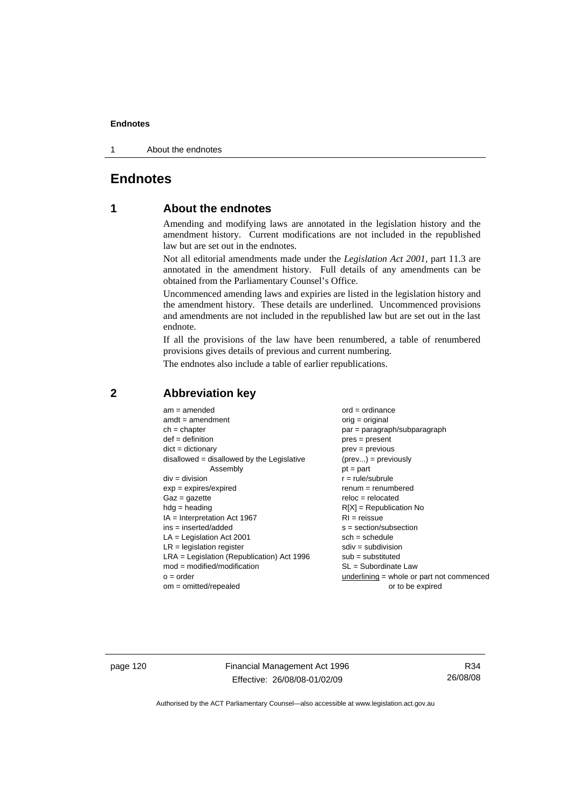1 About the endnotes

### **Endnotes**

### **1 About the endnotes**

Amending and modifying laws are annotated in the legislation history and the amendment history. Current modifications are not included in the republished law but are set out in the endnotes.

Not all editorial amendments made under the *Legislation Act 2001*, part 11.3 are annotated in the amendment history. Full details of any amendments can be obtained from the Parliamentary Counsel's Office.

Uncommenced amending laws and expiries are listed in the legislation history and the amendment history. These details are underlined. Uncommenced provisions and amendments are not included in the republished law but are set out in the last endnote.

If all the provisions of the law have been renumbered, a table of renumbered provisions gives details of previous and current numbering.

The endnotes also include a table of earlier republications.

| $am = amended$                               | $ord = ordinance$                         |
|----------------------------------------------|-------------------------------------------|
| $amdt = amendment$                           | $orig = original$                         |
| $ch = chapter$                               | par = paragraph/subparagraph              |
| $def = definition$                           | $pres = present$                          |
| $dict = dictionary$                          | $prev = previous$                         |
| disallowed = disallowed by the Legislative   | $(\text{prev}) = \text{previously}$       |
| Assembly                                     | $pt = part$                               |
| $div = division$                             | $r = rule/subrule$                        |
| $exp = expires/expired$                      | $renum = renumbered$                      |
| $Gaz = gazette$                              | $reloc = relocated$                       |
| $hdg =$ heading                              | $R[X]$ = Republication No                 |
| $IA = Interpretation Act 1967$               | $RI = reissue$                            |
| $ins = inserted/added$                       | $s = section/subsection$                  |
| $LA =$ Legislation Act 2001                  | $sch = schedule$                          |
| $LR =$ legislation register                  | $sdiv = subdivision$                      |
| $LRA =$ Legislation (Republication) Act 1996 | $sub = substituted$                       |
| $mod = modified/modification$                | $SL = Subordinate$ Law                    |
| $o = order$                                  | underlining = whole or part not commenced |
| $om = omitted/report$                        | or to be expired                          |
|                                              |                                           |

### **2 Abbreviation key**

page 120 Financial Management Act 1996 Effective: 26/08/08-01/02/09

R34 26/08/08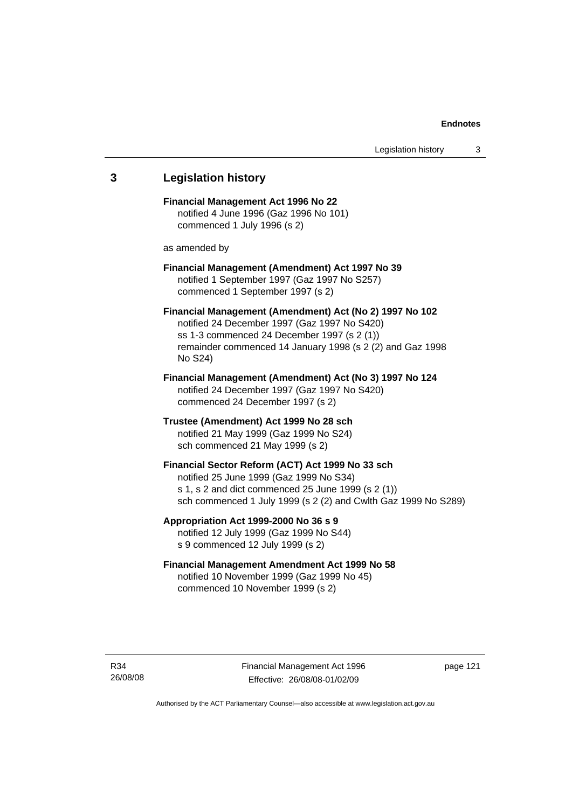# **3 Legislation history Financial Management Act 1996 No 22**  notified 4 June 1996 (Gaz 1996 No 101) commenced 1 July 1996 (s 2) as amended by **Financial Management (Amendment) Act 1997 No 39**  notified 1 September 1997 (Gaz 1997 No S257) commenced 1 September 1997 (s 2) **Financial Management (Amendment) Act (No 2) 1997 No 102**  notified 24 December 1997 (Gaz 1997 No S420) ss 1-3 commenced 24 December 1997 (s 2 (1)) remainder commenced 14 January 1998 (s 2 (2) and Gaz 1998 No S24) **Financial Management (Amendment) Act (No 3) 1997 No 124**  notified 24 December 1997 (Gaz 1997 No S420) commenced 24 December 1997 (s 2) **Trustee (Amendment) Act 1999 No 28 sch**  notified 21 May 1999 (Gaz 1999 No S24) sch commenced 21 May 1999 (s 2) **Financial Sector Reform (ACT) Act 1999 No 33 sch**  notified 25 June 1999 (Gaz 1999 No S34) s 1, s 2 and dict commenced 25 June 1999 (s 2 (1)) sch commenced 1 July 1999 (s 2 (2) and Cwlth Gaz 1999 No S289) **Appropriation Act 1999-2000 No 36 s 9**  notified 12 July 1999 (Gaz 1999 No S44) s 9 commenced 12 July 1999 (s 2) **Financial Management Amendment Act 1999 No 58**  notified 10 November 1999 (Gaz 1999 No 45) commenced 10 November 1999 (s 2)

Financial Management Act 1996 Effective: 26/08/08-01/02/09

page 121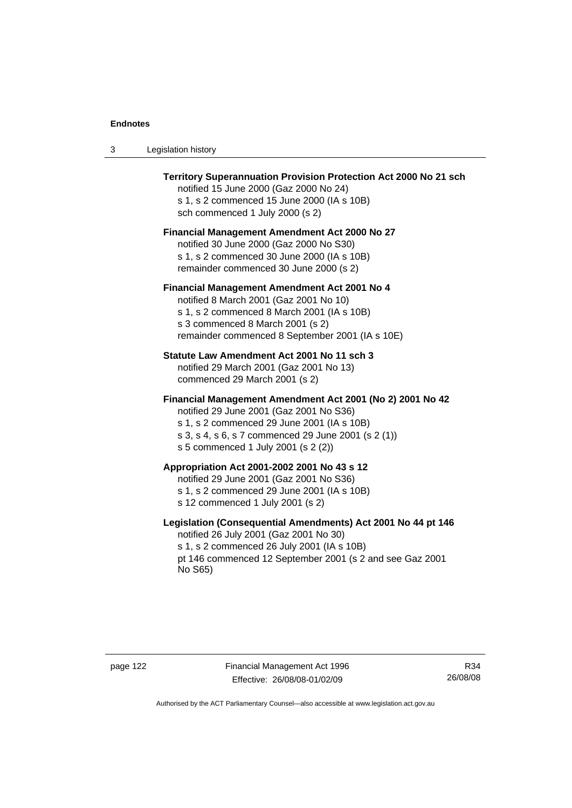| Legislation history<br>- 3 |  |
|----------------------------|--|
|----------------------------|--|

| Territory Superannuation Provision Protection Act 2000 No 21 sch<br>notified 15 June 2000 (Gaz 2000 No 24)<br>s 1, s 2 commenced 15 June 2000 (IA s 10B)<br>sch commenced 1 July 2000 (s 2)                                                      |
|--------------------------------------------------------------------------------------------------------------------------------------------------------------------------------------------------------------------------------------------------|
| <b>Financial Management Amendment Act 2000 No 27</b><br>notified 30 June 2000 (Gaz 2000 No S30)<br>s 1, s 2 commenced 30 June 2000 (IA s 10B)<br>remainder commenced 30 June 2000 (s 2)                                                          |
| Financial Management Amendment Act 2001 No 4<br>notified 8 March 2001 (Gaz 2001 No 10)<br>s 1, s 2 commenced 8 March 2001 (IA s 10B)<br>s 3 commenced 8 March 2001 (s 2)<br>remainder commenced 8 September 2001 (IA s 10E)                      |
| Statute Law Amendment Act 2001 No 11 sch 3<br>notified 29 March 2001 (Gaz 2001 No 13)<br>commenced 29 March 2001 (s 2)                                                                                                                           |
| Financial Management Amendment Act 2001 (No 2) 2001 No 42<br>notified 29 June 2001 (Gaz 2001 No S36)<br>s 1, s 2 commenced 29 June 2001 (IA s 10B)<br>s 3, s 4, s 6, s 7 commenced 29 June 2001 (s 2 (1))<br>s 5 commenced 1 July 2001 (s 2 (2)) |
| Appropriation Act 2001-2002 2001 No 43 s 12<br>notified 29 June 2001 (Gaz 2001 No S36)<br>s 1, s 2 commenced 29 June 2001 (IA s 10B)<br>s 12 commenced 1 July 2001 (s 2)                                                                         |
| Legislation (Consequential Amendments) Act 2001 No 44 pt 146<br>notified 26 July 2001 (Gaz 2001 No 30)<br>s 1, s 2 commenced 26 July 2001 (IA s 10B)<br>pt 146 commenced 12 September 2001 (s 2 and see Gaz 2001<br>No S65)                      |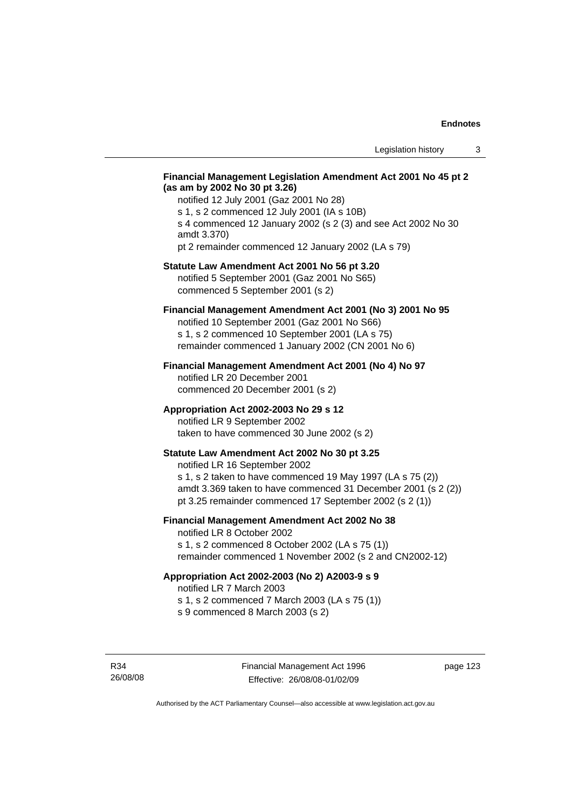### **Financial Management Legislation Amendment Act 2001 No 45 pt 2 (as am by 2002 No 30 pt 3.26)**

notified 12 July 2001 (Gaz 2001 No 28) s 1, s 2 commenced 12 July 2001 (IA s 10B) s 4 commenced 12 January 2002 (s 2 (3) and see Act 2002 No 30 amdt 3.370) pt 2 remainder commenced 12 January 2002 (LA s 79)

### **Statute Law Amendment Act 2001 No 56 pt 3.20**

notified 5 September 2001 (Gaz 2001 No S65) commenced 5 September 2001 (s 2)

### **Financial Management Amendment Act 2001 (No 3) 2001 No 95**

notified 10 September 2001 (Gaz 2001 No S66) s 1, s 2 commenced 10 September 2001 (LA s 75) remainder commenced 1 January 2002 (CN 2001 No 6)

#### **Financial Management Amendment Act 2001 (No 4) No 97**

notified LR 20 December 2001 commenced 20 December 2001 (s 2)

#### **Appropriation Act 2002-2003 No 29 s 12**

notified LR 9 September 2002 taken to have commenced 30 June 2002 (s 2)

### **Statute Law Amendment Act 2002 No 30 pt 3.25**

notified LR 16 September 2002 s 1, s 2 taken to have commenced 19 May 1997 (LA s 75 (2)) amdt 3.369 taken to have commenced 31 December 2001 (s 2 (2)) pt 3.25 remainder commenced 17 September 2002 (s 2 (1))

### **Financial Management Amendment Act 2002 No 38**

notified LR 8 October 2002 s 1, s 2 commenced 8 October 2002 (LA s 75 (1))

remainder commenced 1 November 2002 (s 2 and CN2002-12)

### **Appropriation Act 2002-2003 (No 2) A2003-9 s 9**

notified LR 7 March 2003

s 1, s 2 commenced 7 March 2003 (LA s 75 (1))

s 9 commenced 8 March 2003 (s 2)

R34 26/08/08 page 123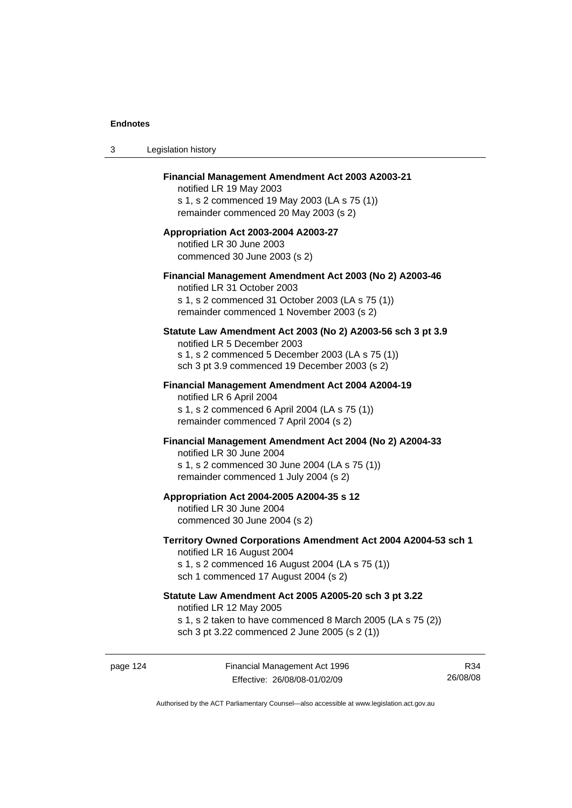| 3 | Legislation history                                                                                                                                                                              |
|---|--------------------------------------------------------------------------------------------------------------------------------------------------------------------------------------------------|
|   | Financial Management Amendment Act 2003 A2003-21<br>notified LR 19 May 2003<br>s 1, s 2 commenced 19 May 2003 (LA s 75 (1))<br>remainder commenced 20 May 2003 (s 2)                             |
|   | Appropriation Act 2003-2004 A2003-27<br>notified LR 30 June 2003<br>commenced 30 June 2003 (s 2)                                                                                                 |
|   | Financial Management Amendment Act 2003 (No 2) A2003-46<br>notified LR 31 October 2003<br>s 1, s 2 commenced 31 October 2003 (LA s 75 (1))<br>remainder commenced 1 November 2003 (s 2)          |
|   | Statute Law Amendment Act 2003 (No 2) A2003-56 sch 3 pt 3.9<br>notified LR 5 December 2003<br>s 1, s 2 commenced 5 December 2003 (LA s 75 (1))<br>sch 3 pt 3.9 commenced 19 December 2003 (s 2)  |
|   | Financial Management Amendment Act 2004 A2004-19<br>notified LR 6 April 2004<br>s 1, s 2 commenced 6 April 2004 (LA s 75 (1))<br>remainder commenced 7 April 2004 (s 2)                          |
|   | Financial Management Amendment Act 2004 (No 2) A2004-33<br>notified LR 30 June 2004<br>s 1, s 2 commenced 30 June 2004 (LA s 75 (1))<br>remainder commenced 1 July 2004 (s 2)                    |
|   | Appropriation Act 2004-2005 A2004-35 s 12<br>notified LR 30 June 2004<br>commenced 30 June 2004 (s 2)                                                                                            |
|   | Territory Owned Corporations Amendment Act 2004 A2004-53 sch 1<br>notified LR 16 August 2004<br>s 1, s 2 commenced 16 August 2004 (LA s 75 (1))<br>sch 1 commenced 17 August 2004 (s 2)          |
|   | Statute Law Amendment Act 2005 A2005-20 sch 3 pt 3.22<br>notified LR 12 May 2005<br>s 1, s 2 taken to have commenced 8 March 2005 (LA s 75 (2))<br>sch 3 pt 3.22 commenced 2 June 2005 (s 2 (1)) |
|   |                                                                                                                                                                                                  |

page 124 Financial Management Act 1996 Effective: 26/08/08-01/02/09

R34 26/08/08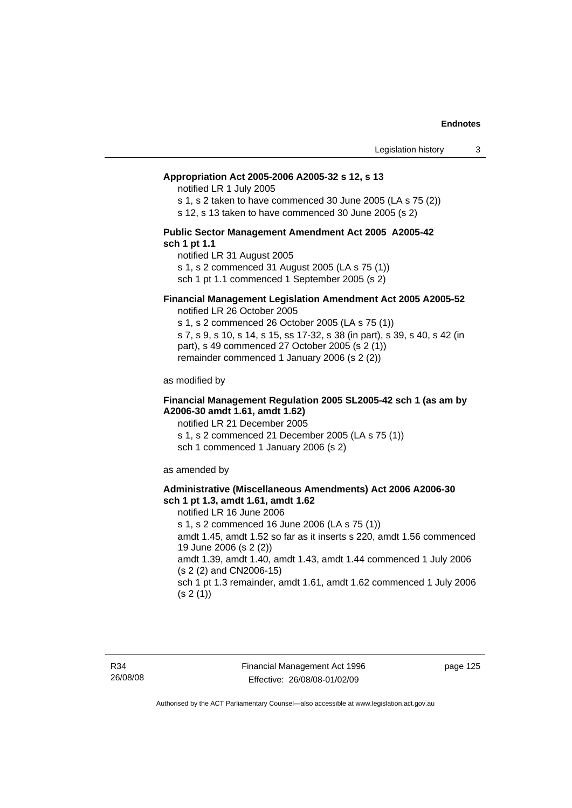#### **Appropriation Act 2005-2006 A2005-32 s 12, s 13**

notified LR 1 July 2005

s 1, s 2 taken to have commenced 30 June 2005 (LA s 75 (2))

s 12, s 13 taken to have commenced 30 June 2005 (s 2)

#### **Public Sector Management Amendment Act 2005 A2005-42 sch 1 pt 1.1**

notified LR 31 August 2005 s 1, s 2 commenced 31 August 2005 (LA s 75 (1)) sch 1 pt 1.1 commenced 1 September 2005 (s 2)

#### **Financial Management Legislation Amendment Act 2005 A2005-52**

notified LR 26 October 2005

s 1, s 2 commenced 26 October 2005 (LA s 75 (1)) s 7, s 9, s 10, s 14, s 15, ss 17-32, s 38 (in part), s 39, s 40, s 42 (in part), s 49 commenced 27 October 2005 (s 2 (1)) remainder commenced 1 January 2006 (s 2 (2))

as modified by

#### **Financial Management Regulation 2005 SL2005-42 sch 1 (as am by A2006-30 amdt 1.61, amdt 1.62)**

notified LR 21 December 2005 s 1, s 2 commenced 21 December 2005 (LA s 75 (1)) sch 1 commenced 1 January 2006 (s 2)

as amended by

#### **Administrative (Miscellaneous Amendments) Act 2006 A2006-30 sch 1 pt 1.3, amdt 1.61, amdt 1.62**

notified LR 16 June 2006 s 1, s 2 commenced 16 June 2006 (LA s 75 (1)) amdt 1.45, amdt 1.52 so far as it inserts s 220, amdt 1.56 commenced 19 June 2006 (s 2 (2)) amdt 1.39, amdt 1.40, amdt 1.43, amdt 1.44 commenced 1 July 2006 (s 2 (2) and CN2006-15) sch 1 pt 1.3 remainder, amdt 1.61, amdt 1.62 commenced 1 July 2006  $(s 2(1))$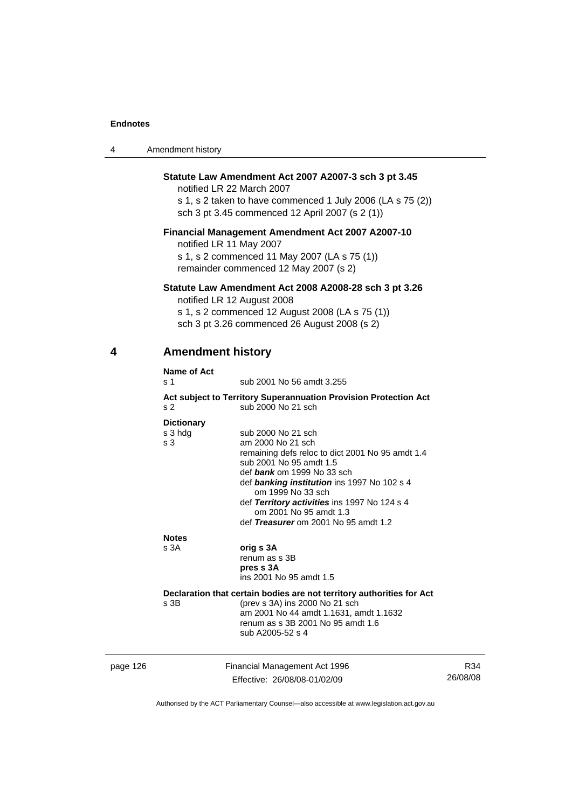| 4        | Amendment history                                                                                                                                                                                  |                                                                                                                                                                                                                                                                                                                                            |                 |  |  |
|----------|----------------------------------------------------------------------------------------------------------------------------------------------------------------------------------------------------|--------------------------------------------------------------------------------------------------------------------------------------------------------------------------------------------------------------------------------------------------------------------------------------------------------------------------------------------|-----------------|--|--|
|          | Statute Law Amendment Act 2007 A2007-3 sch 3 pt 3.45<br>notified LR 22 March 2007<br>s 1, s 2 taken to have commenced 1 July 2006 (LA s 75 (2))<br>sch 3 pt 3.45 commenced 12 April 2007 (s 2 (1)) |                                                                                                                                                                                                                                                                                                                                            |                 |  |  |
|          | <b>Financial Management Amendment Act 2007 A2007-10</b><br>notified LR 11 May 2007<br>s 1, s 2 commenced 11 May 2007 (LA s 75 (1))<br>remainder commenced 12 May 2007 (s 2)                        |                                                                                                                                                                                                                                                                                                                                            |                 |  |  |
|          |                                                                                                                                                                                                    | Statute Law Amendment Act 2008 A2008-28 sch 3 pt 3.26<br>notified LR 12 August 2008<br>s 1, s 2 commenced 12 August 2008 (LA s 75 (1))<br>sch 3 pt 3.26 commenced 26 August 2008 (s 2)                                                                                                                                                     |                 |  |  |
| 4        |                                                                                                                                                                                                    | <b>Amendment history</b>                                                                                                                                                                                                                                                                                                                   |                 |  |  |
|          | <b>Name of Act</b><br>s 1                                                                                                                                                                          | sub 2001 No 56 amdt 3.255                                                                                                                                                                                                                                                                                                                  |                 |  |  |
|          | s 2                                                                                                                                                                                                | Act subject to Territory Superannuation Provision Protection Act<br>sub 2000 No 21 sch                                                                                                                                                                                                                                                     |                 |  |  |
|          | <b>Dictionary</b><br>s 3 hdg<br>s 3                                                                                                                                                                | sub 2000 No 21 sch<br>am 2000 No 21 sch<br>remaining defs reloc to dict 2001 No 95 amdt 1.4<br>sub 2001 No 95 amdt 1.5<br>def bank om 1999 No 33 sch<br>def banking institution ins 1997 No 102 s 4<br>om 1999 No 33 sch<br>def Territory activities ins 1997 No 124 s 4<br>om 2001 No 95 amdt 1.3<br>def Treasurer om 2001 No 95 amdt 1.2 |                 |  |  |
|          | <b>Notes</b><br>s 3A                                                                                                                                                                               | orig s 3A<br>renum as s 3B<br>pres s 3A<br>ins 2001 No 95 amdt 1.5                                                                                                                                                                                                                                                                         |                 |  |  |
|          | s 3B                                                                                                                                                                                               | Declaration that certain bodies are not territory authorities for Act<br>(prev s 3A) ins 2000 No 21 sch<br>am 2001 No 44 amdt 1.1631, amdt 1.1632<br>renum as s 3B 2001 No 95 amdt 1.6<br>sub A2005-52 s 4                                                                                                                                 |                 |  |  |
| page 126 |                                                                                                                                                                                                    | Financial Management Act 1996<br>Effective: 26/08/08-01/02/09                                                                                                                                                                                                                                                                              | R34<br>26/08/08 |  |  |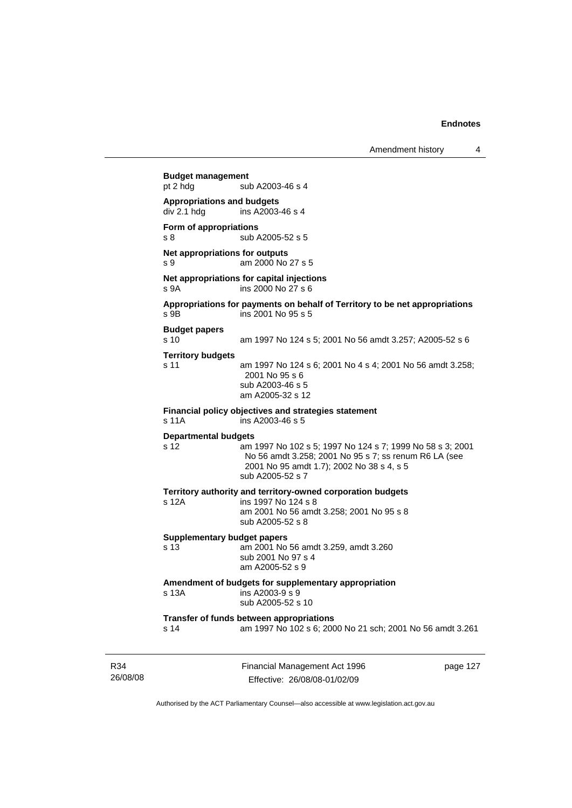Amendment history 4

26/08/08 Financial Management Act 1996 page 127 **Budget management**  sub A2003-46 s 4 **Appropriations and budgets**   $div 2.1$  hdg ins A2003-46 s 4 **Form of appropriations**  s 8 sub A2005-52 s 5 **Net appropriations for outputs** s 9 am 2000 No 27 s 5 **Net appropriations for capital injections** s 9A ins 2000 No 27 s 6 **Appropriations for payments on behalf of Territory to be net appropriations**  s 9B ins 2001 No 95 s 5 **Budget papers**  s 10 am 1997 No 124 s 5; 2001 No 56 amdt 3.257; A2005-52 s 6 **Territory budgets**  s 11 am 1997 No 124 s 6; 2001 No 4 s 4; 2001 No 56 amdt 3.258; 2001 No 95 s 6 sub A2003-46 s 5 am A2005-32 s 12 **Financial policy objectives and strategies statement**  s 11A ins A2003-46 s 5 **Departmental budgets** s 12 am 1997 No 102 s 5; 1997 No 124 s 7; 1999 No 58 s 3; 2001 No 56 amdt 3.258; 2001 No 95 s 7; ss renum R6 LA (see 2001 No 95 amdt 1.7); 2002 No 38 s 4, s 5 sub A2005-52 s 7 **Territory authority and territory-owned corporation budgets**  ins 1997 No 124 s 8 am 2001 No 56 amdt 3.258; 2001 No 95 s 8 sub A2005-52 s 8 **Supplementary budget papers**  s 13 am 2001 No 56 amdt 3.259, amdt 3.260 sub 2001 No 97 s 4 am A2005-52 s 9 **Amendment of budgets for supplementary appropriation**  s 13A ins A2003-9 s 9 sub A2005-52 s 10 **Transfer of funds between appropriations** s 14 am 1997 No 102 s 6; 2000 No 21 sch; 2001 No 56 amdt 3.261

Authorised by the ACT Parliamentary Counsel—also accessible at www.legislation.act.gov.au

Effective: 26/08/08-01/02/09

R34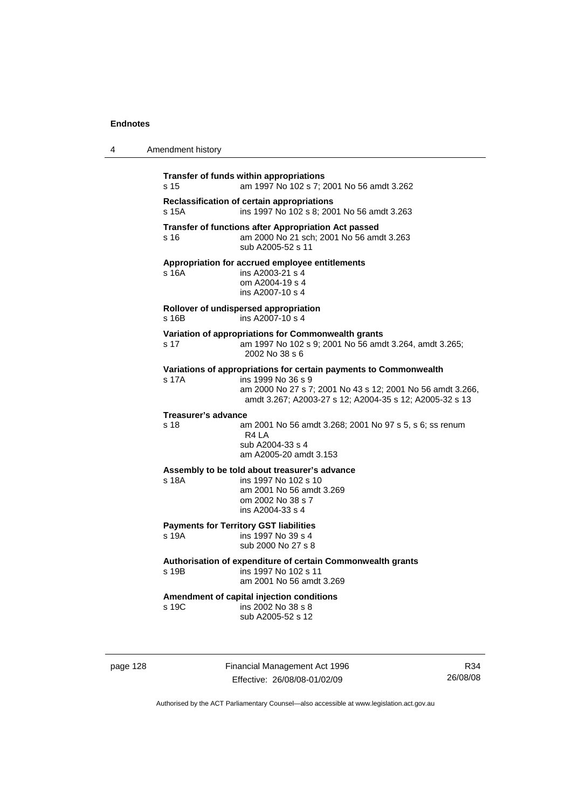| 4 | Amendment history                                                                                                                                                                                                         |
|---|---------------------------------------------------------------------------------------------------------------------------------------------------------------------------------------------------------------------------|
|   | Transfer of funds within appropriations<br>s 15<br>am 1997 No 102 s 7; 2001 No 56 amdt 3.262                                                                                                                              |
|   | Reclassification of certain appropriations<br>s 15A<br>ins 1997 No 102 s 8; 2001 No 56 amdt 3.263                                                                                                                         |
|   | Transfer of functions after Appropriation Act passed<br>am 2000 No 21 sch; 2001 No 56 amdt 3.263<br>s 16<br>sub A2005-52 s 11                                                                                             |
|   | Appropriation for accrued employee entitlements<br>ins A2003-21 s 4<br>s 16A<br>om A2004-19 s 4<br>ins A2007-10 s 4                                                                                                       |
|   | Rollover of undispersed appropriation<br>ins A2007-10 s 4<br>s 16B                                                                                                                                                        |
|   | Variation of appropriations for Commonwealth grants<br>am 1997 No 102 s 9; 2001 No 56 amdt 3.264, amdt 3.265;<br>s 17<br>2002 No 38 s 6                                                                                   |
|   | Variations of appropriations for certain payments to Commonwealth<br>ins 1999 No 36 s 9<br>s 17A<br>am 2000 No 27 s 7; 2001 No 43 s 12; 2001 No 56 amdt 3.266,<br>amdt 3.267; A2003-27 s 12; A2004-35 s 12; A2005-32 s 13 |
|   | <b>Treasurer's advance</b><br>s 18<br>am 2001 No 56 amdt 3.268; 2001 No 97 s 5, s 6; ss renum<br>R <sub>4</sub> LA<br>sub A2004-33 s 4<br>am A2005-20 amdt 3.153                                                          |
|   | Assembly to be told about treasurer's advance<br>s 18A<br>ins 1997 No 102 s 10<br>am 2001 No 56 amdt 3.269<br>om 2002 No 38 s 7<br>ins A2004-33 s 4                                                                       |
|   | <b>Payments for Territory GST liabilities</b><br>ins 1997 No 39 s 4<br>s 19A<br>sub 2000 No 27 s 8                                                                                                                        |
|   | Authorisation of expenditure of certain Commonwealth grants<br>ins 1997 No 102 s 11<br>s 19B<br>am 2001 No 56 amdt 3.269                                                                                                  |
|   | Amendment of capital injection conditions<br>s 19C<br>ins 2002 No 38 s 8<br>sub A2005-52 s 12                                                                                                                             |

page 128 Financial Management Act 1996 Effective: 26/08/08-01/02/09

R34 26/08/08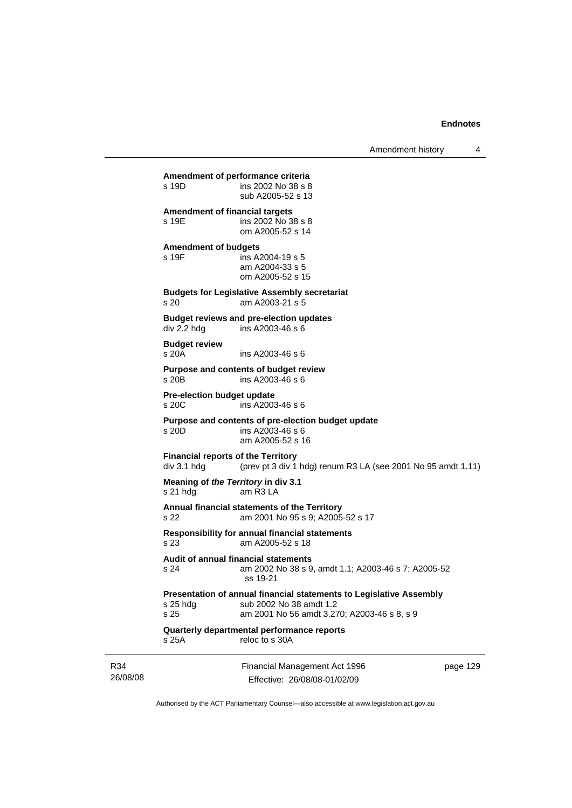Amendment history 4

Financial Management Act 1996 **Amendment of performance criteria**  ins 2002 No 38 s 8 sub A2005-52 s 13 **Amendment of financial targets**  s 19E ins 2002 No 38 s 8 om A2005-52 s 14 **Amendment of budgets**  s 19F ins A2004-19 s 5 am A2004-33 s 5 om A2005-52 s 15 **Budgets for Legislative Assembly secretariat**  s 20 am A2003-21 s 5 **Budget reviews and pre-election updates**  div 2.2 hdg ins A2003-46 s 6 **Budget review**   $ins A2003-46 s 6$ **Purpose and contents of budget review**  s 20B ins A2003-46 s 6 **Pre-election budget update**   $ins$  A2003-46 s 6 **Purpose and contents of pre-election budget update**  s 20D ins A2003-46 s 6 am A2005-52 s 16 **Financial reports of the Territory**<br>div 3.1 hdg (prev pt 3 div 1) (prev pt 3 div 1 hdg) renum R3 LA (see 2001 No 95 amdt 1.11) **Meaning of** *the Territory* **in div 3.1**  s 21 hdg am R3 LA **Annual financial statements of the Territory**  s 22 am 2001 No 95 s 9; A2005-52 s 17 **Responsibility for annual financial statements**  s 23 am A2005-52 s 18 **Audit of annual financial statements**  s 24 am 2002 No 38 s 9, amdt 1.1; A2003-46 s 7; A2005-52 ss 19-21 **Presentation of annual financial statements to Legislative Assembly**  s 25 hdg sub 2002 No 38 amdt 1.2<br>s 25 september 2001 No 56 amdt 3.27 am 2001 No 56 amdt 3.270; A2003-46 s 8, s 9 **Quarterly departmental performance reports**  s 25A reloc to s 30A

R34 26/08/08

Effective: 26/08/08-01/02/09

page 129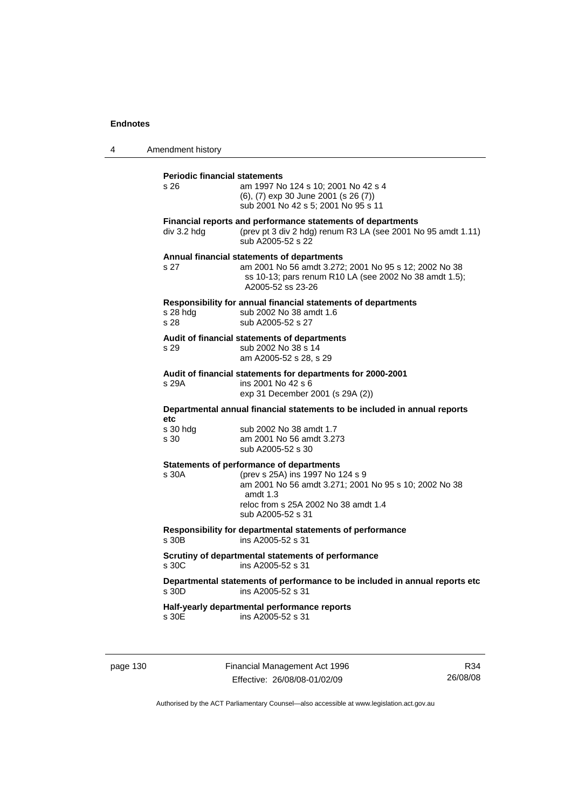4 Amendment history **Periodic financial statements** s 26 am 1997 No 124 s 10; 2001 No 42 s 4 (6), (7) exp 30 June 2001 (s 26 (7)) sub 2001 No 42 s 5; 2001 No 95 s 11 **Financial reports and performance statements of departments**  div 3.2 hdg (prev pt 3 div 2 hdg) renum R3 LA (see 2001 No 95 amdt 1.11) sub A2005-52 s 22 **Annual financial statements of departments**  s 27 am 2001 No 56 amdt 3.272; 2001 No 95 s 12; 2002 No 38 ss 10-13; pars renum R10 LA (see 2002 No 38 amdt 1.5); A2005-52 ss 23-26 **Responsibility for annual financial statements of departments**  s 28 hdg sub 2002 No 38 amdt 1.6 s 28 sub A2005-52 s 27 **Audit of financial statements of departments**  s 29 sub 2002 No 38 s 14 am A2005-52 s 28, s 29 **Audit of financial statements for departments for 2000-2001**  ins 2001 No 42 s 6 exp 31 December 2001 (s 29A (2)) **Departmental annual financial statements to be included in annual reports etc**  sub 2002 No 38 amdt 1.7 s 30 am 2001 No 56 amdt 3.273 sub A2005-52 s 30 **Statements of performance of departments**  s 30A (prev s 25A) ins 1997 No 124 s 9 am 2001 No 56 amdt 3.271; 2001 No 95 s 10; 2002 No 38 amdt 1.3 reloc from s 25A 2002 No 38 amdt 1.4 sub A2005-52 s 31 **Responsibility for departmental statements of performance**  s 30B ins A2005-52 s 31 **Scrutiny of departmental statements of performance**  s 30C ins A2005-52 s 31 **Departmental statements of performance to be included in annual reports etc**  s 30D ins A2005-52 s 31 **Half-yearly departmental performance reports**  s 30E ins A2005-52 s 31

page 130 Financial Management Act 1996 Effective: 26/08/08-01/02/09

R34 26/08/08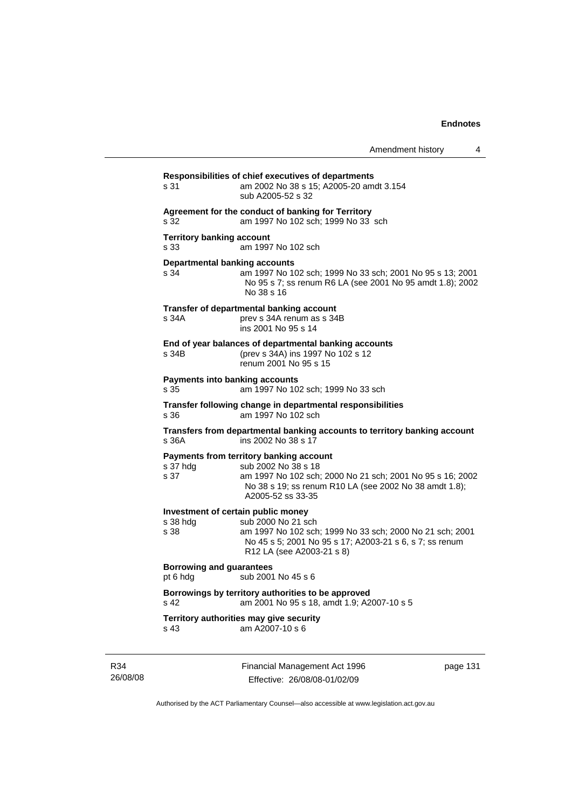|                 | s 31                                                              | Responsibilities of chief executives of departments<br>am 2002 No 38 s 15; A2005-20 amdt 3.154<br>sub A2005-52 s 32                                                                                          |  |  |
|-----------------|-------------------------------------------------------------------|--------------------------------------------------------------------------------------------------------------------------------------------------------------------------------------------------------------|--|--|
|                 | s 32                                                              | Agreement for the conduct of banking for Territory<br>am 1997 No 102 sch; 1999 No 33 sch                                                                                                                     |  |  |
|                 | <b>Territory banking account</b><br>s 33                          | am 1997 No 102 sch                                                                                                                                                                                           |  |  |
|                 | <b>Departmental banking accounts</b><br>s 34                      | am 1997 No 102 sch; 1999 No 33 sch; 2001 No 95 s 13; 2001<br>No 95 s 7; ss renum R6 LA (see 2001 No 95 amdt 1.8); 2002<br>No 38 s 16                                                                         |  |  |
|                 | s 34A                                                             | Transfer of departmental banking account<br>prev s 34A renum as s 34B<br>ins 2001 No 95 s 14                                                                                                                 |  |  |
|                 | s 34B                                                             | End of year balances of departmental banking accounts<br>(prev s 34A) ins 1997 No 102 s 12<br>renum 2001 No 95 s 15                                                                                          |  |  |
|                 | <b>Payments into banking accounts</b><br>s 35                     | am 1997 No 102 sch; 1999 No 33 sch                                                                                                                                                                           |  |  |
|                 | s 36                                                              | Transfer following change in departmental responsibilities<br>am 1997 No 102 sch                                                                                                                             |  |  |
|                 | s 36A                                                             | Transfers from departmental banking accounts to territory banking account<br>ins 2002 No 38 s 17                                                                                                             |  |  |
|                 | s 37 hdg<br>s 37                                                  | Payments from territory banking account<br>sub 2002 No 38 s 18<br>am 1997 No 102 sch; 2000 No 21 sch; 2001 No 95 s 16; 2002<br>No 38 s 19; ss renum R10 LA (see 2002 No 38 amdt 1.8);<br>A2005-52 ss 33-35   |  |  |
|                 | s 38 hdg<br>s 38                                                  | Investment of certain public money<br>sub 2000 No 21 sch<br>am 1997 No 102 sch; 1999 No 33 sch; 2000 No 21 sch; 2001<br>No 45 s 5; 2001 No 95 s 17; A2003-21 s 6, s 7; ss renum<br>R12 LA (see A2003-21 s 8) |  |  |
|                 | <b>Borrowing and guarantees</b><br>sub 2001 No 45 s 6<br>pt 6 hdg |                                                                                                                                                                                                              |  |  |
|                 | s 42                                                              | Borrowings by territory authorities to be approved<br>am 2001 No 95 s 18, amdt 1.9; A2007-10 s 5                                                                                                             |  |  |
|                 | s 43                                                              | Territory authorities may give security<br>am A2007-10 s 6                                                                                                                                                   |  |  |
| R34<br>26/08/08 |                                                                   | Financial Management Act 1996<br>page 131<br>Effective: 26/08/08-01/02/09                                                                                                                                    |  |  |

Authorised by the ACT Parliamentary Counsel—also accessible at www.legislation.act.gov.au

Effective: 26/08/08-01/02/09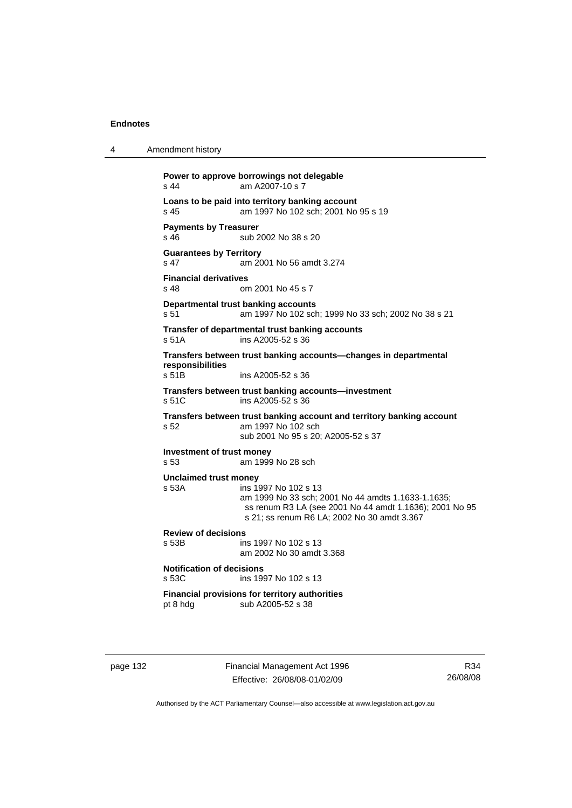4 Amendment history

**Power to approve borrowings not delegable**  s 44 am A2007-10 s 7 **Loans to be paid into territory banking account** s 45 am 1997 No 102 sch; 2001 No 95 s 19 **Payments by Treasurer**  s 46 sub 2002 No 38 s 20 **Guarantees by Territory**  s 47 am 2001 No 56 amdt 3.274 **Financial derivatives**<br>s 48 on om 2001 No 45 s 7 **Departmental trust banking accounts** s 51 am 1997 No 102 sch; 1999 No 33 sch; 2002 No 38 s 21 **Transfer of departmental trust banking accounts**  s 51A ins A2005-52 s 36 **Transfers between trust banking accounts—changes in departmental responsibilities**  ins A2005-52 s 36 **Transfers between trust banking accounts—investment**  s 51C ins A2005-52 s 36 **Transfers between trust banking account and territory banking account s 52** am 1997 No 102 sch am 1997 No 102 sch sub 2001 No 95 s 20; A2005-52 s 37 **Investment of trust money**  s 53 am 1999 No 28 sch **Unclaimed trust money**  ins 1997 No 102 s 13 am 1999 No 33 sch; 2001 No 44 amdts 1.1633-1.1635; ss renum R3 LA (see 2001 No 44 amdt 1.1636); 2001 No 95 s 21; ss renum R6 LA; 2002 No 30 amdt 3.367 **Review of decisions**  ins 1997 No 102 s 13 am 2002 No 30 amdt 3.368 **Notification of decisions**  s 53C ins 1997 No 102 s 13 **Financial provisions for territory authorities**  sub A2005-52 s 38

page 132 Financial Management Act 1996 Effective: 26/08/08-01/02/09

R34 26/08/08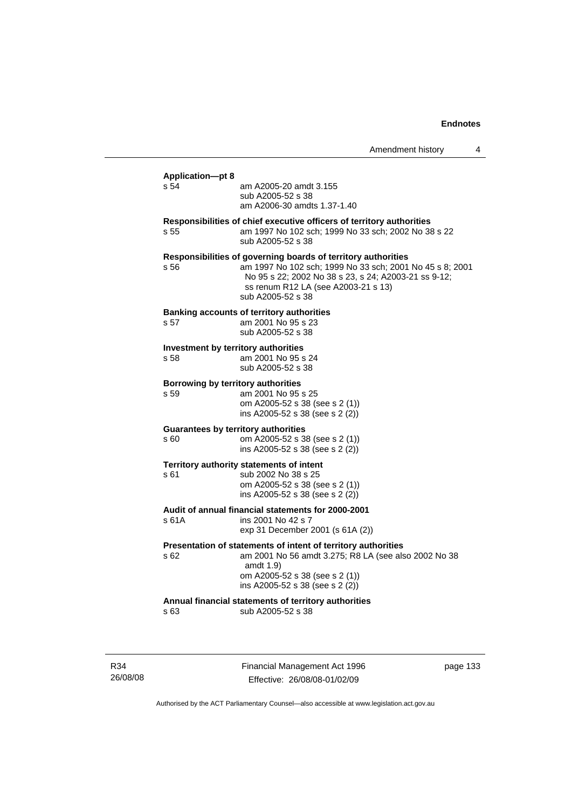Amendment history 4

### **Application—pt 8**  s 54 am A2005-20 amdt 3.155 sub A2005-52 s 38 am A2006-30 amdts 1.37-1.40 **Responsibilities of chief executive officers of territory authorities**  s 55 am 1997 No 102 sch; 1999 No 33 sch; 2002 No 38 s 22 sub A2005-52 s 38 **Responsibilities of governing boards of territory authorities**  s 56 am 1997 No 102 sch; 1999 No 33 sch; 2001 No 45 s 8; 2001 No 95 s 22; 2002 No 38 s 23, s 24; A2003-21 ss 9-12; ss renum R12 LA (see A2003-21 s 13) sub A2005-52 s 38 **Banking accounts of territory authorities**  s 57 am 2001 No 95 s 23 sub A2005-52 s 38 **Investment by territory authorities**  s 58 am 2001 No 95 s 24 sub A2005-52 s 38 **Borrowing by territory authorities**  s 59 am 2001 No 95 s 25 om A2005-52 s 38 (see s 2 (1)) ins A2005-52 s 38 (see s 2 (2)) **Guarantees by territory authorities**  s 60 om A2005-52 s 38 (see s 2 (1)) ins A2005-52 s 38 (see s 2 (2)) **Territory authority statements of intent**  s 61 sub 2002 No 38 s 25 om A2005-52 s 38 (see s 2 (1)) ins A2005-52 s 38 (see s 2 (2)) **Audit of annual financial statements for 2000-2001**  ins 2001 No 42 s 7 exp 31 December 2001 (s 61A (2)) **Presentation of statements of intent of territory authorities**  s 62 am 2001 No 56 amdt 3.275; R8 LA (see also 2002 No 38 amdt 1.9) om A2005-52 s 38 (see s 2 (1)) ins A2005-52 s 38 (see s 2 (2)) **Annual financial statements of territory authorities**  s 63 sub A2005-52 s 38

R34 26/08/08 Financial Management Act 1996 Effective: 26/08/08-01/02/09

page 133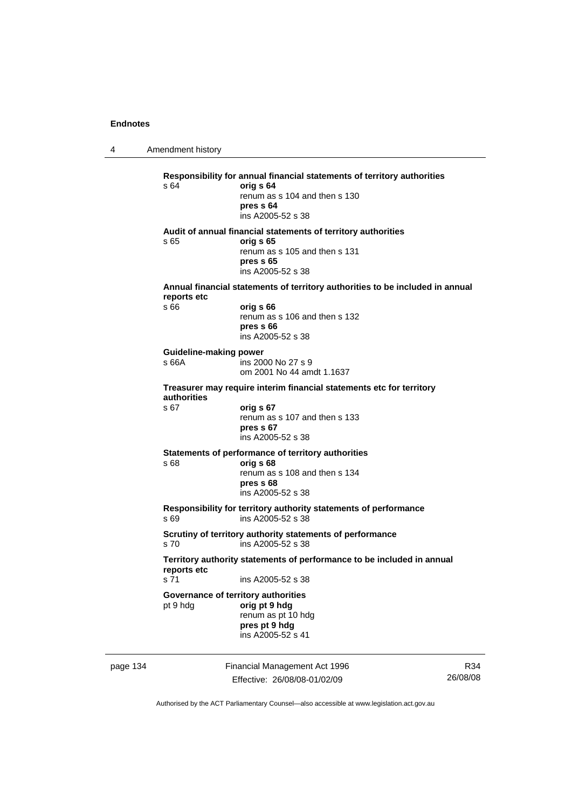4 Amendment history

|          | s 64                                                                                  | Responsibility for annual financial statements of territory authorities<br>orig s 64<br>renum as s 104 and then s 130<br>pres s 64<br>ins A2005-52 s 38 |     |
|----------|---------------------------------------------------------------------------------------|---------------------------------------------------------------------------------------------------------------------------------------------------------|-----|
|          | s 65                                                                                  | Audit of annual financial statements of territory authorities<br>orig s 65<br>renum as s 105 and then s 131<br>pres s 65<br>ins A2005-52 s 38           |     |
|          | reports etc                                                                           | Annual financial statements of territory authorities to be included in annual                                                                           |     |
|          | s 66                                                                                  | orig s 66<br>renum as s 106 and then s 132<br>pres s 66<br>ins A2005-52 s 38                                                                            |     |
|          | <b>Guideline-making power</b><br>s 66A                                                | ins 2000 No 27 s 9<br>om 2001 No 44 amdt 1.1637                                                                                                         |     |
|          | authorities                                                                           | Treasurer may require interim financial statements etc for territory                                                                                    |     |
|          | s 67                                                                                  | orig s 67<br>renum as s 107 and then s 133<br>pres s 67<br>ins A2005-52 s 38                                                                            |     |
|          | s 68                                                                                  | Statements of performance of territory authorities<br>orig s 68<br>renum as s 108 and then s 134<br>pres s 68<br>ins A2005-52 s 38                      |     |
|          | s 69                                                                                  | Responsibility for territory authority statements of performance<br>ins A2005-52 s 38                                                                   |     |
|          | s 70                                                                                  | Scrutiny of territory authority statements of performance<br>ins A2005-52 s 38                                                                          |     |
|          | Territory authority statements of performance to be included in annual<br>reports etc |                                                                                                                                                         |     |
|          | s <sub>71</sub>                                                                       | ins A2005-52 s 38                                                                                                                                       |     |
|          | pt 9 hdg                                                                              | Governance of territory authorities<br>orig pt 9 hdg<br>renum as pt 10 hdg<br>pres pt 9 hdg<br>ins A2005-52 s 41                                        |     |
| page 134 |                                                                                       | Financial Management Act 1996                                                                                                                           | R34 |

Effective: 26/08/08-01/02/09

R34 26/08/08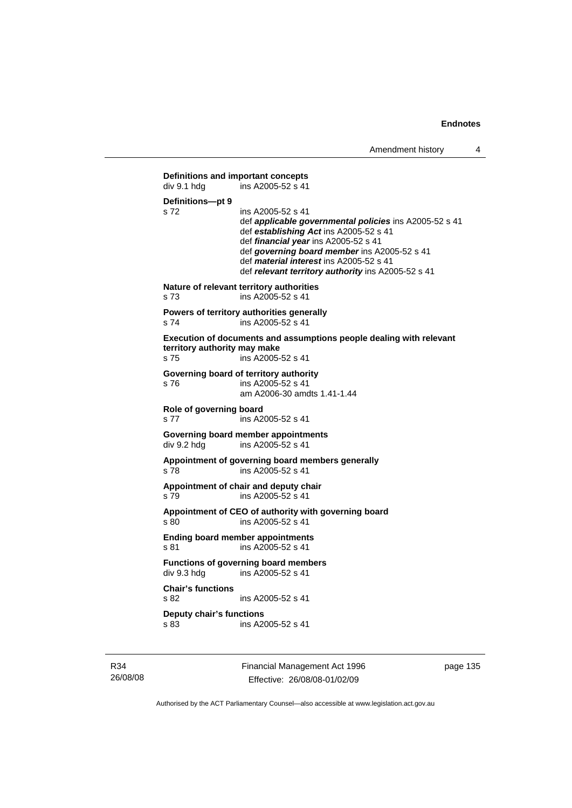```
Definitions and important concepts<br>div 9.1 hdg ins A2005-52 s 41
                 \frac{1}{2}ins A2005-52 s 41
Definitions—pt 9 
s 72 ins A2005-52 s 41 
                  def applicable governmental policies ins A2005-52 s 41 
                  def establishing Act ins A2005-52 s 41 
                  def financial year ins A2005-52 s 41 
                  def governing board member ins A2005-52 s 41 
                  def material interest ins A2005-52 s 41 
                  def relevant territory authority ins A2005-52 s 41 
Nature of relevant territory authorities 
s 73 ins A2005-52 s 41 
Powers of territory authorities generally 
s 74 ins A2005-52 s 41
Execution of documents and assumptions people dealing with relevant 
territory authority may make 
s 75 ins A2005-52 s 41 
Governing board of territory authority 
s 76 ins A2005-52 s 41 
                  am A2006-30 amdts 1.41-1.44 
Role of governing board 
s 77 ins A2005-52 s 41
Governing board member appointments 
div 9.2 hdg ins A2005-52 s 41 
Appointment of governing board members generally 
s 78 ins A2005-52 s 41 
Appointment of chair and deputy chair 
s 79 ins A2005-52 s 41 
Appointment of CEO of authority with governing board 
s 80 ins A2005-52 s 41 
Ending board member appointments 
s 81 ins A2005-52 s 41
Functions of governing board members 
div 9.3 hdg ins A2005-52 s 41
Chair's functions 
s 82 ins A2005-52 s 41 
Deputy chair's functions 
s 83 ins A2005-52 s 41
```
R34 26/08/08 Financial Management Act 1996 Effective: 26/08/08-01/02/09

page 135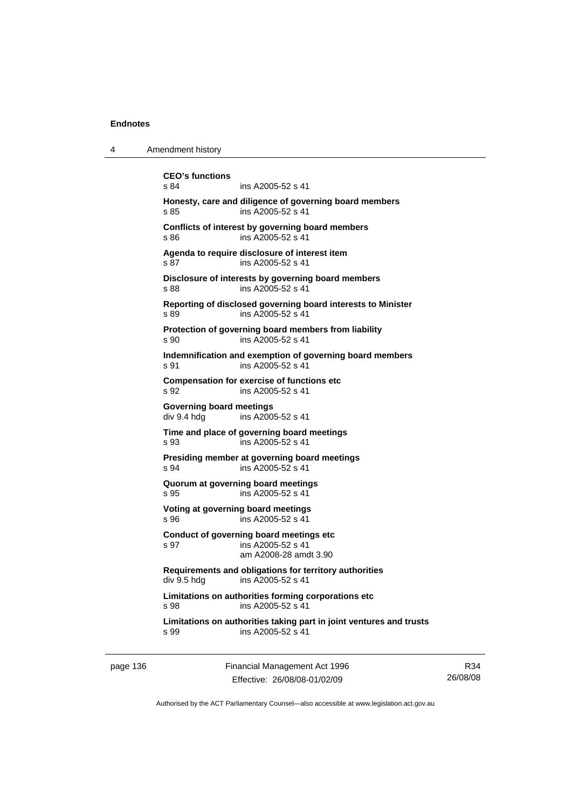| <b>CEO's functions</b><br>s 84<br>ins A2005-52 s 41<br>Honesty, care and diligence of governing board members<br>ins A2005-52 s 41<br>s 85<br>Conflicts of interest by governing board members<br>ins A2005-52 s 41<br>s 86<br>Agenda to require disclosure of interest item<br>s 87<br>ins A2005-52 s 41<br>Disclosure of interests by governing board members<br>ins A2005-52 s 41<br>s 88 |  |
|----------------------------------------------------------------------------------------------------------------------------------------------------------------------------------------------------------------------------------------------------------------------------------------------------------------------------------------------------------------------------------------------|--|
|                                                                                                                                                                                                                                                                                                                                                                                              |  |
|                                                                                                                                                                                                                                                                                                                                                                                              |  |
|                                                                                                                                                                                                                                                                                                                                                                                              |  |
|                                                                                                                                                                                                                                                                                                                                                                                              |  |
|                                                                                                                                                                                                                                                                                                                                                                                              |  |
| Reporting of disclosed governing board interests to Minister<br>ins A2005-52 s 41<br>s 89                                                                                                                                                                                                                                                                                                    |  |
| Protection of governing board members from liability<br>ins A2005-52 s 41<br>s 90                                                                                                                                                                                                                                                                                                            |  |
| Indemnification and exemption of governing board members<br>ins A2005-52 s 41<br>s 91                                                                                                                                                                                                                                                                                                        |  |
| <b>Compensation for exercise of functions etc</b><br>ins A2005-52 s 41<br>s 92                                                                                                                                                                                                                                                                                                               |  |
| <b>Governing board meetings</b><br>div 9.4 hdg<br>ins A2005-52 s 41                                                                                                                                                                                                                                                                                                                          |  |
| Time and place of governing board meetings<br>ins A2005-52 s 41<br>s 93                                                                                                                                                                                                                                                                                                                      |  |
| Presiding member at governing board meetings<br>s 94<br>ins A2005-52 s 41                                                                                                                                                                                                                                                                                                                    |  |
| Quorum at governing board meetings<br>s 95<br>ins A2005-52 s 41                                                                                                                                                                                                                                                                                                                              |  |
| Voting at governing board meetings<br>ins A2005-52 s 41<br>s 96                                                                                                                                                                                                                                                                                                                              |  |
| Conduct of governing board meetings etc<br>ins A2005-52 s 41<br>s 97<br>am A2008-28 amdt 3.90                                                                                                                                                                                                                                                                                                |  |
| Requirements and obligations for territory authorities<br>ins A2005-52 s 41<br>div 9.5 hdg                                                                                                                                                                                                                                                                                                   |  |
| Limitations on authorities forming corporations etc<br>ins A2005-52 s 41<br>s 98                                                                                                                                                                                                                                                                                                             |  |
| Limitations on authorities taking part in joint ventures and trusts<br>ins A2005-52 s 41<br>s 99                                                                                                                                                                                                                                                                                             |  |

page 136 Financial Management Act 1996 Effective: 26/08/08-01/02/09

R34 26/08/08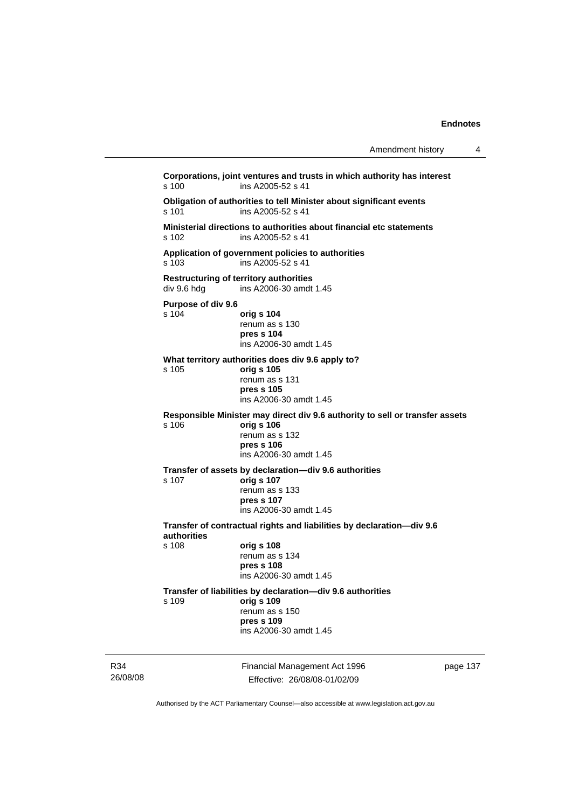| Amendment history |  |
|-------------------|--|
|-------------------|--|

Financial Management Act 1996 **Corporations, joint ventures and trusts in which authority has interest**  s 100 ins A2005-52 s 41 **Obligation of authorities to tell Minister about significant events**  ins A2005-52 s 41 **Ministerial directions to authorities about financial etc statements**  s 102 ins A2005-52 s 41 **Application of government policies to authorities**  s 103 ins A2005-52 s 41 **Restructuring of territory authorities**  ins A2006-30 amdt 1.45 **Purpose of div 9.6**  s 104 **orig s 104** renum as s 130 **pres s 104**  ins A2006-30 amdt 1.45 **What territory authorities does div 9.6 apply to?**  s 105 **orig s 105** renum as s 131 **pres s 105**  ins A2006-30 amdt 1.45 **Responsible Minister may direct div 9.6 authority to sell or transfer assets**  s 106 **orig s 106** renum as s 132 **pres s 106**  ins A2006-30 amdt 1.45 **Transfer of assets by declaration—div 9.6 authorities**  s 107 **orig s 107** renum as s 133 **pres s 107**  ins A2006-30 amdt 1.45 **Transfer of contractual rights and liabilities by declaration—div 9.6 authorities**  s 108 **orig s 108** renum as s 134 **pres s 108**  ins A2006-30 amdt 1.45 **Transfer of liabilities by declaration—div 9.6 authorities**  s 109 **orig s 109** renum as s 150 **pres s 109**  ins A2006-30 amdt 1.45

R34 26/08/08

Effective: 26/08/08-01/02/09

page 137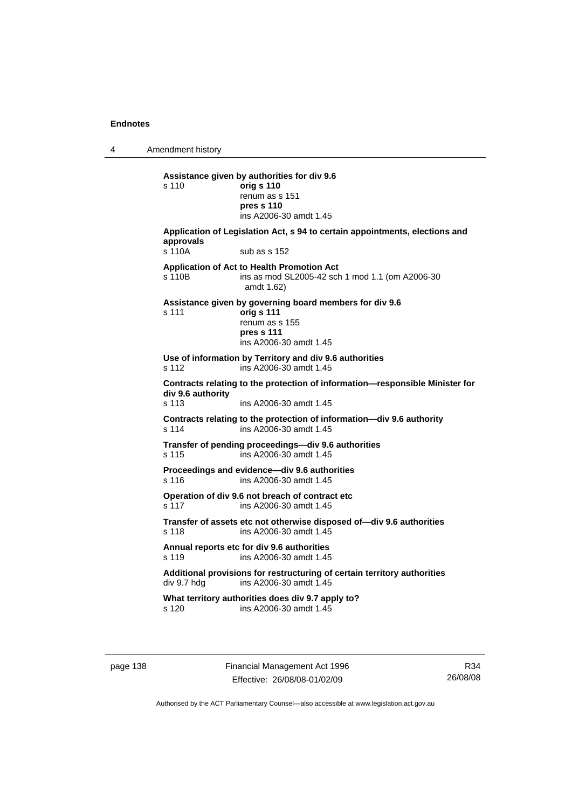4 Amendment history

**Assistance given by authorities for div 9.6**  s 110 **orig s 110** renum as s 151 **pres s 110**  ins A2006-30 amdt 1.45 **Application of Legislation Act, s 94 to certain appointments, elections and approvals**  s 110A sub as s 152 **Application of Act to Health Promotion Act**  s 110B ins as mod SL2005-42 sch 1 mod 1.1 (om A2006-30 amdt 1.62) **Assistance given by governing board members for div 9.6**  s 111 **orig s 111** renum as s 155 **pres s 111**  ins A2006-30 amdt 1.45 **Use of information by Territory and div 9.6 authorities**  s 112 ins A2006-30 amdt 1.45 **Contracts relating to the protection of information—responsible Minister for div 9.6 authority**  s 113 ins A2006-30 amdt 1.45 **Contracts relating to the protection of information—div 9.6 authority**  s 114 ins A2006-30 amdt 1.45 **Transfer of pending proceedings—div 9.6 authorities**  s 115 ins A2006-30 amdt 1.45 **Proceedings and evidence—div 9.6 authorities**  s 116 ins A2006-30 amdt 1.45 **Operation of div 9.6 not breach of contract etc**  s 117 ins A2006-30 amdt 1.45 **Transfer of assets etc not otherwise disposed of—div 9.6 authorities**  s 118 ins A2006-30 amdt 1.45 **Annual reports etc for div 9.6 authorities**  s 119 ins A2006-30 amdt 1.45 Additional provisions for restructuring of certain territory authorities<br>div 9.7 hdg ins A2006-30 amdt 1.45 ins A2006-30 amdt 1.45 **What territory authorities does div 9.7 apply to?**  s 120 ins A2006-30 amdt 1.45

page 138 Financial Management Act 1996 Effective: 26/08/08-01/02/09

R34 26/08/08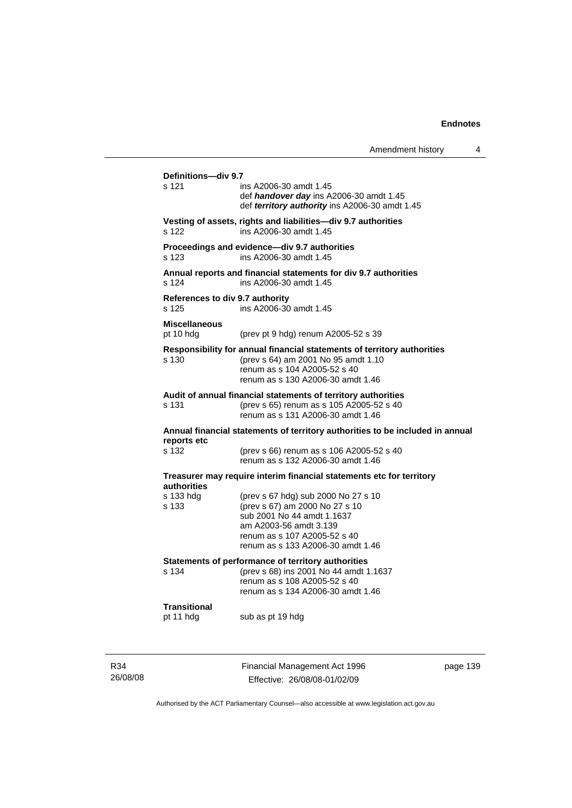|                                                                               |                                                                                                                                                                                                    | Amendment history | 4 |
|-------------------------------------------------------------------------------|----------------------------------------------------------------------------------------------------------------------------------------------------------------------------------------------------|-------------------|---|
| Definitions-div 9.7<br>s 121                                                  | ins A2006-30 amdt 1.45<br>def handover day ins A2006-30 amdt 1.45<br>def territory authority ins A2006-30 amdt 1.45                                                                                |                   |   |
| s 122                                                                         | Vesting of assets, rights and liabilities-div 9.7 authorities<br>ins A2006-30 amdt 1.45                                                                                                            |                   |   |
| s 123                                                                         | Proceedings and evidence-div 9.7 authorities<br>ins A2006-30 amdt 1.45                                                                                                                             |                   |   |
| s 124                                                                         | Annual reports and financial statements for div 9.7 authorities<br>ins A2006-30 amdt 1.45                                                                                                          |                   |   |
| References to div 9.7 authority<br>s 125                                      | ins A2006-30 amdt 1.45                                                                                                                                                                             |                   |   |
| <b>Miscellaneous</b><br>pt 10 hdg                                             | (prev pt 9 hdg) renum A2005-52 s 39                                                                                                                                                                |                   |   |
| s 130                                                                         | Responsibility for annual financial statements of territory authorities<br>(prev s 64) am 2001 No 95 amdt 1.10<br>renum as s 104 A2005-52 s 40<br>renum as s 130 A2006-30 amdt 1.46                |                   |   |
| s 131                                                                         | Audit of annual financial statements of territory authorities<br>(prev s 65) renum as s 105 A2005-52 s 40<br>renum as s 131 A2006-30 amdt 1.46                                                     |                   |   |
| Annual financial statements of territory authorities to be included in annual |                                                                                                                                                                                                    |                   |   |
| reports etc<br>s 132                                                          | (prev s 66) renum as s 106 A2005-52 s 40<br>renum as s 132 A2006-30 amdt 1.46                                                                                                                      |                   |   |
|                                                                               | Treasurer may require interim financial statements etc for territory                                                                                                                               |                   |   |
| authorities<br>s 133 hdg<br>s 133                                             | (prev s 67 hdg) sub 2000 No 27 s 10<br>(prev s 67) am 2000 No 27 s 10<br>sub 2001 No 44 amdt 1.1637<br>am A2003-56 amdt 3.139<br>renum as s 107 A2005-52 s 40<br>renum as s 133 A2006-30 amdt 1.46 |                   |   |
| s 134                                                                         | Statements of performance of territory authorities<br>(prev s 68) ins 2001 No 44 amdt 1.1637<br>renum as s 108 A2005-52 s 40<br>renum as s 134 A2006-30 amdt 1.46                                  |                   |   |
| <b>Transitional</b><br>pt 11 hdg                                              | sub as pt 19 hdg                                                                                                                                                                                   |                   |   |

R34 26/08/08 Financial Management Act 1996 Effective: 26/08/08-01/02/09

page 139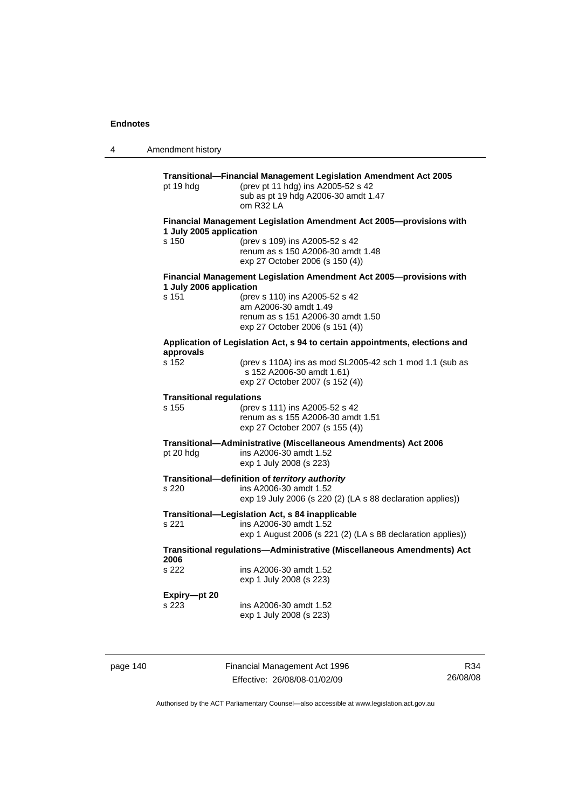4 Amendment history **Transitional—Financial Management Legislation Amendment Act 2005**  pt 19 hdg (prev pt 11 hdg) ins A2005-52 s 42 sub as pt 19 hdg A2006-30 amdt 1.47 om R32 LA **Financial Management Legislation Amendment Act 2005—provisions with 1 July 2005 application**  s 150 (prev s 109) ins A2005-52 s 42 renum as s 150 A2006-30 amdt 1.48 exp 27 October 2006 (s 150 (4)) **Financial Management Legislation Amendment Act 2005—provisions with 1 July 2006 application**  s 151 (prev s 110) ins A2005-52 s 42 am A2006-30 amdt 1.49 renum as s 151 A2006-30 amdt 1.50 exp 27 October 2006 (s 151 (4)) **Application of Legislation Act, s 94 to certain appointments, elections and approvals**  (prev s 110A) ins as mod SL2005-42 sch 1 mod 1.1 (sub as s 152 A2006-30 amdt 1.61) exp 27 October 2007 (s 152 (4)) **Transitional regulations**  s 155 (prev s 111) ins A2005-52 s 42 renum as s 155 A2006-30 amdt 1.51 exp 27 October 2007 (s 155 (4)) **Transitional—Administrative (Miscellaneous Amendments) Act 2006**  pt 20 hdg ins A2006-30 amdt 1.52 exp 1 July 2008 (s 223) **Transitional—definition of** *territory authority*  s 220 ins A2006-30 amdt 1.52 exp 19 July 2006 (s 220 (2) (LA s 88 declaration applies)) **Transitional—Legislation Act, s 84 inapplicable**  s 221 ins A2006-30 amdt 1.52 exp 1 August 2006 (s 221 (2) (LA s 88 declaration applies)) **Transitional regulations—Administrative (Miscellaneous Amendments) Act 2006**  s 222 ins A2006-30 amdt 1.52 exp 1 July 2008 (s 223) **Expiry—pt 20**  s 223 ins A2006-30 amdt 1.52 exp 1 July 2008 (s 223)

page 140 Financial Management Act 1996 Effective: 26/08/08-01/02/09

R34 26/08/08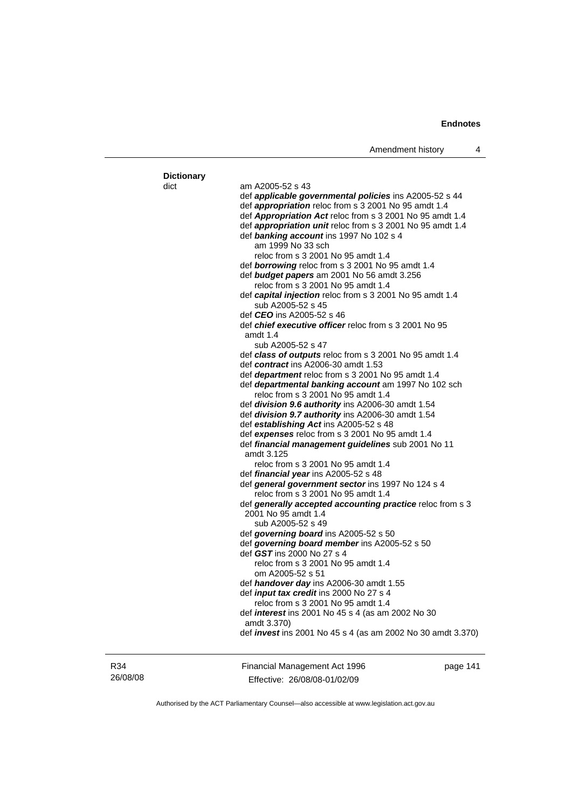|                   | Amenament nistory                                                  | 4 |
|-------------------|--------------------------------------------------------------------|---|
|                   |                                                                    |   |
| <b>Dictionary</b> |                                                                    |   |
| dict              | am A2005-52 s 43                                                   |   |
|                   | def <i>applicable governmental policies</i> ins A2005-52 s 44      |   |
|                   | def <i>appropriation</i> reloc from s 3 2001 No 95 amdt 1.4        |   |
|                   | def Appropriation Act reloc from s 3 2001 No 95 amdt 1.4           |   |
|                   | def <i>appropriation unit</i> reloc from s 3 2001 No 95 amdt 1.4   |   |
|                   | def banking account ins 1997 No 102 s 4                            |   |
|                   | am 1999 No 33 sch                                                  |   |
|                   | reloc from s 3 2001 No 95 amdt 1.4                                 |   |
|                   | def borrowing reloc from s 3 2001 No 95 amdt 1.4                   |   |
|                   | def <b>budget papers</b> am 2001 No 56 amdt 3.256                  |   |
|                   | reloc from s 3 2001 No 95 amdt 1.4                                 |   |
|                   | def capital injection reloc from s 3 2001 No 95 amdt 1.4           |   |
|                   | sub A2005-52 s 45                                                  |   |
|                   | def <i>CEO</i> ins A2005-52 s 46                                   |   |
|                   | def <i>chief executive officer</i> reloc from s 3 2001 No 95       |   |
|                   | amdt $1.4$                                                         |   |
|                   | sub A2005-52 s 47                                                  |   |
|                   | def class of outputs reloc from s 3 2001 No 95 amdt 1.4            |   |
|                   | def <i>contract</i> ins A2006-30 amdt 1.53                         |   |
|                   | def <i>department</i> reloc from s 3 2001 No 95 amdt 1.4           |   |
|                   | def departmental banking account am 1997 No 102 sch                |   |
|                   | reloc from s 3 2001 No 95 amdt 1.4                                 |   |
|                   | def division 9.6 authority ins A2006-30 amdt 1.54                  |   |
|                   | def division 9.7 authority ins A2006-30 amdt 1.54                  |   |
|                   | def establishing Act ins A2005-52 s 48                             |   |
|                   | def expenses reloc from s 3 2001 No 95 amdt 1.4                    |   |
|                   | def financial management guidelines sub 2001 No 11                 |   |
|                   | amdt 3.125                                                         |   |
|                   | reloc from s 3 2001 No 95 amdt 1.4                                 |   |
|                   | def <i>financial year</i> ins A2005-52 s 48                        |   |
|                   | def general government sector ins 1997 No 124 s 4                  |   |
|                   | reloc from s 3 2001 No 95 amdt 1.4                                 |   |
|                   | def generally accepted accounting practice reloc from s 3          |   |
|                   | 2001 No 95 amdt 1.4                                                |   |
|                   | sub A2005-52 s 49                                                  |   |
|                   | def governing board ins A2005-52 s 50                              |   |
|                   | def governing board member ins A2005-52 s 50                       |   |
|                   | def GST ins 2000 No 27 s 4                                         |   |
|                   | reloc from s 3 2001 No 95 amdt 1.4                                 |   |
|                   | om A2005-52 s 51                                                   |   |
|                   | def handover day ins A2006-30 amdt 1.55                            |   |
|                   | def <i>input tax credit</i> ins 2000 No 27 s 4                     |   |
|                   | reloc from s 3 2001 No 95 amdt 1.4                                 |   |
|                   | def <i>interest</i> ins 2001 No 45 s 4 (as am 2002 No 30           |   |
|                   | amdt 3.370)                                                        |   |
|                   | def <i>invest</i> ins 2001 No 45 s 4 (as am 2002 No 30 amdt 3.370) |   |
|                   |                                                                    |   |
|                   |                                                                    |   |
|                   |                                                                    |   |

R34 26/08/08 Financial Management Act 1996 Effective: 26/08/08-01/02/09

page 141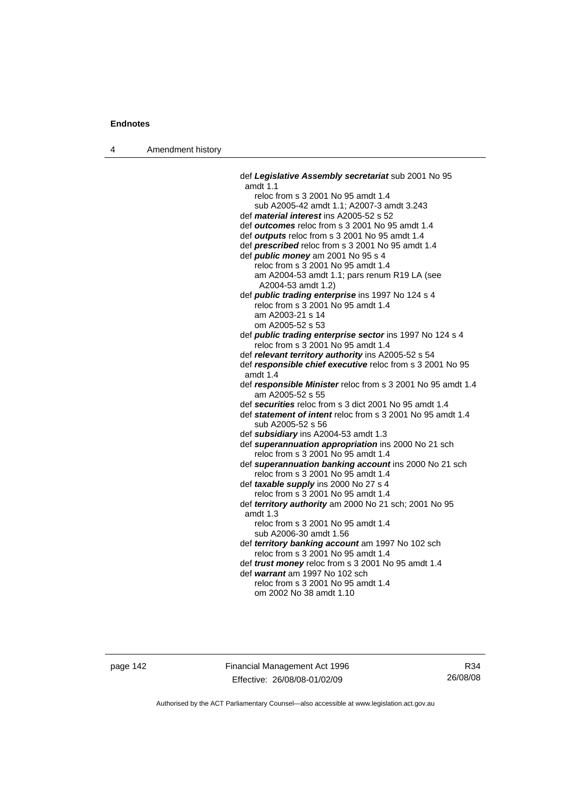4 Amendment history

 def *Legislative Assembly secretariat* sub 2001 No 95 amdt 1.1 reloc from s 3 2001 No 95 amdt 1.4 sub A2005-42 amdt 1.1; A2007-3 amdt 3.243 def *material interest* ins A2005-52 s 52 def *outcomes* reloc from s 3 2001 No 95 amdt 1.4 def *outputs* reloc from s 3 2001 No 95 amdt 1.4 def *prescribed* reloc from s 3 2001 No 95 amdt 1.4 def *public money* am 2001 No 95 s 4 reloc from s 3 2001 No 95 amdt 1.4 am A2004-53 amdt 1.1; pars renum R19 LA (see A2004-53 amdt 1.2) def *public trading enterprise* ins 1997 No 124 s 4 reloc from s 3 2001 No 95 amdt 1.4 am A2003-21 s 14 om A2005-52 s 53 def *public trading enterprise sector* ins 1997 No 124 s 4 reloc from s 3 2001 No 95 amdt 1.4 def *relevant territory authority* ins A2005-52 s 54 def *responsible chief executive* reloc from s 3 2001 No 95 amdt 1.4 def *responsible Minister* reloc from s 3 2001 No 95 amdt 1.4 am A2005-52 s 55 def *securities* reloc from s 3 dict 2001 No 95 amdt 1.4 def *statement of intent* reloc from s 3 2001 No 95 amdt 1.4 sub A2005-52 s 56 def *subsidiary* ins A2004-53 amdt 1.3 def *superannuation appropriation* ins 2000 No 21 sch reloc from s 3 2001 No 95 amdt 1.4 def *superannuation banking account* ins 2000 No 21 sch reloc from s 3 2001 No 95 amdt 1.4 def *taxable supply* ins 2000 No 27 s 4 reloc from s 3 2001 No 95 amdt 1.4 def *territory authority* am 2000 No 21 sch; 2001 No 95 amdt 1.3 reloc from s 3 2001 No 95 amdt 1.4 sub A2006-30 amdt 1.56 def *territory banking account* am 1997 No 102 sch reloc from s 3 2001 No 95 amdt 1.4 def *trust money* reloc from s 3 2001 No 95 amdt 1.4 def *warrant* am 1997 No 102 sch reloc from s 3 2001 No 95 amdt 1.4 om 2002 No 38 amdt 1.10

page 142 Financial Management Act 1996 Effective: 26/08/08-01/02/09

R34 26/08/08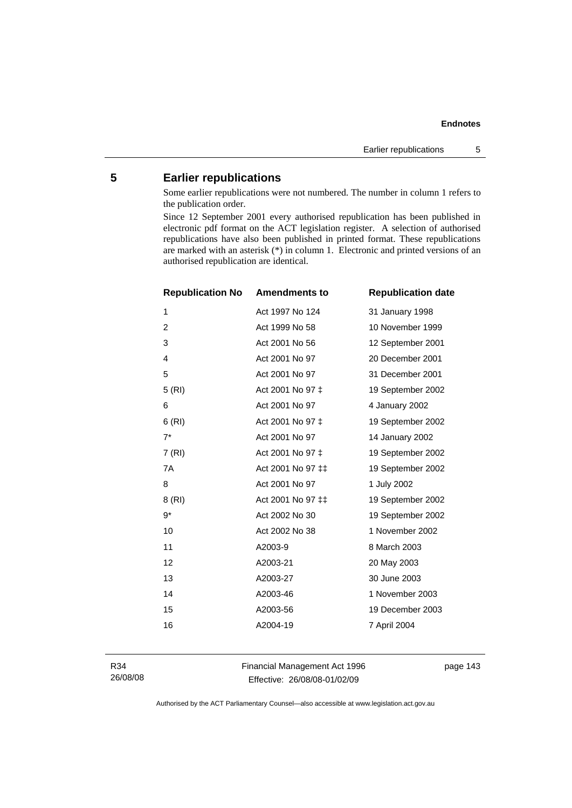# **5 Earlier republications**

Some earlier republications were not numbered. The number in column 1 refers to the publication order.

Since 12 September 2001 every authorised republication has been published in electronic pdf format on the ACT legislation register. A selection of authorised republications have also been published in printed format. These republications are marked with an asterisk (\*) in column 1. Electronic and printed versions of an authorised republication are identical.

| <b>Republication No</b> | <b>Amendments to</b> | <b>Republication date</b> |
|-------------------------|----------------------|---------------------------|
| 1                       | Act 1997 No 124      | 31 January 1998           |
| $\overline{c}$          | Act 1999 No 58       | 10 November 1999          |
| 3                       | Act 2001 No 56       | 12 September 2001         |
| $\overline{4}$          | Act 2001 No 97       | 20 December 2001          |
| 5                       | Act 2001 No 97       | 31 December 2001          |
| 5(RI)                   | Act 2001 No 97 ‡     | 19 September 2002         |
| 6                       | Act 2001 No 97       | 4 January 2002            |
| 6(RI)                   | Act 2001 No 97 ‡     | 19 September 2002         |
| $7^*$                   | Act 2001 No 97       | 14 January 2002           |
| 7 (RI)                  | Act 2001 No 97 ‡     | 19 September 2002         |
| 7A                      | Act 2001 No 97 ‡‡    | 19 September 2002         |
| 8                       | Act 2001 No 97       | 1 July 2002               |
| 8 (RI)                  | Act 2001 No 97 ‡‡    | 19 September 2002         |
| 9*                      | Act 2002 No 30       | 19 September 2002         |
| 10                      | Act 2002 No 38       | 1 November 2002           |
| 11                      | A2003-9              | 8 March 2003              |
| 12                      | A2003-21             | 20 May 2003               |
| 13                      | A2003-27             | 30 June 2003              |
| 14                      | A2003-46             | 1 November 2003           |
| 15                      | A2003-56             | 19 December 2003          |
| 16                      | A2004-19             | 7 April 2004              |
|                         |                      |                           |

R34 26/08/08 Financial Management Act 1996 Effective: 26/08/08-01/02/09

page 143